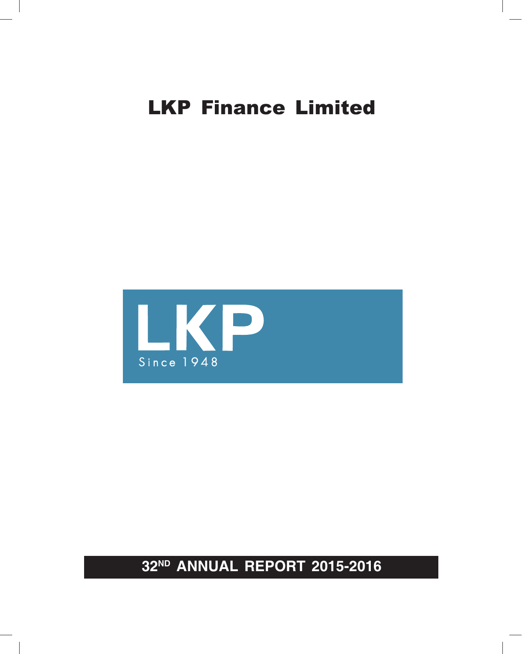

**32ND ANNUAL REPORT 2015-2016**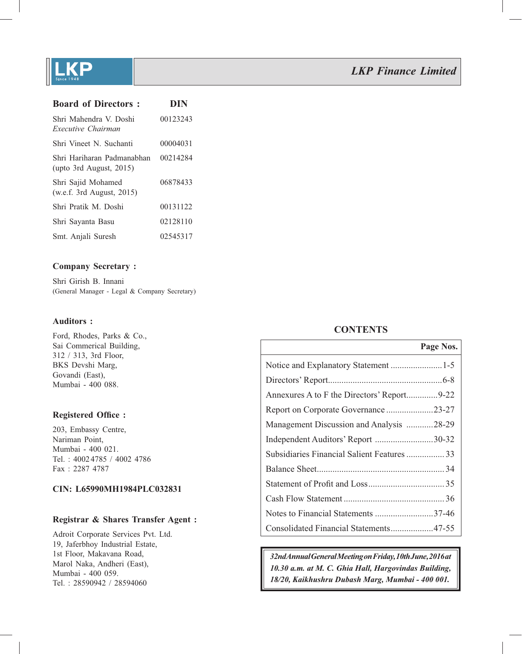

| <b>Board of Directors:</b>                               | <b>DIN</b> |
|----------------------------------------------------------|------------|
| Shri Mahendra V. Doshi<br>Executive Chairman             | 00123243   |
| Shri Vineet N. Suchanti                                  | 00004031   |
| Shri Hariharan Padmanabhan<br>(upto 3rd August, $2015$ ) | 00214284   |
| Shri Sajid Mohamed<br>(w.e.f. 3rd August, $2015$ )       | 06878433   |
| Shri Pratik M. Doshi                                     | 00131122   |
| Shri Sayanta Basu                                        | 02128110   |
| Smt. Anjali Suresh                                       | 02545317   |

## **Company Secretary :**

Shri Girish B. Innani (General Manager - Legal & Company Secretary)

### **Auditors :**

Ford, Rhodes, Parks & Co., Sai Commerical Building, 312 / 313, 3rd Floor, BKS Devshi Marg, Govandi (East), Mumbai - 400 088.

## **Registered Office:**

203, Embassy Centre, Nariman Point, Mumbai - 400 021. Tel. : 4002 4785 / 4002 4786 Fax : 2287 4787

## **CIN: L65990MH1984PLC032831**

## **Registrar & Shares Transfer Agent :**

Adroit Corporate Services Pvt. Ltd. 19, Jaferbhoy Industrial Estate, 1st Floor, Makavana Road, Marol Naka, Andheri (East), Mumbai - 400 059. Tel. : 28590942 / 28594060

## **CONTENTS**

|                                             | Page Nos. |
|---------------------------------------------|-----------|
| Notice and Explanatory Statement 1-5        |           |
|                                             |           |
|                                             |           |
| Report on Corporate Governance23-27         |           |
| Management Discussion and Analysis 28-29    |           |
| Independent Auditors' Report 30-32          |           |
| Subsidiaries Financial Salient Features  33 |           |
|                                             |           |
|                                             |           |
|                                             |           |
| Notes to Financial Statements 37-46         |           |
| Consolidated Financial Statements47-55      |           |

*32nd Annual General Meeting on Friday, 10th June, 2016 at 10.30 a.m. at M. C. Ghia Hall, Hargovindas Building, 18/20, Kaikhushru Dubash Marg, Mumbai - 400 001.*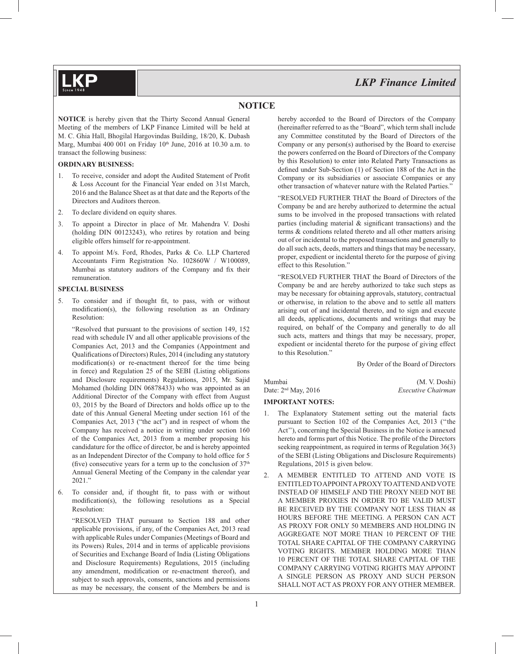## **NOTICE**

**NOTICE** is hereby given that the Thirty Second Annual General Meeting of the members of LKP Finance Limited will be held at M. C. Ghia Hall, Bhogilal Hargovindas Building, 18/20, K. Dubash Marg, Mumbai 400 001 on Friday 10th June, 2016 at 10.30 a.m. to transact the following business:

#### **ORDINARY BUSINESS:**

- 1. To receive, consider and adopt the Audited Statement of Profit & Loss Account for the Financial Year ended on 31st March, 2016 and the Balance Sheet as at that date and the Reports of the Directors and Auditors thereon.
- 2. To declare dividend on equity shares.
- 3. To appoint a Director in place of Mr. Mahendra V. Doshi (holding DIN 00123243), who retires by rotation and being eligible offers himself for re-appointment.
- 4. To appoint M/s. Ford, Rhodes, Parks & Co. LLP Chartered Accountants Firm Registration No. 102860W / W100089, Mumbai as statutory auditors of the Company and fix their remuneration.

#### **SPECIAL BUSINESS**

5. To consider and if thought fit, to pass, with or without modification(s), the following resolution as an Ordinary Resolution:

 "Resolved that pursuant to the provisions of section 149, 152 read with schedule IV and all other applicable provisions of the Companies Act, 2013 and the Companies (Appointment and Qualifications of Directors) Rules, 2014 (including any statutory  $modification(s)$  or re-enactment thereof for the time being in force) and Regulation 25 of the SEBI (Listing obligations and Disclosure requirements) Regulations, 2015, Mr. Sajid Mohamed (holding DIN 06878433) who was appointed as an Additional Director of the Company with effect from August 03, 2015 by the Board of Directors and holds office up to the date of this Annual General Meeting under section 161 of the Companies Act, 2013 ("the act") and in respect of whom the Company has received a notice in writing under section 160 of the Companies Act, 2013 from a member proposing his candidature for the office of director, be and is hereby appointed as an Independent Director of the Company to hold office for 5 (five) consecutive years for a term up to the conclusion of  $37<sup>th</sup>$ Annual General Meeting of the Company in the calendar year 2021."

6. To consider and, if thought fit, to pass with or without modification(s), the following resolutions as a Special Resolution:

 "RESOLVED THAT pursuant to Section 188 and other applicable provisions, if any, of the Companies Act, 2013 read with applicable Rules under Companies (Meetings of Board and its Powers) Rules, 2014 and in terms of applicable provisions of Securities and Exchange Board of India (Listing Obligations and Disclosure Requirements) Regulations, 2015 (including any amendment, modification or re-enactment thereof), and subject to such approvals, consents, sanctions and permissions as may be necessary, the consent of the Members be and is hereby accorded to the Board of Directors of the Company (hereinafter referred to as the "Board", which term shall include any Committee constituted by the Board of Directors of the Company or any person(s) authorised by the Board to exercise the powers conferred on the Board of Directors of the Company by this Resolution) to enter into Related Party Transactions as defined under Sub-Section (1) of Section 188 of the Act in the Company or its subsidiaries or associate Companies or any other transaction of whatever nature with the Related Parties."

 "RESOLVED FURTHER THAT the Board of Directors of the Company be and are hereby authorized to determine the actual sums to be involved in the proposed transactions with related parties (including material  $\&$  significant transactions) and the terms & conditions related thereto and all other matters arising out of or incidental to the proposed transactions and generally to do all such acts, deeds, matters and things that may be necessary, proper, expedient or incidental thereto for the purpose of giving effect to this Resolution."

 "RESOLVED FURTHER THAT the Board of Directors of the Company be and are hereby authorized to take such steps as may be necessary for obtaining approvals, statutory, contractual or otherwise, in relation to the above and to settle all matters arising out of and incidental thereto, and to sign and execute all deeds, applications, documents and writings that may be required, on behalf of the Company and generally to do all such acts, matters and things that may be necessary, proper, expedient or incidental thereto for the purpose of giving effect to this Resolution."

By Order of the Board of Directors

#### Mumbai (M. V. Doshi) Date: 2nd May, 2016 *Executive Chairman*

### **IMPORTANT NOTES:**

- 1. The Explanatory Statement setting out the material facts pursuant to Section 102 of the Companies Act, 2013 (''the Act''), concerning the Special Business in the Notice is annexed hereto and forms part of this Notice. The profile of the Directors seeking reappointment, as required in terms of Regulation 36(3) of the SEBI (Listing Obligations and Disclosure Requirements) Regulations, 2015 is given below.
- 2. A MEMBER ENTITLED TO ATTEND AND VOTE IS ENTITLED TO APPOINT A PROXY TO ATTEND AND VOTE INSTEAD OF HIMSELF AND THE PROXY NEED NOT BE A MEMBER PROXIES IN ORDER TO BE VALID MUST BE RECEIVED BY THE COMPANY NOT LESS THAN 48 HOURS BEFORE THE MEETING. A PERSON CAN ACT AS PROXY FOR ONLY 50 MEMBERS AND HOLDING IN AGGREGATE NOT MORE THAN 10 PERCENT OF THE TOTAL SHARE CAPITAL OF THE COMPANY CARRYING VOTING RIGHTS. MEMBER HOLDING MORE THAN 10 PERCENT OF THE TOTAL SHARE CAPITAL OF THE COMPANY CARRYING VOTING RIGHTS MAY APPOINT A SINGLE PERSON AS PROXY AND SUCH PERSON SHALL NOT ACT AS PROXY FOR ANY OTHER MEMBER.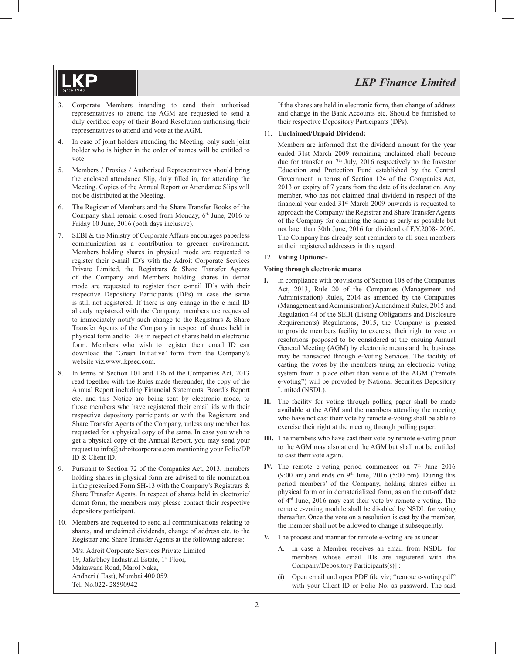- 3. Corporate Members intending to send their authorised representatives to attend the AGM are requested to send a duly certified copy of their Board Resolution authorising their representatives to attend and vote at the AGM.
- 4. In case of joint holders attending the Meeting, only such joint holder who is higher in the order of names will be entitled to vote.
- 5. Members / Proxies / Authorised Representatives should bring the enclosed attendance Slip, duly filled in, for attending the Meeting. Copies of the Annual Report or Attendance Slips will not be distributed at the Meeting.
- 6. The Register of Members and the Share Transfer Books of the Company shall remain closed from Monday, 6<sup>th</sup> June, 2016 to Friday 10 June, 2016 (both days inclusive).
- 7. SEBI & the Ministry of Corporate Affairs encourages paperless communication as a contribution to greener environment. Members holding shares in physical mode are requested to register their e-mail ID's with the Adroit Corporate Services Private Limited, the Registrars & Share Transfer Agents of the Company and Members holding shares in demat mode are requested to register their e-mail ID's with their respective Depository Participants (DPs) in case the same is still not registered. If there is any change in the e-mail ID already registered with the Company, members are requested to immediately notify such change to the Registrars & Share Transfer Agents of the Company in respect of shares held in physical form and to DPs in respect of shares held in electronic form. Members who wish to register their email ID can download the 'Green Initiative' form from the Company's website viz.www.lkpsec.com.
- 8. In terms of Section 101 and 136 of the Companies Act, 2013 read together with the Rules made thereunder, the copy of the Annual Report including Financial Statements, Board's Report etc. and this Notice are being sent by electronic mode, to those members who have registered their email ids with their respective depository participants or with the Registrars and Share Transfer Agents of the Company, unless any member has requested for a physical copy of the same. In case you wish to get a physical copy of the Annual Report, you may send your request to info@adroitcorporate.com mentioning your Folio/DP ID & Client ID.
- 9. Pursuant to Section 72 of the Companies Act, 2013, members holding shares in physical form are advised to file nomination in the prescribed Form SH-13 with the Company's Registrars & Share Transfer Agents. In respect of shares held in electronic/ demat form, the members may please contact their respective depository participant.
- 10. Members are requested to send all communications relating to shares, and unclaimed dividends, change of address etc. to the Registrar and Share Transfer Agents at the following address:

 M/s. Adroit Corporate Services Private Limited 19, Jafarbhoy Industrial Estate, 1<sup>st</sup> Floor, Makawana Road, Marol Naka, Andheri ( East), Mumbai 400 059. Tel. No.022- 28590942

 If the shares are held in electronic form, then change of address and change in the Bank Accounts etc. Should be furnished to their respective Depository Participants (DPs).

#### 11. **Unclaimed/Unpaid Dividend:**

 Members are informed that the dividend amount for the year ended 31st March 2009 remaining unclaimed shall become due for transfer on  $7<sup>th</sup>$  July, 2016 respectively to the Investor Education and Protection Fund established by the Central Government in terms of Section 124 of the Companies Act, 2013 on expiry of 7 years from the date of its declaration. Any member, who has not claimed final dividend in respect of the financial year ended  $31<sup>st</sup>$  March 2009 onwards is requested to approach the Company/ the Registrar and Share Transfer Agents of the Company for claiming the same as early as possible but not later than 30th June, 2016 for dividend of F.Y.2008- 2009. The Company has already sent reminders to all such members at their registered addresses in this regard.

## 12. **Voting Options:-**

#### **Voting through electronic means**

- **I.** In compliance with provisions of Section 108 of the Companies Act, 2013, Rule 20 of the Companies (Management and Administration) Rules, 2014 as amended by the Companies (Management and Administration) Amendment Rules, 2015 and Regulation 44 of the SEBI (Listing Obligations and Disclosure Requirements) Regulations, 2015, the Company is pleased to provide members facility to exercise their right to vote on resolutions proposed to be considered at the ensuing Annual General Meeting (AGM) by electronic means and the business may be transacted through e-Voting Services. The facility of casting the votes by the members using an electronic voting system from a place other than venue of the AGM ("remote e-voting") will be provided by National Securities Depository Limited (NSDL).
- **II.** The facility for voting through polling paper shall be made available at the AGM and the members attending the meeting who have not cast their vote by remote e-voting shall be able to exercise their right at the meeting through polling paper.
- **III.** The members who have cast their vote by remote e-voting prior to the AGM may also attend the AGM but shall not be entitled to cast their vote again.
- IV. The remote e-voting period commences on  $7<sup>th</sup>$  June 2016 (9:00 am) and ends on  $9<sup>th</sup>$  June, 2016 (5:00 pm). During this period members' of the Company, holding shares either in physical form or in dematerialized form, as on the cut-off date of 4rd June, 2016 may cast their vote by remote e-voting. The remote e-voting module shall be disabled by NSDL for voting thereafter. Once the vote on a resolution is cast by the member, the member shall not be allowed to change it subsequently.
- **V.** The process and manner for remote e-voting are as under:
	- A. In case a Member receives an email from NSDL [for members whose email IDs are registered with the Company/Depository Participants(s)] :
	- (i) Open email and open PDF file viz; "remote e-voting.pdf" with your Client ID or Folio No. as password. The said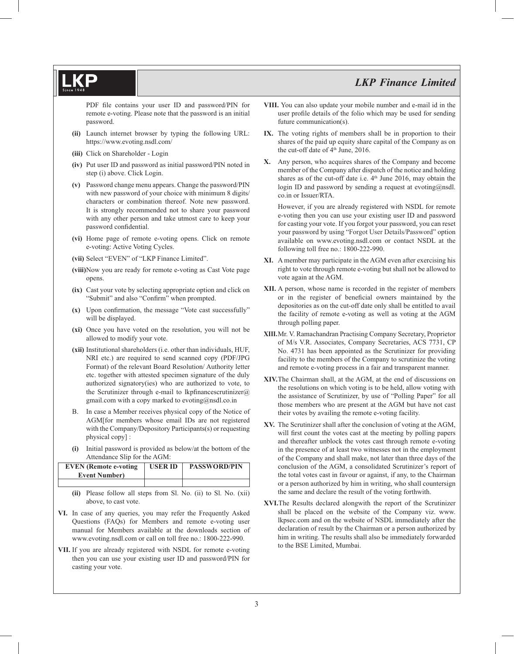PDF file contains your user ID and password/PIN for remote e-voting. Please note that the password is an initial password.

- **(ii)** Launch internet browser by typing the following URL: https://www.evoting.nsdl.com/
- **(iii)** Click on Shareholder Login
- **(iv)** Put user ID and password as initial password/PIN noted in step (i) above. Click Login.
- **(v)** Password change menu appears. Change the password/PIN with new password of your choice with minimum 8 digits/ characters or combination thereof. Note new password. It is strongly recommended not to share your password with any other person and take utmost care to keep your password confidential.
- **(vi)** Home page of remote e-voting opens. Click on remote e-voting: Active Voting Cycles.
- **(vii)** Select "EVEN" of "LKP Finance Limited".
- **(viii)** Now you are ready for remote e-voting as Cast Vote page opens.
- **(ix)** Cast your vote by selecting appropriate option and click on "Submit" and also "Confirm" when prompted.
- (x) Upon confirmation, the message "Vote cast successfully" will be displayed.
- **(xi)** Once you have voted on the resolution, you will not be allowed to modify your vote.
- **(xii)** Institutional shareholders (i.e. other than individuals, HUF, NRI etc.) are required to send scanned copy (PDF/JPG Format) of the relevant Board Resolution/ Authority letter etc. together with attested specimen signature of the duly authorized signatory(ies) who are authorized to vote, to the Scrutinizer through e-mail to lkpfinancescrutinizer $\omega$ gmail.com with a copy marked to evoting@nsdl.co.in
- B. In case a Member receives physical copy of the Notice of AGM[for members whose email IDs are not registered with the Company/Depository Participants(s) or requesting physical copy] :
- **(i)** Initial password is provided as below/at the bottom of the Attendance Slip for the AGM:

| <b>EVEN</b> (Remote e-voting | <b>USER ID</b> | <b>PASSWORD/PIN</b> |
|------------------------------|----------------|---------------------|
| <b>Event Number</b> )        |                |                     |
|                              |                |                     |

**(ii)** Please follow all steps from Sl. No. (ii) to Sl. No. (xii) above, to cast vote.

- **VI.** In case of any queries, you may refer the Frequently Asked Questions (FAQs) for Members and remote e-voting user manual for Members available at the downloads section of www.evoting.nsdl.com or call on toll free no.: 1800-222-990.
- **VII.** If you are already registered with NSDL for remote e-voting then you can use your existing user ID and password/PIN for casting your vote.
- **VIII.** You can also update your mobile number and e-mail id in the user profile details of the folio which may be used for sending future communication(s).
- **IX.** The voting rights of members shall be in proportion to their shares of the paid up equity share capital of the Company as on the cut-off date of  $4<sup>th</sup>$  June, 2016.
- **X.** Any person, who acquires shares of the Company and become member of the Company after dispatch of the notice and holding shares as of the cut-off date i.e.  $4<sup>th</sup>$  June 2016, may obtain the login ID and password by sending a request at evoting $(\partial \text{nsdl})$ . co.in or Issuer/RTA.

 However, if you are already registered with NSDL for remote e-voting then you can use your existing user ID and password for casting your vote. If you forgot your password, you can reset your password by using "Forgot User Details/Password" option available on www.evoting.nsdl.com or contact NSDL at the following toll free no.: 1800-222-990.

- **XI.** A member may participate in the AGM even after exercising his right to vote through remote e-voting but shall not be allowed to vote again at the AGM.
- **XII.** A person, whose name is recorded in the register of members or in the register of beneficial owners maintained by the depositories as on the cut-off date only shall be entitled to avail the facility of remote e-voting as well as voting at the AGM through polling paper.
- **XIII.**Mr. V. Ramachandran Practising Company Secretary, Proprietor of M/s V.R. Associates, Company Secretaries, ACS 7731, CP No. 4731 has been appointed as the Scrutinizer for providing facility to the members of the Company to scrutinize the voting and remote e-voting process in a fair and transparent manner.
- **XIV.** The Chairman shall, at the AGM, at the end of discussions on the resolutions on which voting is to be held, allow voting with the assistance of Scrutinizer, by use of "Polling Paper" for all those members who are present at the AGM but have not cast their votes by availing the remote e-voting facility.
- **XV.** The Scrutinizer shall after the conclusion of voting at the AGM, will first count the votes cast at the meeting by polling papers and thereafter unblock the votes cast through remote e-voting in the presence of at least two witnesses not in the employment of the Company and shall make, not later than three days of the conclusion of the AGM, a consolidated Scrutinizer's report of the total votes cast in favour or against, if any, to the Chairman or a person authorized by him in writing, who shall countersign the same and declare the result of the voting forthwith.
- **XVI.**The Results declared alongwith the report of the Scrutinizer shall be placed on the website of the Company viz. www. lkpsec.com and on the website of NSDL immediately after the declaration of result by the Chairman or a person authorized by him in writing. The results shall also be immediately forwarded to the BSE Limited, Mumbai.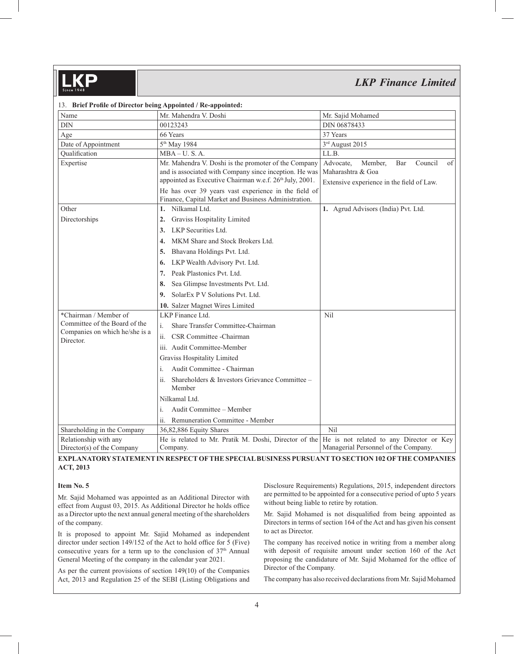| 13. Brief Profile of Director being Appointed / Re-appointed: |                                                                                                                                                                           |                                                                                                                |
|---------------------------------------------------------------|---------------------------------------------------------------------------------------------------------------------------------------------------------------------------|----------------------------------------------------------------------------------------------------------------|
| Name                                                          | Mr. Mahendra V. Doshi                                                                                                                                                     | Mr. Sajid Mohamed                                                                                              |
| <b>DIN</b>                                                    | 00123243                                                                                                                                                                  | DIN 06878433                                                                                                   |
| Age                                                           | 66 Years                                                                                                                                                                  | 37 Years                                                                                                       |
| Date of Appointment                                           | 5 <sup>th</sup> May 1984                                                                                                                                                  | 3rd August 2015                                                                                                |
| Qualification                                                 | $MBA-U. S. A.$                                                                                                                                                            | LL.B.                                                                                                          |
| Expertise                                                     | Mr. Mahendra V. Doshi is the promoter of the Company<br>and is associated with Company since inception. He was<br>appointed as Executive Chairman w.e.f. 26th July, 2001. | Council<br>Advocate.<br>Member,<br>Bar<br>of<br>Maharashtra & Goa<br>Extensive experience in the field of Law. |
|                                                               | He has over 39 years vast experience in the field of<br>Finance, Capital Market and Business Administration.                                                              |                                                                                                                |
| Other                                                         | Nilkamal Ltd.<br>1.                                                                                                                                                       | 1. Agrud Advisors (India) Pvt. Ltd.                                                                            |
| Directorships                                                 | Graviss Hospitality Limited<br>2.                                                                                                                                         |                                                                                                                |
|                                                               | LKP Securities Ltd.<br>3.                                                                                                                                                 |                                                                                                                |
|                                                               | MKM Share and Stock Brokers Ltd.<br>4.                                                                                                                                    |                                                                                                                |
|                                                               | Bhavana Holdings Pvt. Ltd.<br>5.                                                                                                                                          |                                                                                                                |
|                                                               | LKP Wealth Advisory Pvt. Ltd.<br>6.                                                                                                                                       |                                                                                                                |
|                                                               | Peak Plastonics Pvt. Ltd.<br>7.                                                                                                                                           |                                                                                                                |
|                                                               | Sea Glimpse Investments Pvt. Ltd.<br>8.                                                                                                                                   |                                                                                                                |
|                                                               | SolarEx P V Solutions Pvt. Ltd.<br>9.                                                                                                                                     |                                                                                                                |
|                                                               | 10. Salzer Magnet Wires Limited                                                                                                                                           |                                                                                                                |
| *Chairman / Member of                                         | LKP Finance Ltd.                                                                                                                                                          | Nil                                                                                                            |
| Committee of the Board of the                                 | i.<br>Share Transfer Committee-Chairman                                                                                                                                   |                                                                                                                |
| Companies on which he/she is a<br>Director.                   | CSR Committee - Chairman                                                                                                                                                  |                                                                                                                |
|                                                               | iii. Audit Committee-Member                                                                                                                                               |                                                                                                                |
|                                                               | Graviss Hospitality Limited                                                                                                                                               |                                                                                                                |
|                                                               | Audit Committee - Chairman<br>i.                                                                                                                                          |                                                                                                                |
|                                                               | Shareholders & Investors Grievance Committee -<br>ii.<br>Member                                                                                                           |                                                                                                                |
|                                                               | Nilkamal Ltd.                                                                                                                                                             |                                                                                                                |
|                                                               | Audit Committee - Member<br>i.                                                                                                                                            |                                                                                                                |
|                                                               | Remuneration Committee - Member<br>ii.                                                                                                                                    |                                                                                                                |
| Shareholding in the Company                                   | 36,82,886 Equity Shares                                                                                                                                                   | Nil                                                                                                            |
| Relationship with any<br>Director(s) of the Company           | He is related to Mr. Pratik M. Doshi, Director of the<br>Company.                                                                                                         | He is not related to any Director or Key<br>Managerial Personnel of the Company.                               |

## **EXPLANATORY STATEMENT IN RESPECT OF THE SPECIAL BUSINESS PURSUANT TO SECTION 102 OF THE COMPANIES ACT, 2013**

#### **Item No. 5**

Mr. Sajid Mohamed was appointed as an Additional Director with effect from August 03, 2015. As Additional Director he holds office as a Director upto the next annual general meeting of the shareholders of the company.

It is proposed to appoint Mr. Sajid Mohamed as independent director under section  $149/152$  of the Act to hold office for 5 (Five) consecutive years for a term up to the conclusion of  $37<sup>th</sup>$  Annual General Meeting of the company in the calendar year 2021.

As per the current provisions of section 149(10) of the Companies Act, 2013 and Regulation 25 of the SEBI (Listing Obligations and Disclosure Requirements) Regulations, 2015, independent directors are permitted to be appointed for a consecutive period of upto 5 years without being liable to retire by rotation.

Mr. Sajid Mohamed is not disqualified from being appointed as Directors in terms of section 164 of the Act and has given his consent to act as Director.

The company has received notice in writing from a member along with deposit of requisite amount under section 160 of the Act proposing the candidature of Mr. Sajid Mohamed for the office of Director of the Company.

The company has also received declarations from Mr. Sajid Mohamed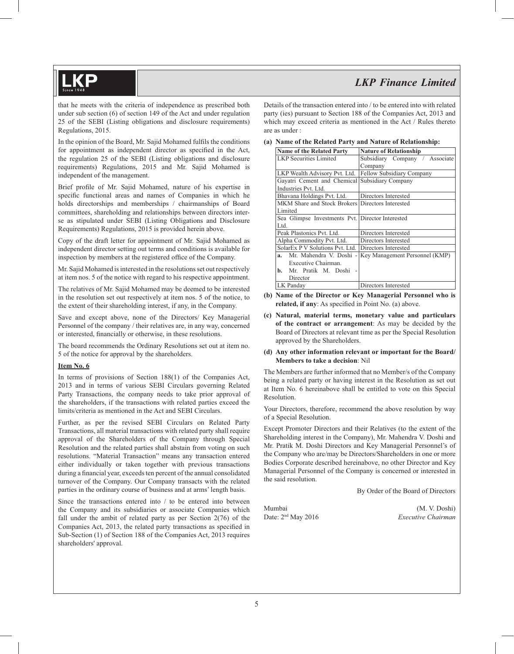that he meets with the criteria of independence as prescribed both under sub section (6) of section 149 of the Act and under regulation 25 of the SEBI (Listing obligations and disclosure requirements) Regulations, 2015.

In the opinion of the Board, Mr. Sajid Mohamed fulfils the conditions for appointment as independent director as specified in the Act, the regulation 25 of the SEBI (Listing obligations and disclosure requirements) Regulations, 2015 and Mr. Sajid Mohamed is independent of the management.

Brief profile of Mr. Sajid Mohamed, nature of his expertise in specific functional areas and names of Companies in which he holds directorships and memberships / chairmanships of Board committees, shareholding and relationships between directors interse as stipulated under SEBI (Listing Obligations and Disclosure Requirements) Regulations, 2015 is provided herein above.

Copy of the draft letter for appointment of Mr. Sajid Mohamed as independent director setting out terms and conditions is available for inspection by members at the registered office of the Company.

Mr. Sajid Mohamed is interested in the resolutions set out respectively at item nos. 5 of the notice with regard to his respective appointment.

The relatives of Mr. Sajid Mohamed may be deemed to be interested in the resolution set out respectively at item nos. 5 of the notice, to the extent of their shareholding interest, if any, in the Company.

Save and except above, none of the Directors/ Key Managerial Personnel of the company / their relatives are, in any way, concerned or interested, financially or otherwise, in these resolutions.

The board recommends the Ordinary Resolutions set out at item no. 5 of the notice for approval by the shareholders.

#### **Item No. 6**

In terms of provisions of Section 188(1) of the Companies Act, 2013 and in terms of various SEBI Circulars governing Related Party Transactions, the company needs to take prior approval of the shareholders, if the transactions with related parties exceed the limits/criteria as mentioned in the Act and SEBI Circulars.

Further, as per the revised SEBI Circulars on Related Party Transactions, all material transactions with related party shall require approval of the Shareholders of the Company through Special Resolution and the related parties shall abstain from voting on such resolutions. "Material Transaction" means any transaction entered either individually or taken together with previous transactions during a financial year, exceeds ten percent of the annual consolidated turnover of the Company. Our Company transacts with the related parties in the ordinary course of business and at arms' length basis.

Since the transactions entered into / to be entered into between the Company and its subsidiaries or associate Companies which fall under the ambit of related party as per Section 2(76) of the Companies Act, 2013, the related party transactions as specified in Sub-Section (1) of Section 188 of the Companies Act, 2013 requires shareholders' approval.

Details of the transaction entered into / to be entered into with related party (ies) pursuant to Section 188 of the Companies Act, 2013 and which may exceed criteria as mentioned in the Act / Rules thereto are as under :

|  |  | (a) Name of the Related Party and Nature of Relationship: |
|--|--|-----------------------------------------------------------|
|  |  |                                                           |

| <b>Name of the Related Party</b>                 | <b>Nature of Relationship</b>  |
|--------------------------------------------------|--------------------------------|
| <b>LKP</b> Securities Limited                    | Subsidiary Company / Associate |
|                                                  | Company                        |
| LKP Wealth Advisory Pvt. Ltd.                    | Fellow Subsidiary Company      |
| Gayatri Cement and Chemical Subsidiary Company   |                                |
| Industries Pvt. Ltd.                             |                                |
| Bhavana Holdings Pvt. Ltd.                       | Directors Interested           |
| MKM Share and Stock Brokers Directors Interested |                                |
| Limited                                          |                                |
| Sea Glimpse Investments Pvt. Director Interested |                                |
| Ltd.                                             |                                |
| Peak Plastonics Pvt. Ltd.                        | Directors Interested           |
| Alpha Commodity Pvt. Ltd.                        | Directors Interested           |
| SolarEx P V Solutions Pvt. Ltd.                  | Directors Interested           |
| Mr. Mahendra V. Doshi -<br>a.                    | Key Management Personnel (KMP) |
| Executive Chairman.                              |                                |
| Mr. Pratik M. Doshi<br>b.                        |                                |
| Director                                         |                                |
| LK Panday                                        | Directors Interested           |

- **(b) Name of the Director or Key Managerial Personnel who is related, if any**: As specified in Point No. (a) above.
- **(c) Natural, material terms, monetary value and particulars of the contract or arrangement**: As may be decided by the Board of Directors at relevant time as per the Special Resolution approved by the Shareholders.

#### **(d) Any other information relevant or important for the Board/ Members to take a decision**: Nil

The Members are further informed that no Member/s of the Company being a related party or having interest in the Resolution as set out at Item No. 6 hereinabove shall be entitled to vote on this Special Resolution.

Your Directors, therefore, recommend the above resolution by way of a Special Resolution.

Except Promoter Directors and their Relatives (to the extent of the Shareholding interest in the Company), Mr. Mahendra V. Doshi and Mr. Pratik M. Doshi Directors and Key Managerial Personnel's of the Company who are/may be Directors/Shareholders in one or more Bodies Corporate described hereinabove, no other Director and Key Managerial Personnel of the Company is concerned or interested in the said resolution.

By Order of the Board of Directors

Mumbai (M. V. Doshi)<br>Date: 2<sup>nd</sup> May 2016 *Executive Chairman* Date: 2<sup>nd</sup> May 2016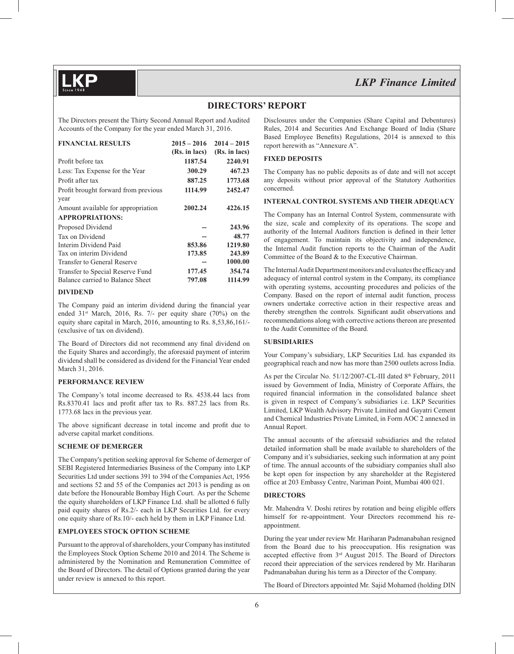## **DIRECTORS' REPORT**

The Directors present the Thirty Second Annual Report and Audited Accounts of the Company for the year ended March 31, 2016.

| <b>FINANCIAL RESULTS</b>             | $2015 - 2016$<br>(Rs. in lacs) | $2014 - 2015$<br>(Rs. in lacs) |
|--------------------------------------|--------------------------------|--------------------------------|
| Profit before tax                    | 1187.54                        | 2240.91                        |
| Less: Tax Expense for the Year       | 300.29                         | 467.23                         |
| Profit after tax                     | 887.25                         | 1773.68                        |
| Profit brought forward from previous | 1114.99                        | 2452.47                        |
| year                                 |                                |                                |
| Amount available for appropriation   | 2002.24                        | 4226.15                        |
| <b>APPROPRIATIONS:</b>               |                                |                                |
| Proposed Dividend                    |                                | 243.96                         |
| Tax on Dividend                      |                                | 48.77                          |
| Interim Dividend Paid                | 853.86                         | 1219.80                        |
| Tax on interim Dividend              | 173.85                         | 243.89                         |
| Transfer to General Reserve          |                                | 1000.00                        |
| Transfer to Special Reserve Fund     | 177.45                         | 354.74                         |
| Balance carried to Balance Sheet     | 797.08                         | 1114.99                        |

#### **DIVIDEND**

The Company paid an interim dividend during the financial year ended  $31<sup>st</sup>$  March, 2016, Rs. 7/- per equity share (70%) on the equity share capital in March, 2016, amounting to Rs. 8,53,86,161/- (exclusive of tax on dividend).

The Board of Directors did not recommend any final dividend on the Equity Shares and accordingly, the aforesaid payment of interim dividend shall be considered as dividend for the Financial Year ended March 31, 2016.

#### **PERFORMANCE REVIEW**

The Company's total income decreased to Rs. 4538.44 lacs from Rs.8370.41 lacs and profit after tax to Rs. 887.25 lacs from Rs. 1773.68 lacs in the previous year.

The above significant decrease in total income and profit due to adverse capital market conditions.

#### **SCHEME OF DEMERGER**

The Company's petition seeking approval for Scheme of demerger of SEBI Registered Intermediaries Business of the Company into LKP Securities Ltd under sections 391 to 394 of the Companies Act, 1956 and sections 52 and 55 of the Companies act 2013 is pending as on date before the Honourable Bombay High Court. As per the Scheme the equity shareholders of LKP Finance Ltd. shall be allotted 6 fully paid equity shares of Rs.2/- each in LKP Securities Ltd. for every one equity share of Rs.10/- each held by them in LKP Finance Ltd.

#### **EMPLOYEES STOCK OPTION SCHEME**

Pursuant to the approval of shareholders, your Company has instituted the Employees Stock Option Scheme 2010 and 2014. The Scheme is administered by the Nomination and Remuneration Committee of the Board of Directors. The detail of Options granted during the year under review is annexed to this report.

Disclosures under the Companies (Share Capital and Debentures) Rules, 2014 and Securities And Exchange Board of India (Share Based Employee Benefits) Regulations, 2014 is annexed to this report herewith as "Annexure A".

#### **FIXED DEPOSITS**

The Company has no public deposits as of date and will not accept any deposits without prior approval of the Statutory Authorities concerned.

#### **INTERNAL CONTROL SYSTEMS AND THEIR ADEQUACY**

The Company has an Internal Control System, commensurate with the size, scale and complexity of its operations. The scope and authority of the Internal Auditors function is defined in their letter of engagement. To maintain its objectivity and independence, the Internal Audit function reports to the Chairman of the Audit Committee of the Board & to the Executive Chairman.

The Internal Audit Department monitors and evaluates the efficacy and adequacy of internal control system in the Company, its compliance with operating systems, accounting procedures and policies of the Company. Based on the report of internal audit function, process owners undertake corrective action in their respective areas and thereby strengthen the controls. Significant audit observations and recommendations along with corrective actions thereon are presented to the Audit Committee of the Board.

#### **SUBSIDIARIES**

Your Company's subsidiary, LKP Securities Ltd. has expanded its geographical reach and now has more than 2500 outlets across India.

As per the Circular No. 51/12/2007-CL-III dated 8<sup>th</sup> February, 2011 issued by Government of India, Ministry of Corporate Affairs, the required financial information in the consolidated balance sheet is given in respect of Company's subsidiaries i.e. LKP Securities Limited, LKP Wealth Advisory Private Limited and Gayatri Cement and Chemical Industries Private Limited, in Form AOC 2 annexed in Annual Report.

The annual accounts of the aforesaid subsidiaries and the related detailed information shall be made available to shareholders of the Company and it's subsidiaries, seeking such information at any point of time. The annual accounts of the subsidiary companies shall also be kept open for inspection by any shareholder at the Registered office at 203 Embassy Centre, Nariman Point, Mumbai 400 021.

### **DIRECTORS**

Mr. Mahendra V. Doshi retires by rotation and being eligible offers himself for re-appointment. Your Directors recommend his reappointment.

During the year under review Mr. Hariharan Padmanabahan resigned from the Board due to his preoccupation. His resignation was accepted effective from 3rd August 2015. The Board of Directors record their appreciation of the services rendered by Mr. Hariharan Padmanabahan during his term as a Director of the Company.

The Board of Directors appointed Mr. Sajid Mohamed (holding DIN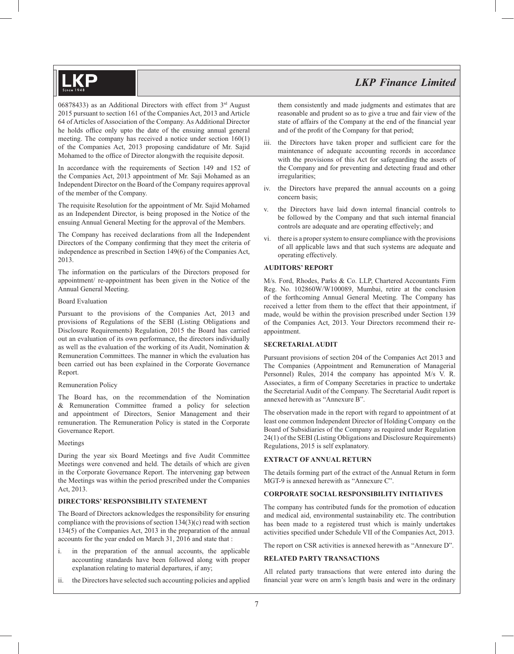06878433) as an Additional Directors with effect from 3rd August 2015 pursuant to section 161 of the Companies Act, 2013 and Article 64 of Articles of Association of the Company. As Additional Director he holds office only upto the date of the ensuing annual general meeting. The company has received a notice under section 160(1) of the Companies Act, 2013 proposing candidature of Mr. Sajid Mohamed to the office of Director alongwith the requisite deposit.

In accordance with the requirements of Section 149 and 152 of the Companies Act, 2013 appointment of Mr. Saji Mohamed as an Independent Director on the Board of the Company requires approval of the member of the Company.

The requisite Resolution for the appointment of Mr. Sajid Mohamed as an Independent Director, is being proposed in the Notice of the ensuing Annual General Meeting for the approval of the Members.

The Company has received declarations from all the Independent Directors of the Company confirming that they meet the criteria of independence as prescribed in Section 149(6) of the Companies Act, 2013.

The information on the particulars of the Directors proposed for appointment/ re-appointment has been given in the Notice of the Annual General Meeting.

#### Board Evaluation

Pursuant to the provisions of the Companies Act, 2013 and provisions of Regulations of the SEBI (Listing Obligations and Disclosure Requirements) Regulation, 2015 the Board has carried out an evaluation of its own performance, the directors individually as well as the evaluation of the working of its Audit, Nomination & Remuneration Committees. The manner in which the evaluation has been carried out has been explained in the Corporate Governance Report.

#### Remuneration Policy

The Board has, on the recommendation of the Nomination & Remuneration Committee framed a policy for selection and appointment of Directors, Senior Management and their remuneration. The Remuneration Policy is stated in the Corporate Governance Report.

### Meetings

During the year six Board Meetings and five Audit Committee Meetings were convened and held. The details of which are given in the Corporate Governance Report. The intervening gap between the Meetings was within the period prescribed under the Companies Act, 2013.

#### **DIRECTORS' RESPONSIBILITY STATEMENT**

The Board of Directors acknowledges the responsibility for ensuring compliance with the provisions of section 134(3)(c) read with section 134(5) of the Companies Act, 2013 in the preparation of the annual accounts for the year ended on March 31, 2016 and state that :

- i. in the preparation of the annual accounts, the applicable accounting standards have been followed along with proper explanation relating to material departures, if any;
- ii. the Directors have selected such accounting policies and applied

them consistently and made judgments and estimates that are reasonable and prudent so as to give a true and fair view of the state of affairs of the Company at the end of the financial year and of the profit of the Company for that period;

- iii. the Directors have taken proper and sufficient care for the maintenance of adequate accounting records in accordance with the provisions of this Act for safeguarding the assets of the Company and for preventing and detecting fraud and other irregularities;
- iv. the Directors have prepared the annual accounts on a going concern basis;
- v. the Directors have laid down internal financial controls to be followed by the Company and that such internal financial controls are adequate and are operating effectively; and
- vi. there is a proper system to ensure compliance with the provisions of all applicable laws and that such systems are adequate and operating effectively.

#### **AUDITORS' REPORT**

M/s. Ford, Rhodes, Parks & Co. LLP, Chartered Accountants Firm Reg. No. 102860W/W100089, Mumbai, retire at the conclusion of the forthcoming Annual General Meeting. The Company has received a letter from them to the effect that their appointment, if made, would be within the provision prescribed under Section 139 of the Companies Act, 2013. Your Directors recommend their reappointment.

#### **SECRETARIAL AUDIT**

Pursuant provisions of section 204 of the Companies Act 2013 and The Companies (Appointment and Remuneration of Managerial Personnel) Rules, 2014 the company has appointed M/s V. R. Associates, a firm of Company Secretaries in practice to undertake the Secretarial Audit of the Company. The Secretarial Audit report is annexed herewith as "Annexure B".

The observation made in the report with regard to appointment of at least one common Independent Director of Holding Company on the Board of Subsidiaries of the Company as required under Regulation 24(1) of the SEBI (Listing Obligations and Disclosure Requirements) Regulations, 2015 is self explanatory.

#### **EXTRACT OF ANNUAL RETURN**

The details forming part of the extract of the Annual Return in form MGT-9 is annexed herewith as "Annexure C".

#### **CORPORATE SOCIAL RESPONSIBILITY INITIATIVES**

The company has contributed funds for the promotion of education and medical aid, environmental sustainability etc. The contribution has been made to a registered trust which is mainly undertakes activities specified under Schedule VII of the Companies Act, 2013.

The report on CSR activities is annexed herewith as "Annexure D".

#### **RELATED PARTY TRANSACTIONS**

All related party transactions that were entered into during the financial year were on arm's length basis and were in the ordinary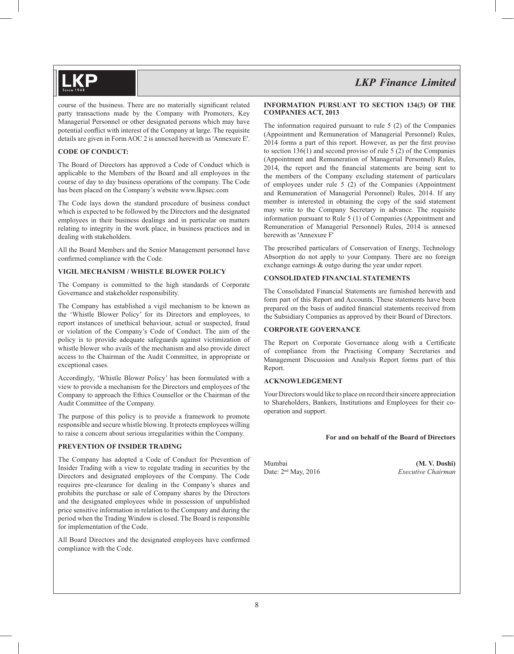course of the business. There are no materially significant related party transactions made by the Company with Promoters, Key Managerial Personnel or other designated persons which may have potential conflict with interest of the Company at large. The requisite details are given in Form AOC 2 is annexed herewith as 'Annexure E'.

#### **CODE OF CONDUCT:**

The Board of Directors has approved a Code of Conduct which is applicable to the Members of the Board and all employees in the course of day to day business operations of the company. The Code has been placed on the Company's website www.lkpsec.com

The Code lays down the standard procedure of business conduct which is expected to be followed by the Directors and the designated employees in their business dealings and in particular on matters relating to integrity in the work place, in business practices and in dealing with stakeholders.

All the Board Members and the Senior Management personnel have confirmed compliance with the Code.

### **VIGIL MECHANISM / WHISTLE BLOWER POLICY**

The Company is committed to the high standards of Corporate Governance and stakeholder responsibility.

The Company has established a vigil mechanism to be known as the 'Whistle Blower Policy' for its Directors and employees, to report instances of unethical behaviour, actual or suspected, fraud or violation of the Company's Code of Conduct. The aim of the policy is to provide adequate safeguards against victimization of whistle blower who avails of the mechanism and also provide direct access to the Chairman of the Audit Committee, in appropriate or exceptional cases.

Accordingly, 'Whistle Blower Policy' has been formulated with a view to provide a mechanism for the Directors and employees of the Company to approach the Ethics Counsellor or the Chairman of the Audit Committee of the Company.

The purpose of this policy is to provide a framework to promote responsible and secure whistle blowing. It protects employees willing to raise a concern about serious irregularities within the Company.

#### **PREVENTION OF INSIDER TRADING**

The Company has adopted a Code of Conduct for Prevention of Insider Trading with a view to regulate trading in securities by the Directors and designated employees of the Company. The Code requires pre-clearance for dealing in the Company's shares and prohibits the purchase or sale of Company shares by the Directors and the designated employees while in possession of unpublished price sensitive information in relation to the Company and during the period when the Trading Window is closed. The Board is responsible for implementation of the Code.

All Board Directors and the designated employees have confirmed compliance with the Code.

#### **INFORMATION PURSUANT TO SECTION 134(3) OF THE COMPANIES ACT, 2013**

The information required pursuant to rule 5 (2) of the Companies (Appointment and Remuneration of Managerial Personnel) Rules, 2014 forms a part of this report. However, as per the first proviso to section 136(1) and second proviso of rule 5 (2) of the Companies (Appointment and Remuneration of Managerial Personnel) Rules, 2014, the report and the financial statements are being sent to the members of the Company excluding statement of particulars of employees under rule 5 (2) of the Companies (Appointment and Remuneration of Managerial Personnel) Rules, 2014. If any member is interested in obtaining the copy of the said statement may write to the Company Secretary in advance. The requisite information pursuant to Rule 5 (1) of Companies (Appointment and Remuneration of Managerial Personnel) Rules, 2014 is annexed herewith as 'Annexure F'

The prescribed particulars of Conservation of Energy, Technology Absorption do not apply to your Company. There are no foreign exchange earnings & outgo during the year under report.

### **CONSOLIDATED FINANCIAL STATEMENTS**

The Consolidated Financial Statements are furnished herewith and form part of this Report and Accounts. These statements have been prepared on the basis of audited financial statements received from the Subsidiary Companies as approved by their Board of Directors.

### **CORPORATE GOVERNANCE**

The Report on Corporate Governance along with a Certificate of compliance from the Practising Company Secretaries and Management Discussion and Analysis Report forms part of this Report.

### **ACKNOWLEDGEMENT**

Your Directors would like to place on record their sincere appreciation to Shareholders, Bankers, Institutions and Employees for their cooperation and support.

#### **For and on behalf of the Board of Directors**

Mumbai **(M. V. Doshi)**<br>Date: 2<sup>nd</sup> May. 2016 *Executive Chairman* Date: 2<sup>nd</sup> May, 2016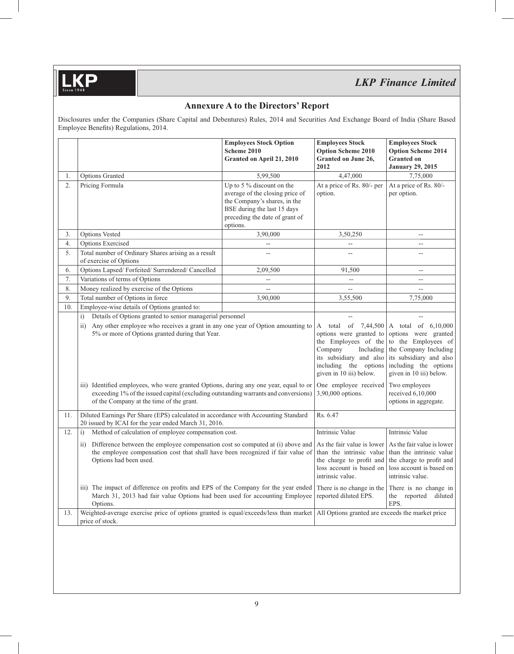**.KP** 

# *LKP Finance Limited*

## **Annexure A to the Directors' Report**

Disclosures under the Companies (Share Capital and Debentures) Rules, 2014 and Securities And Exchange Board of India (Share Based Employee Benefits) Regulations, 2014.

|     |                                                                                                                                                                                                                                                                                                                       | <b>Employees Stock Option</b><br>Scheme 2010<br>Granted on April 21, 2010                                                                                                                                                      | <b>Employees Stock</b><br><b>Option Scheme 2010</b><br>Granted on June 26,<br>2012                                                                                                                               | <b>Employees Stock</b><br><b>Option Scheme 2014</b><br><b>Granted on</b><br><b>January 29, 2015</b> |
|-----|-----------------------------------------------------------------------------------------------------------------------------------------------------------------------------------------------------------------------------------------------------------------------------------------------------------------------|--------------------------------------------------------------------------------------------------------------------------------------------------------------------------------------------------------------------------------|------------------------------------------------------------------------------------------------------------------------------------------------------------------------------------------------------------------|-----------------------------------------------------------------------------------------------------|
| 1.  | Options Granted                                                                                                                                                                                                                                                                                                       | 5,99,500                                                                                                                                                                                                                       | 4,47,000                                                                                                                                                                                                         | 7,75,000                                                                                            |
| 2.  | Pricing Formula                                                                                                                                                                                                                                                                                                       | Up to 5 $\%$ discount on the<br>average of the closing price of<br>the Company's shares, in the<br>BSE during the last 15 days<br>preceding the date of grant of<br>options.                                                   | At a price of Rs. 80/- per<br>option.                                                                                                                                                                            | At a price of Rs. 80/-<br>per option.                                                               |
| 3.  | <b>Options Vested</b>                                                                                                                                                                                                                                                                                                 | 3,90,000                                                                                                                                                                                                                       | 3,50,250                                                                                                                                                                                                         | --                                                                                                  |
| 4.  | <b>Options Exercised</b>                                                                                                                                                                                                                                                                                              |                                                                                                                                                                                                                                |                                                                                                                                                                                                                  | Ξ.                                                                                                  |
| 5.  | Total number of Ordinary Shares arising as a result<br>of exercise of Options                                                                                                                                                                                                                                         | Ξ.                                                                                                                                                                                                                             | --                                                                                                                                                                                                               | $-$                                                                                                 |
| 6.  | Options Lapsed/Forfeited/Surrendered/Cancelled                                                                                                                                                                                                                                                                        | 2,09,500                                                                                                                                                                                                                       | 91,500                                                                                                                                                                                                           | $\mathbf{u}$                                                                                        |
| 7.  | Variations of terms of Options                                                                                                                                                                                                                                                                                        | LL.                                                                                                                                                                                                                            | $\overline{a}$                                                                                                                                                                                                   | $\overline{\phantom{0}}$                                                                            |
| 8.  | Money realized by exercise of the Options                                                                                                                                                                                                                                                                             | ÷-                                                                                                                                                                                                                             | LL.                                                                                                                                                                                                              | $\overline{a}$                                                                                      |
| 9.  | Total number of Options in force                                                                                                                                                                                                                                                                                      | 3,90,000                                                                                                                                                                                                                       | 3,55,500                                                                                                                                                                                                         | 7,75,000                                                                                            |
| 10. | Employee-wise details of Options granted to:<br>Details of Options granted to senior managerial personnel<br>i)                                                                                                                                                                                                       |                                                                                                                                                                                                                                |                                                                                                                                                                                                                  |                                                                                                     |
|     | ii) Any other employee who receives a grant in any one year of Option amounting to<br>5% or more of Options granted during that Year.<br>iii) Identified employees, who were granted Options, during any one year, equal to or<br>exceeding 1% of the issued capital (excluding outstanding warrants and conversions) | total of 7,44,500<br>A<br>options were granted to<br>the Employees of the<br>Company<br>Including<br>its subsidiary and also<br>including the options<br>given in 10 iii) below.<br>One employee received<br>3,90,000 options. | A total of 6,10,000<br>options were granted<br>to the Employees of<br>the Company Including<br>its subsidiary and also<br>including the options<br>given in 10 iii) below.<br>Two employees<br>received 6,10,000 |                                                                                                     |
| 11. | of the Company at the time of the grant.<br>Diluted Earnings Per Share (EPS) calculated in accordance with Accounting Standard<br>20 issued by ICAI for the year ended March 31, 2016.                                                                                                                                | Rs. 6.47                                                                                                                                                                                                                       | options in aggregate.                                                                                                                                                                                            |                                                                                                     |
| 12. | Method of calculation of employee compensation cost.<br>i)                                                                                                                                                                                                                                                            |                                                                                                                                                                                                                                | Intrinsic Value                                                                                                                                                                                                  | Intrinsic Value                                                                                     |
|     | Difference between the employee compensation cost so computed at (i) above and<br>$\overline{11}$ )<br>the employee compensation cost that shall have been recognized if fair value of<br>Options had been used.                                                                                                      | As the fair value is lower<br>than the intrinsic value<br>the charge to profit and<br>loss account is based on<br>intrinsic value.                                                                                             | As the fair value is lower<br>than the intrinsic value<br>the charge to profit and<br>loss account is based on<br>intrinsic value.                                                                               |                                                                                                     |
|     | iii) The impact of difference on profits and EPS of the Company for the year ended<br>March 31, 2013 had fair value Options had been used for accounting Employee<br>Options.                                                                                                                                         | There is no change in the<br>reported diluted EPS.                                                                                                                                                                             | There is no change in<br>the reported<br>diluted<br>EPS.                                                                                                                                                         |                                                                                                     |
| 13. | Weighted-average exercise price of options granted is equal/exceeds/less than market<br>price of stock.                                                                                                                                                                                                               |                                                                                                                                                                                                                                | All Options granted are exceeds the market price                                                                                                                                                                 |                                                                                                     |
|     |                                                                                                                                                                                                                                                                                                                       |                                                                                                                                                                                                                                |                                                                                                                                                                                                                  |                                                                                                     |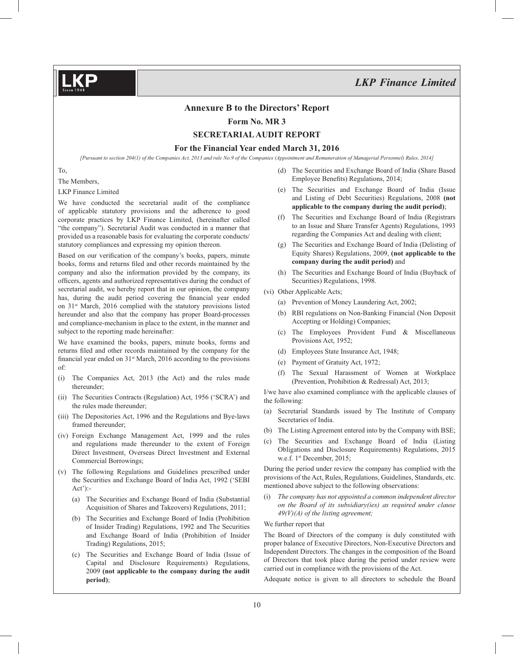#### **Annexure B to the Directors' Report**

**Form No. MR 3**

### **SECRETARIAL AUDIT REPORT**

**For the Financial Year ended March 31, 2016**

*[Pursuant to section 204(1) of the Companies Act, 2013 and rule No.9 of the Companies (Appointment and Remuneration of Managerial Personnel) Rules, 2014]*

To,

The Members,

LKP Finance Limited

We have conducted the secretarial audit of the compliance of applicable statutory provisions and the adherence to good corporate practices by LKP Finance Limited, (hereinafter called "the company"). Secretarial Audit was conducted in a manner that provided us a reasonable basis for evaluating the corporate conducts/ statutory compliances and expressing my opinion thereon.

Based on our verification of the company's books, papers, minute books, forms and returns filed and other records maintained by the company and also the information provided by the company, its officers, agents and authorized representatives during the conduct of secretarial audit, we hereby report that in our opinion, the company has, during the audit period covering the financial year ended on 31st March, 2016 complied with the statutory provisions listed hereunder and also that the company has proper Board-processes and compliance-mechanism in place to the extent, in the manner and subject to the reporting made hereinafter:

We have examined the books, papers, minute books, forms and returns filed and other records maintained by the company for the financial year ended on  $31<sup>st</sup>$  March, 2016 according to the provisions of:

- (i) The Companies Act, 2013 (the Act) and the rules made thereunder;
- (ii) The Securities Contracts (Regulation) Act, 1956 ('SCRA') and the rules made thereunder;
- (iii) The Depositories Act, 1996 and the Regulations and Bye-laws framed thereunder;
- (iv) Foreign Exchange Management Act, 1999 and the rules and regulations made thereunder to the extent of Foreign Direct Investment, Overseas Direct Investment and External Commercial Borrowings;
- (v) The following Regulations and Guidelines prescribed under the Securities and Exchange Board of India Act, 1992 ('SEBI Act'):-
	- (a) The Securities and Exchange Board of India (Substantial Acquisition of Shares and Takeovers) Regulations, 2011;
	- (b) The Securities and Exchange Board of India (Prohibition of Insider Trading) Regulations, 1992 and The Securities and Exchange Board of India (Prohibition of Insider Trading) Regulations, 2015;
	- (c) The Securities and Exchange Board of India (Issue of Capital and Disclosure Requirements) Regulations, 2009 **(not applicable to the company during the audit period)**;
- (d) The Securities and Exchange Board of India (Share Based Employee Benefits) Regulations, 2014;
- (e) The Securities and Exchange Board of India (Issue and Listing of Debt Securities) Regulations, 2008 **(not applicable to the company during the audit period)**;
- (f) The Securities and Exchange Board of India (Registrars to an Issue and Share Transfer Agents) Regulations, 1993 regarding the Companies Act and dealing with client;
- (g) The Securities and Exchange Board of India (Delisting of Equity Shares) Regulations, 2009, **(not applicable to the company during the audit period)** and
- (h) The Securities and Exchange Board of India (Buyback of Securities) Regulations, 1998.
- (vi) Other Applicable Acts;
	- (a) Prevention of Money Laundering Act, 2002;
	- (b) RBI regulations on Non-Banking Financial (Non Deposit Accepting or Holding) Companies;
	- (c) The Employees Provident Fund & Miscellaneous Provisions Act, 1952;
	- (d) Employees State Insurance Act, 1948;
	- (e) Payment of Gratuity Act, 1972;
	- (f) The Sexual Harassment of Women at Workplace (Prevention, Prohibition & Redressal) Act, 2013;

I/we have also examined compliance with the applicable clauses of the following:

- (a) Secretarial Standards issued by The Institute of Company Secretaries of India.
- (b) The Listing Agreement entered into by the Company with BSE;
- (c) The Securities and Exchange Board of India (Listing Obligations and Disclosure Requirements) Regulations, 2015 w.e.f. 1<sup>st</sup> December, 2015;

During the period under review the company has complied with the provisions of the Act, Rules, Regulations, Guidelines, Standards, etc. mentioned above subject to the following observations:

(i) *The company has not appointed a common independent director on the Board of its subsidiary(ies) as required under clause 49(V)(A) of the listing agreement;*

#### We further report that

The Board of Directors of the company is duly constituted with proper balance of Executive Directors, Non-Executive Directors and Independent Directors. The changes in the composition of the Board of Directors that took place during the period under review were carried out in compliance with the provisions of the Act.

Adequate notice is given to all directors to schedule the Board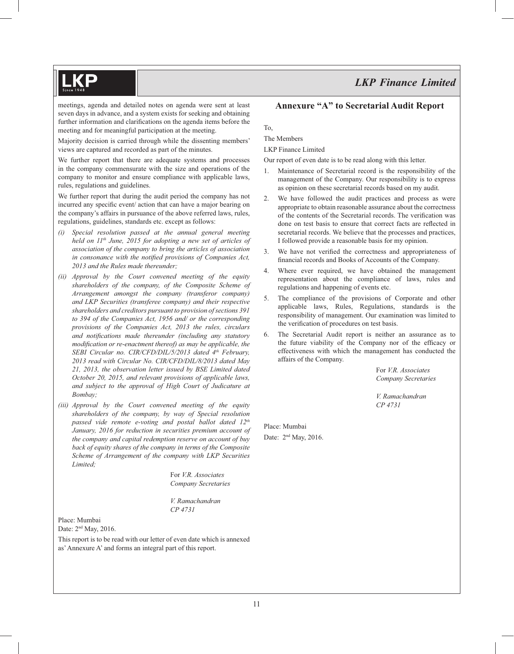meetings, agenda and detailed notes on agenda were sent at least seven days in advance, and a system exists for seeking and obtaining further information and clarifications on the agenda items before the meeting and for meaningful participation at the meeting.

Majority decision is carried through while the dissenting members' views are captured and recorded as part of the minutes.

We further report that there are adequate systems and processes in the company commensurate with the size and operations of the company to monitor and ensure compliance with applicable laws, rules, regulations and guidelines.

We further report that during the audit period the company has not incurred any specific event/ action that can have a major bearing on the company's affairs in pursuance of the above referred laws, rules, regulations, guidelines, standards etc. except as follows:

- *(i) Special resolution passed at the annual general meeting held on*  $11<sup>th</sup>$  *June, 2015 for adopting a new set of articles of association of the company to bring the articles of association*  in consonance with the notified provisions of Companies Act, *2013 and the Rules made thereunder;*
- *(ii) Approval by the Court convened meeting of the equity shareholders of the company, of the Composite Scheme of Arrangement amongst the company (transferor company) and LKP Securities (transferee company) and their respective shareholders and creditors pursuant to provision of sections 391 to 394 of the Companies Act, 1956 and/ or the corresponding provisions of the Companies Act, 2013 the rules, circulars and notifications made thereunder (including any statutory modification or re-enactment thereof) as may be applicable, the SEBI Circular no. CIR/CFD/DIL/5/2013 dated 4th February, 2013 read with Circular No. CIR/CFD/DIL/8/2013 dated May 21, 2013, the observation letter issued by BSE Limited dated October 20, 2015, and relevant provisions of applicable laws, and subject to the approval of High Court of Judicature at Bombay;*
- *(iii) Approval by the Court convened meeting of the equity shareholders of the company, by way of Special resolution passed vide remote e-voting and postal ballot dated 12th January, 2016 for reduction in securities premium account of the company and capital redemption reserve on account of buy back of equity shares of the company in terms of the Composite Scheme of Arrangement of the company with LKP Securities Limited;*

 For *V.R. Associates Company Secretaries*

 *V. Ramachandran CP 4731*

Place: Mumbai Date: 2nd May, 2016.

This report is to be read with our letter of even date which is annexed as' Annexure A' and forms an integral part of this report.

## **Annexure "A" to Secretarial Audit Report**

To,

The Members

LKP Finance Limited

Our report of even date is to be read along with this letter.

- 1. Maintenance of Secretarial record is the responsibility of the management of the Company. Our responsibility is to express as opinion on these secretarial records based on my audit.
- 2. We have followed the audit practices and process as were appropriate to obtain reasonable assurance about the correctness of the contents of the Secretarial records. The verification was done on test basis to ensure that correct facts are reflected in secretarial records. We believe that the processes and practices, I followed provide a reasonable basis for my opinion.
- 3. We have not verified the correctness and appropriateness of financial records and Books of Accounts of the Company.
- 4. Where ever required, we have obtained the management representation about the compliance of laws, rules and regulations and happening of events etc.
- 5. The compliance of the provisions of Corporate and other applicable laws, Rules, Regulations, standards is the responsibility of management. Our examination was limited to the verification of procedures on test basis.
- 6. The Secretarial Audit report is neither an assurance as to the future viability of the Company nor of the efficacy or effectiveness with which the management has conducted the affairs of the Company.

 For *V.R. Associates Company Secretaries*

 *V. Ramachandran CP 4731*

Place: Mumbai Date: 2<sup>nd</sup> May, 2016.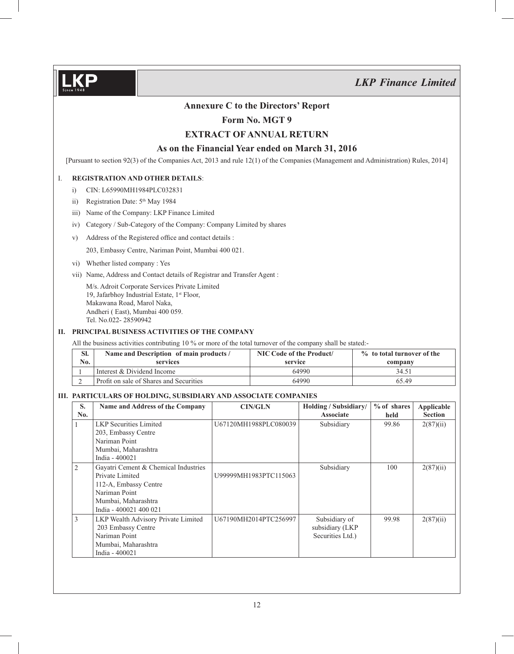## **Annexure C to the Directors' Report**

## **Form No. MGT 9**

## **EXTRACT OF ANNUAL RETURN**

## **As on the Financial Year ended on March 31, 2016**

[Pursuant to section 92(3) of the Companies Act, 2013 and rule 12(1) of the Companies (Management and Administration) Rules, 2014]

#### I. **REGISTRATION AND OTHER DETAILS**:

- i) CIN: L65990MH1984PLC032831
- ii) Registration Date: 5<sup>th</sup> May 1984
- iii) Name of the Company: LKP Finance Limited
- iv) Category / Sub-Category of the Company: Company Limited by shares
- v) Address of the Registered office and contact details :

203, Embassy Centre, Nariman Point, Mumbai 400 021.

- vi) Whether listed company : Yes
- vii) Name, Address and Contact details of Registrar and Transfer Agent :

 M/s. Adroit Corporate Services Private Limited 19, Jafarbhoy Industrial Estate, 1<sup>st</sup> Floor, Makawana Road, Marol Naka, Andheri ( East), Mumbai 400 059. Tel. No.022- 28590942

#### **II. PRINCIPAL BUSINESS ACTIVITIES OF THE COMPANY**

All the business activities contributing 10 % or more of the total turnover of the company shall be stated:-

| SI.<br>$\mathbf{N}\mathbf{0}$ . | Name and Description of main products /<br>services | NIC Code of the Product/<br>service | % to total turnover of the<br>company |
|---------------------------------|-----------------------------------------------------|-------------------------------------|---------------------------------------|
|                                 | Interest & Dividend Income                          | 64990                               | 34.51                                 |
|                                 | Profit on sale of Shares and Securities             | 64990                               | 65.49                                 |

### **III. PARTICULARS OF HOLDING, SUBSIDIARY AND ASSOCIATE COMPANIES**

| Name and Address of the Company      | <b>CIN/GLN</b>        | Holding / Subsidiary/ | $%$ of shares | Applicable     |
|--------------------------------------|-----------------------|-----------------------|---------------|----------------|
|                                      |                       | <b>Associate</b>      | held          | <b>Section</b> |
| <b>LKP</b> Securities Limited        | U67120MH1988PLC080039 | Subsidiary            | 99.86         | 2(87)(ii)      |
| 203, Embassy Centre                  |                       |                       |               |                |
| Nariman Point                        |                       |                       |               |                |
| Mumbai, Maharashtra                  |                       |                       |               |                |
| India - 400021                       |                       |                       |               |                |
| Gayatri Cement & Chemical Industries |                       | Subsidiary            | 100           | 2(87)(ii)      |
| Private Limited                      | U99999MH1983PTC115063 |                       |               |                |
| 112-A, Embassy Centre                |                       |                       |               |                |
| Nariman Point                        |                       |                       |               |                |
| Mumbai, Maharashtra                  |                       |                       |               |                |
| India - 400021 400 021               |                       |                       |               |                |
| LKP Wealth Advisory Private Limited  | U67190MH2014PTC256997 | Subsidiary of         | 99.98         | 2(87)(ii)      |
| 203 Embassy Centre                   |                       | subsidiary (LKP       |               |                |
| Nariman Point                        |                       | Securities Ltd.)      |               |                |
| Mumbai, Maharashtra                  |                       |                       |               |                |
| India - 400021                       |                       |                       |               |                |
|                                      |                       |                       |               |                |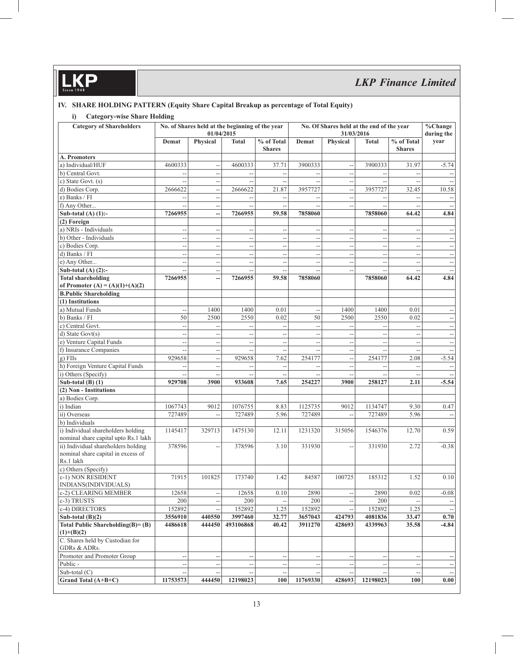## **IV. SHARE HOLDING PATTERN (Equity Share Capital Breakup as percentage of Total Equity)**

## **i) Category-wise Share Holding**

| <b>Category of Shareholders</b>       |                          | 01/04/2015               | No. of Shares held at the beginning of the year |                             | No. Of Shares held at the end of the year<br>31/03/2016 |                          |                          | $\%$ Change<br>during the                     |                          |
|---------------------------------------|--------------------------|--------------------------|-------------------------------------------------|-----------------------------|---------------------------------------------------------|--------------------------|--------------------------|-----------------------------------------------|--------------------------|
|                                       | Demat                    | Physical                 | <b>Total</b>                                    | % of Total<br><b>Shares</b> | Demat                                                   | Physical                 | <b>Total</b>             | % of Total<br><b>Shares</b>                   | year                     |
| A. Promoters                          |                          |                          |                                                 |                             |                                                         |                          |                          |                                               |                          |
| a) Individual/HUF                     | 4600333                  | $\overline{a}$           | 4600333                                         | 37.71                       | 3900333                                                 |                          | 3900333                  | 31.97                                         | $-5.74$                  |
| b) Central Govt.                      |                          | $\overline{\phantom{a}}$ | $\sim$ $\sim$                                   | $\overline{a}$              | $\overline{a}$                                          | $-$                      | $\overline{a}$           | $\overline{a}$                                |                          |
| c) State Govt. (s)                    |                          | $\overline{\phantom{a}}$ | $\overline{a}$                                  | --                          |                                                         | $\overline{\phantom{a}}$ | $\overline{a}$           | $- -$                                         |                          |
| d) Bodies Corp.                       | 2666622                  | $\overline{a}$           | 2666622                                         | 21.87                       | 3957727                                                 | $\overline{a}$           | 3957727                  | 32.45                                         | 10.58                    |
| e) Banks / FI                         |                          | $\overline{a}$           |                                                 | $\overline{\phantom{a}}$    |                                                         | Ξ.                       |                          |                                               |                          |
| f) Any Other                          |                          | 44                       | $\sim$ $-$                                      | $\overline{\phantom{a}}$    | $\overline{\phantom{a}}$                                | $\overline{\phantom{m}}$ | $\overline{\phantom{a}}$ | $\sim$ $-$                                    | $\overline{\phantom{a}}$ |
| Sub-total (A) $(1)$ :-                | 7266955                  | --                       | 7266955                                         | 59.58                       | 7858060                                                 |                          | 7858060                  | 64.42                                         | 4.84                     |
| (2) Foreign                           |                          |                          |                                                 |                             |                                                         |                          |                          |                                               |                          |
| a) NRIs - Individuals                 | $\overline{a}$           | $\overline{a}$           | $- -$                                           | $\overline{\phantom{a}}$    | 4                                                       | $\overline{a}$           | $\overline{a}$           |                                               |                          |
| b) Other - Individuals                | $-$                      | $\overline{\phantom{a}}$ | $\sim$                                          | $\overline{\phantom{a}}$    | --                                                      | $\overline{\phantom{a}}$ | $\overline{\phantom{a}}$ | $\sim$ $-$                                    |                          |
| c) Bodies Corp.                       | $-$                      | $\overline{\phantom{m}}$ | $\overline{a}$                                  | $\overline{\phantom{a}}$    | н,                                                      | --                       | $\overline{\phantom{a}}$ | $\sim$                                        | $\overline{\phantom{a}}$ |
| d) Banks / FI                         |                          | $\overline{\phantom{a}}$ | $\overline{\phantom{a}}$                        | --                          | н,                                                      | $\overline{\phantom{a}}$ | $\overline{a}$           | $\overline{\phantom{a}}$                      |                          |
| e) Any Other                          | $-$                      | $\overline{a}$           | $\overline{\phantom{m}}$                        | $\overline{\phantom{a}}$    | $\overline{\phantom{a}}$                                | $\overline{\phantom{a}}$ | $\overline{\phantom{a}}$ | $\overline{a}$                                | $\overline{\phantom{m}}$ |
| Sub-total $(A)$ $(2)$ :-              | $-$                      | $-$                      | $\overline{\phantom{a}}$                        | $\overline{a}$              |                                                         | $\overline{\phantom{a}}$ | $\overline{a}$           |                                               |                          |
| <b>Total shareholding</b>             | 7266955                  | <u></u>                  | 7266955                                         | 59.58                       | 7858060                                                 |                          | 7858060                  | 64.42                                         | 4.84                     |
| of Promoter $(A) = (A)(1)+(A)(2)$     |                          |                          |                                                 |                             |                                                         |                          |                          |                                               |                          |
| <b>B.Public Shareholding</b>          |                          |                          |                                                 |                             |                                                         |                          |                          |                                               |                          |
| (1) Institutions                      |                          |                          |                                                 |                             |                                                         |                          |                          |                                               |                          |
| a) Mutual Funds                       | $\overline{a}$           | 1400                     | 1400                                            | 0.01                        | 4                                                       | 1400                     | 1400                     | 0.01                                          |                          |
| b) Banks / FI                         | 50                       | 2500                     | 2550                                            | 0.02                        | 50                                                      | 2500                     | 2550                     | 0.02                                          | $\overline{\phantom{a}}$ |
| c) Central Govt.                      | $\overline{a}$           |                          |                                                 |                             | $\overline{a}$                                          |                          |                          |                                               | $\overline{\phantom{a}}$ |
| d) State Govt(s)                      |                          | $\overline{\phantom{a}}$ | $\overline{\phantom{a}}$                        | $\overline{\phantom{a}}$    | н,                                                      | $\overline{a}$           | $\overline{\phantom{a}}$ | $\overline{\phantom{a}}$                      | $\overline{\phantom{a}}$ |
| e) Venture Capital Funds              | $\overline{a}$           | $\overline{\phantom{a}}$ | $\overline{\phantom{m}}$                        | $\overline{\phantom{a}}$    | $\overline{\phantom{a}}$                                | $\overline{\phantom{a}}$ | $\overline{a}$           | $\overline{a}$                                | $\overline{\phantom{m}}$ |
| f) Insurance Companies                |                          | $\overline{\phantom{a}}$ | $\overline{\phantom{a}}$                        | $\overline{\phantom{a}}$    |                                                         | --                       | --                       | $- \, -$                                      |                          |
| $g$ ) FIIs                            | 929658                   | $\overline{a}$           | 929658                                          | 7.62                        | 254177                                                  | $\sim$                   | 254177                   | 2.08                                          | $-5.54$                  |
| h) Foreign Venture Capital Funds      |                          | $\overline{\phantom{a}}$ |                                                 | $\overline{a}$              |                                                         | $\overline{a}$           |                          |                                               |                          |
| i) Others (Specify)                   |                          | $\overline{\phantom{a}}$ | $\overline{\phantom{m}}$                        | $\overline{\phantom{a}}$    |                                                         | $\overline{a}$           | $\overline{\phantom{a}}$ | $\sim$ $-$                                    |                          |
| Sub-total $(B)$ $(1)$                 | 929708                   | 3900                     | 933608                                          | 7.65                        | 254227                                                  | 3900                     | 258127                   | 2.11                                          | $-5.54$                  |
| (2) Non - Institutions                |                          |                          |                                                 |                             |                                                         |                          |                          |                                               |                          |
| a) Bodies Corp.                       |                          |                          |                                                 |                             |                                                         |                          |                          |                                               |                          |
| i) Indian                             | 1067743                  | 9012                     | 1076755                                         | 8.83                        | 1125735                                                 | 9012                     | 1134747                  | 9.30                                          | 0.47                     |
| ii) Overseas                          | 727489                   | $\overline{a}$           | 727489                                          | 5.96                        | 727489                                                  | $\overline{a}$           | 727489                   | 5.96                                          |                          |
| b) Individuals                        |                          |                          |                                                 |                             |                                                         |                          |                          |                                               |                          |
| i) Individual shareholders holding    | 1145417                  | 329713                   | 1475130                                         | 12.11                       |                                                         |                          | 1546376                  | 12.70                                         | 0.59                     |
| nominal share capital upto Rs.1 lakh  |                          |                          |                                                 |                             | 1231320                                                 | 315056                   |                          |                                               |                          |
| ii) Individual shareholders holding   | 378596                   | $\overline{a}$           | 378596                                          | 3.10                        | 331930                                                  |                          | 331930                   | 2.72                                          | $-0.38$                  |
| nominal share capital in excess of    |                          |                          |                                                 |                             |                                                         |                          |                          |                                               |                          |
| Rs.1 lakh                             |                          |                          |                                                 |                             |                                                         |                          |                          |                                               |                          |
| c) Others (Specify)                   |                          |                          |                                                 |                             |                                                         |                          |                          |                                               |                          |
| c-1) NON RESIDENT                     | 71915                    | 101825                   | 173740                                          | 1.42                        | 84587                                                   | 100725                   | 185312                   | 1.52                                          | 0.10                     |
| INDIANS(INDIVIDUALS)                  |                          |                          |                                                 |                             |                                                         |                          |                          |                                               |                          |
| c-2) CLEARING MEMBER                  | 12658                    |                          | 12658                                           | 0.10                        | 2890                                                    |                          | 2890                     | 0.02                                          | $-0.08$                  |
| c-3) TRUSTS                           | 200                      | $\overline{\phantom{a}}$ | 200                                             |                             | 200                                                     |                          | 200                      |                                               |                          |
| c-4) DIRECTORS                        | 152892                   | н,                       | 152892                                          | 1.25                        | 152892                                                  |                          | 152892                   | 1.25                                          |                          |
| Sub-total $(B)(2)$                    | 3556910                  | 440550                   | 3997460                                         | 32.77                       | 3657043                                                 | 424793                   | 4081836                  | 33.47                                         | 0.70                     |
| Total Public Shareholding $(B) = (B)$ | 4486618                  | 444450                   | 493106868                                       | 40.42                       | 3911270                                                 | 428693                   | 4339963                  | 35.58                                         | $-4.84$                  |
| $(1)+(B)(2)$                          |                          |                          |                                                 |                             |                                                         |                          |                          |                                               |                          |
| C. Shares held by Custodian for       |                          |                          |                                                 |                             |                                                         |                          |                          |                                               |                          |
| GDRs & ADRs.                          |                          |                          |                                                 |                             |                                                         |                          |                          |                                               |                          |
| Promoter and Promoter Group           | $\overline{\phantom{a}}$ | $-$                      | $\sim$                                          | $\overline{\phantom{a}}$    | $\overline{\phantom{a}}$                                | $\overline{\phantom{a}}$ | $\overline{\phantom{a}}$ | $\mathord{\hspace{1pt}\text{--}\hspace{1pt}}$ |                          |
| Public -                              | $\overline{a}$           | $\overline{\phantom{a}}$ | $\sim$ $-$                                      | $\overline{\phantom{a}}$    |                                                         | $\overline{a}$           | $\overline{a}$           | $\overline{\phantom{a}}$                      |                          |
| Sub-total (C)                         |                          |                          |                                                 |                             |                                                         |                          |                          |                                               |                          |
| Grand Total (A+B+C)                   | 11753573                 | 444450                   | 12198023                                        | 100                         | 11769330                                                | 428693                   | 12198023                 | 100                                           | 0.00                     |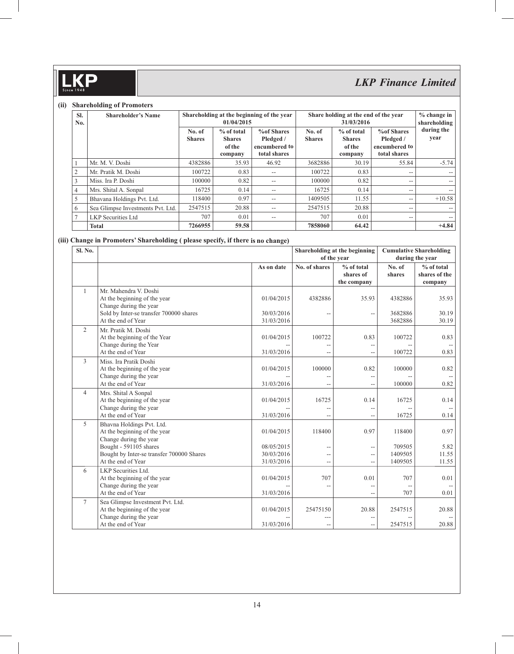## **KP**  $\mathsf{\Pi}$

# *LKP Finance Limited*

#### **(ii) Shareholding of Promoters**

| SI.<br>No.     | <b>Shareholder's Name</b>         |                         | 01/04/2015                                         | Shareholding at the beginning of the year                       |                         | Share holding at the end of the year<br>31/03/2016 |                                                                 | $%$ change in<br>shareholding |  |
|----------------|-----------------------------------|-------------------------|----------------------------------------------------|-----------------------------------------------------------------|-------------------------|----------------------------------------------------|-----------------------------------------------------------------|-------------------------------|--|
|                |                                   | No. of<br><b>Shares</b> | $%$ of total<br><b>Shares</b><br>of the<br>company | <b>%of Shares</b><br>Pledged /<br>encumbered to<br>total shares | No. of<br><b>Shares</b> | $%$ of total<br><b>Shares</b><br>of the<br>company | <b>%of Shares</b><br>Pledged /<br>encumbered to<br>total shares | during the<br>year            |  |
|                | Mr. M. V. Doshi                   | 4382886                 | 35.93                                              | 46.92                                                           | 3682886                 | 30.19                                              | 55.84                                                           | $-5.74$                       |  |
| 2              | Mr. Pratik M. Doshi               | 100722                  | 0.83                                               | --                                                              | 100722                  | 0.83                                               | --                                                              |                               |  |
| 3              | Miss. Ira P. Doshi                | 100000                  | 0.82                                               | $-$                                                             | 100000                  | 0.82                                               | $- -$                                                           | $- -$                         |  |
| $\overline{4}$ | Mrs. Shital A. Sonpal             | 16725                   | 0.14                                               | --                                                              | 16725                   | 0.14                                               | $- -$                                                           | $- -$                         |  |
| 5              | Bhavana Holdings Pvt. Ltd.        | 118400                  | 0.97                                               | $- -$                                                           | 1409505                 | 11.55                                              | $- -$                                                           | $+10.58$                      |  |
| 6              | Sea Glimpse Investments Pvt. Ltd. | 2547515                 | 20.88                                              | $- -$                                                           | 2547515                 | 20.88                                              | $- -$                                                           |                               |  |
| $\tau$         | <b>LKP</b> Securities Ltd         | 707                     | 0.01                                               | $-$                                                             | 707                     | 0.01                                               | $-$                                                             |                               |  |
|                | Total                             | 7266955                 | 59.58                                              |                                                                 | 7858060                 | 64.42                                              |                                                                 | $+4.84$                       |  |

## **(iii) Change in Promoters' Shareholding ( please specify, if there is no change)**

| Sl. No.        |                                                                                                        |                          |               | Shareholding at the beginning | <b>Cumulative Shareholding</b><br>during the year |                             |
|----------------|--------------------------------------------------------------------------------------------------------|--------------------------|---------------|-------------------------------|---------------------------------------------------|-----------------------------|
|                |                                                                                                        |                          |               | of the year                   |                                                   |                             |
|                |                                                                                                        | As on date               | No. of shares | % of total<br>shares of       | No. of<br>shares                                  | % of total<br>shares of the |
|                |                                                                                                        |                          |               | the company                   |                                                   | company                     |
| $\mathbf{1}$   | Mr. Mahendra V. Doshi<br>At the beginning of the year<br>Change during the year                        | 01/04/2015               | 4382886       | 35.93                         | 4382886                                           | 35.93                       |
|                | Sold by Inter-se transfer 700000 shares                                                                | 30/03/2016               |               | $-$                           | 3682886                                           | 30.19                       |
|                | At the end of Year                                                                                     | 31/03/2016               |               |                               | 3682886                                           | 30.19                       |
| 2              | Mr. Pratik M. Doshi<br>At the beginning of the Year<br>Change during the Year                          | 01/04/2015               | 100722        | 0.83<br>--                    | 100722                                            | 0.83                        |
|                | At the end of Year                                                                                     | 31/03/2016               | $-$           | $-$                           | 100722                                            | 0.83                        |
| 3              | Miss. Ira Pratik Doshi<br>At the beginning of the year<br>Change during the year<br>At the end of Year | 01/04/2015<br>31/03/2016 | 100000        | 0.82<br>--<br>$-$             | 100000<br>100000                                  | 0.82<br>$\sim$ $-$<br>0.82  |
| $\overline{4}$ |                                                                                                        |                          |               |                               |                                                   |                             |
|                | Mrs. Shital A Sonpal<br>At the beginning of the year<br>Change during the year                         | 01/04/2015               | 16725         | 0.14<br>$\overline{a}$        | 16725                                             | 0.14                        |
|                | At the end of Year                                                                                     | 31/03/2016               |               | $-$                           | 16725                                             | 0.14                        |
| 5              | Bhavna Holdings Pvt. Ltd.<br>At the beginning of the year<br>Change during the year                    | 01/04/2015               | 118400        | 0.97                          | 118400                                            | 0.97                        |
|                | Bought - 591105 shares                                                                                 | 08/05/2015               | --            | $-$                           | 709505                                            | 5.82                        |
|                | Bought by Inter-se transfer 700000 Shares                                                              | 30/03/2016               | $-$           | $-$                           | 1409505                                           | 11.55                       |
|                | At the end of Year                                                                                     | 31/03/2016               | --            | $-$                           | 1409505                                           | 11.55                       |
| 6              | LKP Securities Ltd.                                                                                    |                          |               |                               |                                                   |                             |
|                | At the beginning of the year                                                                           | 01/04/2015               | 707           | 0.01                          | 707                                               | 0.01                        |
|                | Change during the year                                                                                 |                          | $-$           | $-$                           |                                                   |                             |
|                | At the end of Year                                                                                     | 31/03/2016               |               | $\overline{a}$                | 707                                               | 0.01                        |
| $\tau$         | Sea Glimpse Investment Pvt. Ltd.<br>At the beginning of the year                                       | 01/04/2015               | 25475150      | 20.88                         | 2547515                                           | 20.88                       |
|                | Change during the year<br>At the end of Year                                                           | 31/03/2016               | --            | --<br>$-$                     | 2547515                                           | 20.88                       |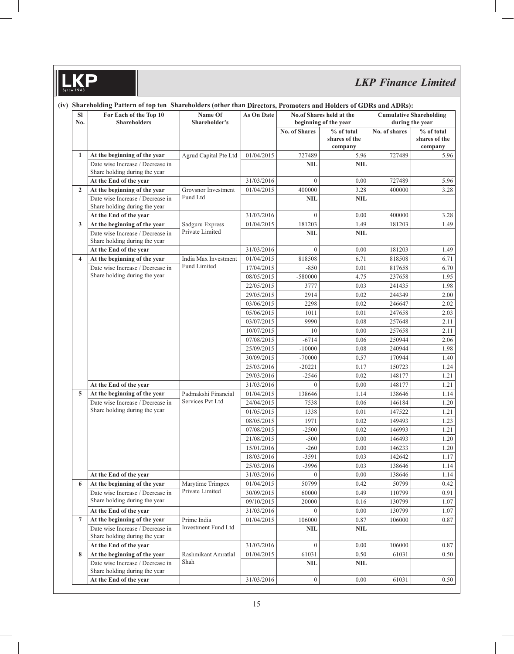# *LKP Finance Limited*

| <b>SI</b><br>No. | For Each of the Top 10<br><b>Shareholders</b>                     | Name Of<br>Shareholder's                | As On Date               |                      | No.of Shares held at the<br>beginning of the year | <b>Cumulative Shareholding</b><br>during the year |                                          |  |
|------------------|-------------------------------------------------------------------|-----------------------------------------|--------------------------|----------------------|---------------------------------------------------|---------------------------------------------------|------------------------------------------|--|
|                  |                                                                   |                                         |                          | <b>No. of Shares</b> | % of total<br>shares of the<br>company            | No. of shares                                     | $%$ of total<br>shares of the<br>company |  |
| 1                | At the beginning of the year                                      | Agrud Capital Pte Ltd                   | 01/04/2015               | 727489               | 5.96                                              | 727489                                            | 5.96                                     |  |
|                  | Date wise Increase / Decrease in<br>Share holding during the year |                                         |                          | NIL                  | <b>NIL</b>                                        |                                                   |                                          |  |
|                  | At the End of the year                                            |                                         | 31/03/2016               | $\mathbf{0}$         | 0.00                                              | 727489                                            | 5.96                                     |  |
| $\overline{2}$   | At the beginning of the year                                      | Grovsnor Investment                     | 01/04/2015               | 400000               | 3.28                                              | 400000                                            | 3.28                                     |  |
|                  | Date wise Increase / Decrease in<br>Share holding during the year | Fund Ltd                                |                          | <b>NIL</b>           | <b>NIL</b>                                        |                                                   |                                          |  |
|                  | At the End of the year                                            |                                         | 31/03/2016               | $\mathbf{0}$         | 0.00                                              | 400000                                            | 3.28                                     |  |
| $\mathbf{3}$     | At the beginning of the year                                      | Sadguru Express                         | 01/04/2015               | 181203               | 1.49                                              | 181203                                            | 1.49                                     |  |
|                  | Date wise Increase / Decrease in<br>Share holding during the year | Private Limited                         |                          | <b>NIL</b>           | <b>NIL</b>                                        |                                                   |                                          |  |
|                  | At the End of the year                                            |                                         | 31/03/2016               | $\boldsymbol{0}$     | 0.00                                              | 181203                                            | 1.49                                     |  |
| 4                | At the beginning of the year                                      | India Max Investment                    | 01/04/2015               | 818508               | 6.71                                              | 818508                                            | 6.71                                     |  |
|                  | Date wise Increase / Decrease in                                  | <b>Fund Limited</b>                     | 17/04/2015               | $-850$               | 0.01                                              | 817658                                            | 6.70                                     |  |
|                  | Share holding during the year                                     |                                         | 08/05/2015               | -580000              | 4.75                                              | 237658                                            | 1.95                                     |  |
|                  |                                                                   |                                         | 22/05/2015               | 3777                 | 0.03                                              | 241435                                            | 1.98                                     |  |
|                  |                                                                   |                                         | 29/05/2015               | 2914                 | 0.02                                              | 244349                                            | 2.00                                     |  |
|                  |                                                                   |                                         | 03/06/2015               | 2298                 | 0.02                                              | 246647                                            | 2.02                                     |  |
|                  |                                                                   |                                         | 05/06/2015               | 1011                 | 0.01                                              | 247658                                            | 2.03                                     |  |
|                  |                                                                   |                                         | 03/07/2015               | 9990                 | 0.08                                              | 257648                                            | 2.11                                     |  |
|                  |                                                                   |                                         | 10/07/2015               | 10                   | 0.00                                              | 257658                                            | 2.11                                     |  |
|                  |                                                                   |                                         | 07/08/2015               | $-6714$              | 0.06                                              | 250944                                            | 2.06                                     |  |
|                  |                                                                   | 25/09/2015                              | $-10000$                 | 0.08                 | 240944                                            | 1.98                                              |                                          |  |
|                  |                                                                   |                                         | 30/09/2015               | $-70000$             | 0.57                                              | 170944                                            | 1.40                                     |  |
|                  |                                                                   |                                         | 25/03/2016               | $-20221$             | 0.17                                              | 150723                                            | 1.24                                     |  |
|                  |                                                                   |                                         | 29/03/2016               | $-2546$              | 0.02                                              | 148177                                            | 1.21                                     |  |
|                  | At the End of the year                                            |                                         | 31/03/2016               | $\theta$             | 0.00                                              | 148177                                            | 1.21                                     |  |
| 5                | At the beginning of the year                                      | Padmakshi Financial<br>Services Pvt Ltd | 01/04/2015               | 138646               | 1.14                                              | 138646                                            | 1.14                                     |  |
|                  | Date wise Increase / Decrease in<br>Share holding during the year |                                         | 24/04/2015               | 7538                 | 0.06                                              | 146184                                            | 1.20                                     |  |
|                  |                                                                   |                                         | 01/05/2015               | 1338                 | 0.01                                              | 147522                                            | 1.21                                     |  |
|                  |                                                                   |                                         | 08/05/2015               | 1971                 | 0.02                                              | 149493<br>146993                                  | 1.23                                     |  |
|                  |                                                                   |                                         | 07/08/2015<br>21/08/2015 | $-2500$<br>$-500$    | 0.02<br>0.00                                      | 146493                                            | 1.21<br>1.20                             |  |
|                  |                                                                   |                                         | 15/01/2016               | $-260$               | $0.00\,$                                          | 146233                                            | $1.20\,$                                 |  |
|                  |                                                                   |                                         | 18/03/2016               | $-3591$              | 0.03                                              | 142642                                            | 1.17                                     |  |
|                  |                                                                   |                                         | 25/03/2016               | -3996                | 0.03                                              | 138646                                            | 1.14                                     |  |
|                  | At the End of the year                                            |                                         | 31/03/2016               | $\overline{0}$       | 0.00                                              | 138646                                            | 1.14                                     |  |
| 6                | At the beginning of the year                                      | Marytime Trimpex                        | 01/04/2015               | 50799                | 0.42                                              | 50799                                             | 0.42                                     |  |
|                  | Date wise Increase / Decrease in                                  | Private Limited                         | 30/09/2015               | 60000                | 0.49                                              | 110799                                            | 0.91                                     |  |
|                  | Share holding during the year                                     |                                         | 09/10/2015               | 20000                | 0.16                                              | 130799                                            | 1.07                                     |  |
|                  | At the End of the year                                            |                                         | 31/03/2016               | $\theta$             | 0.00                                              | 130799                                            | 1.07                                     |  |
| $\overline{7}$   | At the beginning of the year                                      | Prime India                             | 01/04/2015               | $106000\,$           | 0.87                                              | 106000                                            | 0.87                                     |  |
|                  | Date wise Increase / Decrease in<br>Share holding during the year | <b>Investment Fund Ltd</b>              |                          | NIL                  | <b>NIL</b>                                        |                                                   |                                          |  |
|                  | At the End of the year                                            |                                         | 31/03/2016               | $\boldsymbol{0}$     | 0.00                                              | 106000                                            | 0.87                                     |  |
| 8                | At the beginning of the year                                      | Rashmikant Amratlal                     | 01/04/2015               | 61031                | 0.50                                              | 61031                                             | 0.50                                     |  |
|                  | Date wise Increase / Decrease in<br>Share holding during the year | Shah                                    |                          | <b>NIL</b>           | <b>NIL</b>                                        |                                                   |                                          |  |
|                  | At the End of the year                                            |                                         | 31/03/2016               | $\boldsymbol{0}$     | 0.00                                              | 61031                                             | 0.50                                     |  |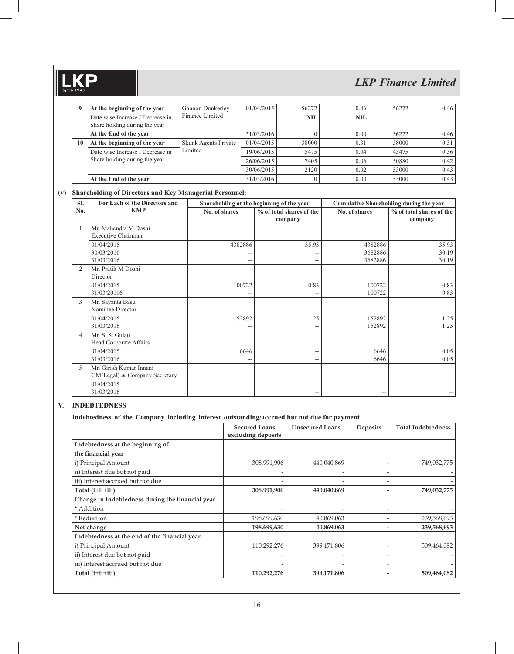**9** At the beginning of the year Gannon Dunkerley Finance Limited 01/04/2015 56272 0.46 56272 0.46 Date wise Increase / Decrease in Share holding during the year **NIL** NIL **At the End of the year** 31/03/2016 0 0.00 56272 0.46 **10** At the beginning of the year Skunk Agents Private Limited 01/04/2015 38000 0.31 38000 0.31 Date wise Increase / Decrease in Share holding during the year 19/06/2015 5475 0.04 43475 0.36 26/06/2015 7405 0.06 50880 0.42 30/06/2015 2120 0.02 53000 0.43 **At the End of the year** 31/03/2016 0 0.00 53000 0.43

*LKP Finance Limited*

### **(v) Shareholding of Directors and Key Managerial Personnel:**

| SI.            | For Each of the Directors and                            |               | Shareholding at the beginning of the year |                    | <b>Cumulative Shareholding during the year</b> |  |  |
|----------------|----------------------------------------------------------|---------------|-------------------------------------------|--------------------|------------------------------------------------|--|--|
| No.            | <b>KMP</b>                                               | No. of shares | % of total shares of the<br>company       | No. of shares      | % of total shares of the<br>company            |  |  |
|                | Mr. Mahendra V. Doshi<br>Executive Chairman              |               |                                           |                    |                                                |  |  |
|                | 01/04/2015<br>30/03/2016                                 | 4382886       | 35.93                                     | 4382886<br>3682886 | 35.93<br>30.19                                 |  |  |
|                | 31/03/2016                                               | $-\,$         | --                                        | 3682886            | 30.19                                          |  |  |
| $\overline{2}$ | Mr. Pratik M Doshi<br>Director                           |               |                                           |                    |                                                |  |  |
|                | 01/04/2015<br>31/03/20116                                | 100722<br>--  | 0.83                                      | 100722<br>100722   | 0.83<br>0.83                                   |  |  |
| 3              | Mr. Sayanta Basu<br>Nominee Director                     |               |                                           |                    |                                                |  |  |
|                | 01/04/2015<br>31/03/2016                                 | 152892<br>--  | 1.25                                      | 152892<br>152892   | 1.25<br>1.25                                   |  |  |
| 4              | Mr. S. S. Gulati<br>Head Corporate Affairs               |               |                                           |                    |                                                |  |  |
|                | 01/04/2015<br>31/03/2016                                 | 6646<br>--    | --<br>--                                  | 6646<br>6646       | 0.05<br>0.05                                   |  |  |
| 5              | Mr. Girish Kumar Innani<br>GM(Legal) & Company Secretary |               |                                           |                    |                                                |  |  |
|                | 01/04/2015<br>31/03/2016                                 | --            | --<br>--                                  | --<br>--           | --<br>--                                       |  |  |

## **V. INDEBTEDNESS**

**.KP** 

#### **Indebtedness of the Company including interest outstanding/accrued but not due for payment**

|                                                  | <b>Secured Loans</b><br>excluding deposits | <b>Unsecured Loans</b> | <b>Deposits</b> | <b>Total Indebtedness</b> |
|--------------------------------------------------|--------------------------------------------|------------------------|-----------------|---------------------------|
| Indebtedness at the beginning of                 |                                            |                        |                 |                           |
| the financial year                               |                                            |                        |                 |                           |
| i) Principal Amount                              | 308,991,906                                | 440,040,869            |                 | 749,032,775               |
| ii) Interest due but not paid                    |                                            |                        |                 |                           |
| iii) Interest accrued but not due                |                                            |                        |                 |                           |
| Total (i+ii+iii)                                 | 308,991,906                                | 440,040,869            |                 | 749,032,775               |
| Change in Indebtedness during the financial year |                                            |                        |                 |                           |
| * Addition                                       |                                            |                        |                 |                           |
| * Reduction                                      | 198,699,630                                | 40,869,063             |                 | 239,568,693               |
| Net change                                       | 198,699,630                                | 40,869,063             |                 | 239,568,693               |
| Indebtedness at the end of the financial year    |                                            |                        |                 |                           |
| i) Principal Amount                              | 110,292,276                                | 399,171,806            |                 | 509,464,082               |
| ii) Interest due but not paid                    |                                            |                        |                 |                           |
| iii) Interest accrued but not due                |                                            |                        |                 |                           |
| Total (i+ii+iii)                                 | 110,292,276                                | 399,171,806            |                 | 509,464,082               |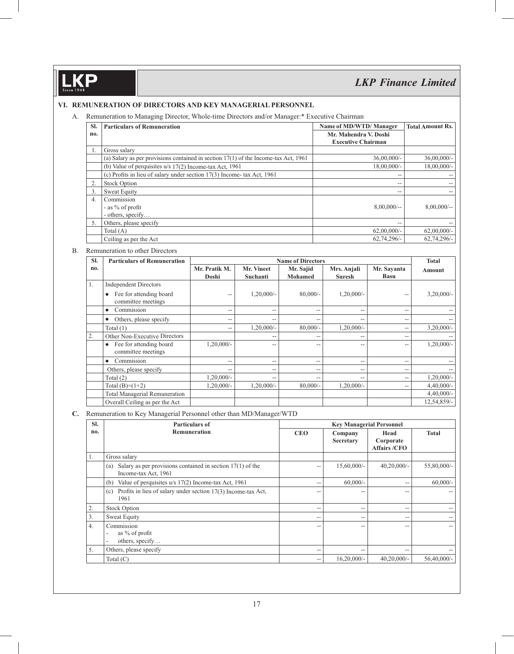**KP** 

# *LKP Finance Limited*

### **VI. REMUNERATION OF DIRECTORS AND KEY MANAGERIAL PERSONNEL**

A. Remuneration to Managing Director, Whole-time Directors and/or Manager:\* Executive Chairman

| SI. | <b>Particulars of Remuneration</b>                                                    | Name of MD/WTD/Manager                             | <b>Total Amount Rs.</b> |
|-----|---------------------------------------------------------------------------------------|----------------------------------------------------|-------------------------|
| no. |                                                                                       | Mr. Mahendra V. Doshi<br><b>Executive Chairman</b> |                         |
| 1.  | Gross salary                                                                          |                                                    |                         |
|     | (a) Salary as per provisions contained in section $17(1)$ of the Income-tax Act, 1961 | $36,00,000/$ -                                     | $36,00,000/$ -          |
|     | (b) Value of perquisites $u/s$ 17(2) Income-tax Act, 1961                             | $18,00,000/$ -                                     | $18,00,000/-$           |
|     | (c) Profits in lieu of salary under section 17(3) Income- tax Act, 1961               | $-$                                                |                         |
| 2.  | <b>Stock Option</b>                                                                   | $-$                                                |                         |
| 3.  | <b>Sweat Equity</b>                                                                   | $-$                                                | --                      |
| 4.  | Commission                                                                            |                                                    |                         |
|     | - as $\%$ of profit                                                                   | $8,00,000/$ --                                     | $8,00,000/$ --          |
|     | - others, specify                                                                     |                                                    |                         |
| 5.  | Others, please specify                                                                | $- -$                                              |                         |
|     | Total $(A)$                                                                           | $62,00,000/$ -                                     | $62,00,000/$ -          |
|     | Ceiling as per the Act                                                                | $62,74,296/-$                                      | $62,74,296/-$           |

#### B. Remuneration to other Directors

| SI. | <b>Particulars of Remuneration</b>                         |                        | <b>Name of Directors</b> |                             |                              |                            |              |  |
|-----|------------------------------------------------------------|------------------------|--------------------------|-----------------------------|------------------------------|----------------------------|--------------|--|
| no. |                                                            | Mr. Pratik M.<br>Doshi | Mr. Vineet<br>Suchanti   | Mr. Sajid<br><b>Mohamed</b> | Mrs. Anjali<br><b>Suresh</b> | Mr. Sayanta<br><b>Basu</b> | Amount       |  |
| 1.  | <b>Independent Directors</b>                               |                        |                          |                             |                              |                            |              |  |
|     | Fee for attending board<br>$\bullet$<br>committee meetings | $- -$                  | $1,20,000/-$             | $80,000/-$                  | $1,20,000/-$                 | $\overline{\phantom{a}}$   | $3,20,000/-$ |  |
|     | Commission<br>$\bullet$                                    | --                     | $-$                      | $-$                         | $-$                          | $ -$                       |              |  |
|     | Others, please specify<br>$\bullet$                        | --                     | $\qquad \qquad -$        | --                          | $-$                          | $-$                        | --           |  |
|     | Total $(1)$                                                | --                     | $1,20,000/-$             | $80,000/$ -                 | $1,20,000/-$                 | $-$                        | $3,20,000/-$ |  |
| 2.  | Other Non-Executive Directors                              |                        | $- -$                    | $- -$                       | $-$                          | $- -$                      | --           |  |
|     | Fee for attending board<br>$\bullet$<br>committee meetings | $1,20,000/-$           | --                       | --                          | $-$                          | $-$                        | $1,20,000/-$ |  |
|     | Commission<br>$\bullet$                                    | --                     | $\overline{\phantom{m}}$ | $- -$                       | $-$                          | $-$                        | --           |  |
|     | Others, please specify                                     | --                     | $\qquad \qquad -$        | $-$                         | $-$                          | $ -$                       | --           |  |
|     | Total $(2)$                                                | $1,20,000/-$           | $\qquad \qquad -$        | $- -$                       | $-$                          | $-$                        | $1,20,000/-$ |  |
|     | Total $(B)=(1+2)$                                          | $1,20,000/-$           | 1,20,000/-               | $80,000/-$                  | $1,20,000/-$                 | $-$                        | $4,40,000/-$ |  |
|     | <b>Total Managerial Remuneration</b>                       |                        |                          |                             |                              |                            | $4,40,000/-$ |  |
|     | Overall Ceiling as per the Act                             |                        |                          |                             |                              |                            | 12,54,859/-  |  |

**C.** Remuneration to Key Managerial Personnel other than MD/Manager/WTD

| SI. | <b>Particulars of</b>                                                                       | <b>Key Managerial Personnel</b> |                      |                                          |                   |  |  |
|-----|---------------------------------------------------------------------------------------------|---------------------------------|----------------------|------------------------------------------|-------------------|--|--|
| no. | <b>Remuneration</b>                                                                         | <b>CEO</b>                      | Company<br>Secretary | Head<br>Corporate<br><b>Affairs /CFO</b> | <b>Total</b>      |  |  |
| Ι.  | Gross salary                                                                                |                                 |                      |                                          |                   |  |  |
|     | Salary as per provisions contained in section $17(1)$ of the<br>(a)<br>Income-tax Act, 1961 | --                              | $15,60,000/$ -       | $40,20,000/$ -                           | 55,80,000/-       |  |  |
|     | Value of perquisites u/s 17(2) Income-tax Act, 1961<br>(b)                                  | --                              | $60,000/$ -          | --                                       | $60,000/$ -       |  |  |
|     | Profits in lieu of salary under section 17(3) Income-tax Act,<br>(c)<br>1961                | --                              | --                   |                                          |                   |  |  |
| 2.  | <b>Stock Option</b>                                                                         | --                              | --                   | --                                       |                   |  |  |
| 3.  | Sweat Equity                                                                                | --                              | --                   | --                                       | $\qquad \qquad -$ |  |  |
| 4.  | Commission<br>as $\%$ of profit<br>others, specify                                          | --                              | --                   | --                                       | $- -$             |  |  |
| 5.  | Others, please specify                                                                      | --                              | --                   | --                                       |                   |  |  |
|     | Total $(C)$                                                                                 | --                              | $16,20,000/$ -       | $40,20,000/$ -                           | 56,40,000/-       |  |  |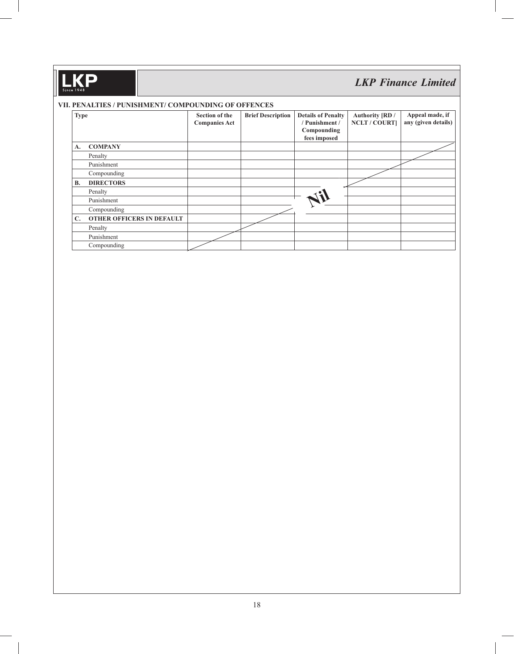#### **VII. PENALTIES / PUNISHMENT/ COMPOUNDING OF OFFENCES**

| <b>Type</b>    |                                  | <b>Section of the</b><br><b>Companies Act</b> | <b>Brief Description</b> | <b>Details of Penalty</b><br>/ Punishment /<br>Compounding<br>fees imposed | Authority [RD /<br><b>NCLT / COURT]</b> | Appeal made, if<br>any (given details) |
|----------------|----------------------------------|-----------------------------------------------|--------------------------|----------------------------------------------------------------------------|-----------------------------------------|----------------------------------------|
| A.             | <b>COMPANY</b>                   |                                               |                          |                                                                            |                                         |                                        |
|                | Penalty                          |                                               |                          |                                                                            |                                         |                                        |
|                | Punishment                       |                                               |                          |                                                                            |                                         |                                        |
|                | Compounding                      |                                               |                          |                                                                            |                                         |                                        |
| <b>B.</b>      | <b>DIRECTORS</b>                 |                                               |                          |                                                                            |                                         |                                        |
|                | Penalty                          |                                               |                          |                                                                            |                                         |                                        |
|                | Punishment                       |                                               |                          |                                                                            |                                         |                                        |
|                | Compounding                      |                                               |                          |                                                                            |                                         |                                        |
| $\mathbf{C}$ . | <b>OTHER OFFICERS IN DEFAULT</b> |                                               |                          |                                                                            |                                         |                                        |
|                | Penalty                          |                                               |                          |                                                                            |                                         |                                        |
|                | Punishment                       |                                               |                          |                                                                            |                                         |                                        |
|                | Compounding                      |                                               |                          |                                                                            |                                         |                                        |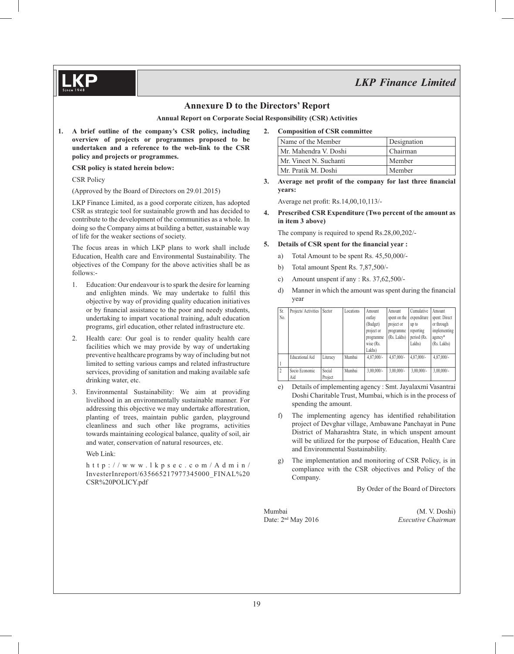

## **Annexure D to the Directors' Report**

**Annual Report on Corporate Social Responsibility (CSR) Activities**

**1. A brief outline of the company's CSR policy, including overview of projects or programmes proposed to be undertaken and a reference to the web-link to the CSR policy and projects or programmes.**

 **CSR policy is stated herein below:**

CSR Policy

(Approved by the Board of Directors on 29.01.2015)

 LKP Finance Limited, as a good corporate citizen, has adopted CSR as strategic tool for sustainable growth and has decided to contribute to the development of the communities as a whole. In doing so the Company aims at building a better, sustainable way of life for the weaker sections of society.

 The focus areas in which LKP plans to work shall include Education, Health care and Environmental Sustainability. The objectives of the Company for the above activities shall be as follows:-

- 1. Education: Our endeavour is to spark the desire for learning and enlighten minds. We may undertake to fulfil this objective by way of providing quality education initiatives or by financial assistance to the poor and needy students, undertaking to impart vocational training, adult education programs, girl education, other related infrastructure etc.
- 2. Health care: Our goal is to render quality health care facilities which we may provide by way of undertaking preventive healthcare programs by way of including but not limited to setting various camps and related infrastructure services, providing of sanitation and making available safe drinking water, etc.
- 3. Environmental Sustainability: We aim at providing livelihood in an environmentally sustainable manner. For addressing this objective we may undertake afforestration, planting of trees, maintain public garden, playground cleanliness and such other like programs, activities towards maintaining ecological balance, quality of soil, air and water, conservation of natural resources, etc.

Web Link:

http://www.lkpsec.com/Admin/ InvesterInreport/635665217977345000\_FINAL%20 CSR%20POLICY.pdf

**2. Composition of CSR committee**

| Name of the Member     | Designation |
|------------------------|-------------|
| Mr. Mahendra V. Doshi  | Chairman    |
| Mr. Vineet N. Suchanti | Member      |
| Mr. Pratik M. Doshi    | Member      |

**3.** Average net profit of the company for last three financial **years:**

Average net profit: Rs.14,00,10,113/-

**4. Prescribed CSR Expenditure (Two percent of the amount as in item 3 above)**

The company is required to spend Rs.28,00,202/-

#### **Details of CSR spent for the financial year :**

- a) Total Amount to be spent Rs. 45,50,000/-
- b) Total amount Spent Rs. 7,87,500/-
- c) Amount unspent if any : Rs. 37,62,500/-
- d) Manner in which the amount was spent during the financial year

| Sr.<br>No. | Projects/Activities    | Sector            | Locations | Amount<br>outlav<br>(Budget)<br>project or<br>programme<br>wise (Rs.<br>Lakhs) | Amount<br>spent on the<br>project or<br>programme<br>(Rs. Lakhs) | Cumulative<br>expenditure<br>up to<br>reporting<br>period (Rs.<br>Lakhs) | Amount<br>spent: Direct<br>or through<br>implementing<br>agency*<br>(Rs. Lakhs) |
|------------|------------------------|-------------------|-----------|--------------------------------------------------------------------------------|------------------------------------------------------------------|--------------------------------------------------------------------------|---------------------------------------------------------------------------------|
|            | <b>Educational Aid</b> | Literacy          | Mumbai    | $4.87,000/$ -                                                                  | $4.87,000/$ -                                                    | $4.87,000/$ -                                                            | 4,87,000/-                                                                      |
|            | Socio Economic<br>Aid  | Social<br>Project | Mumbai    | $3.00.000/-$                                                                   | $3.00.000/-$                                                     | $3.00.000/-$                                                             | $3,00,000/$ -                                                                   |

- e) Details of implementing agency : Smt. Jayalaxmi Vasantrai Doshi Charitable Trust, Mumbai, which is in the process of spending the amount.
- The implementing agency has identified rehabilitation project of Devghar village, Ambawane Panchayat in Pune District of Maharashtra State, in which unspent amount will be utilized for the purpose of Education, Health Care and Environmental Sustainability.
- g) The implementation and monitoring of CSR Policy, is in compliance with the CSR objectives and Policy of the Company.

By Order of the Board of Directors

Mumbai (M. V. Doshi) Date: 2nd May 2016 *Executive Chairman*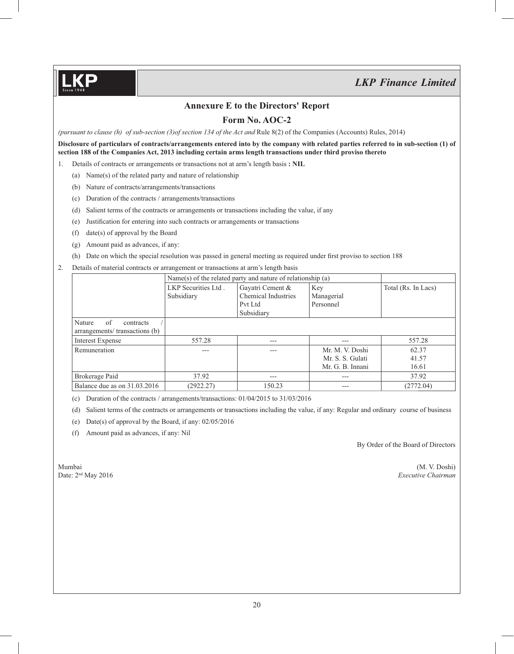## **Annexure E to the Directors' Report**

## **Form No. AOC-2**

*(pursuant to clause (h) of sub-section (3)of section 134 of the Act and Rule 8(2) of the Companies (Accounts) Rules, 2014)* 

**Disclosure of particulars of contracts/arrangements entered into by the company with related parties referred to in sub-section (1) of section 188 of the Companies Act, 2013 including certain arms length transactions under third proviso thereto**

1. Details of contracts or arrangements or transactions not at arm's length basis **: NIL** 

- (a) Name(s) of the related party and nature of relationship
- (b) Nature of contracts/arrangements/transactions
- (c) Duration of the contracts / arrangements/transactions
- (d) Salient terms of the contracts or arrangements or transactions including the value, if any
- (e) Justification for entering into such contracts or arrangements or transactions
- (f) date(s) of approval by the Board
- (g) Amount paid as advances, if any:
- (h) Date on which the special resolution was passed in general meeting as required under first proviso to section 188
- 2. Details of material contracts or arrangement or transactions at arm's length basis

|                                                             | Name(s) of the related party and nature of relationship $(a)$ |                     |                  |                     |
|-------------------------------------------------------------|---------------------------------------------------------------|---------------------|------------------|---------------------|
|                                                             | LKP Securities Ltd.                                           | Gayatri Cement &    | Key              | Total (Rs. In Lacs) |
|                                                             | Subsidiary                                                    | Chemical Industries | Managerial       |                     |
|                                                             |                                                               | Pvt Ltd             | Personnel        |                     |
|                                                             |                                                               | Subsidiary          |                  |                     |
| of<br>Nature<br>contracts<br>arrangements/ transactions (b) |                                                               |                     |                  |                     |
|                                                             |                                                               |                     |                  |                     |
| <b>Interest Expense</b>                                     | 557.28                                                        | $---$               | $---$            | 557.28              |
| Remuneration                                                | ---                                                           | ---                 | Mr. M. V. Doshi  | 62.37               |
|                                                             |                                                               |                     | Mr. S. S. Gulati | 41.57               |
|                                                             |                                                               |                     | Mr. G. B. Innani | 16.61               |
| Brokerage Paid                                              | 37.92                                                         | $---$               | $---$            | 37.92               |
| Balance due as on 31.03.2016                                | (2922.27)                                                     | 150.23              | $---$            | (2772.04)           |

- (c) Duration of the contracts / arrangements/transactions: 01/04/2015 to 31/03/2016
- (d) Salient terms of the contracts or arrangements or transactions including the value, if any: Regular and ordinary course of business
- (e) Date(s) of approval by the Board, if any: 02/05/2016
- (f) Amount paid as advances, if any: Nil

By Order of the Board of Directors

Mumbai (M. V. Doshi) Date: 2nd May 2016 *Executive Chairman*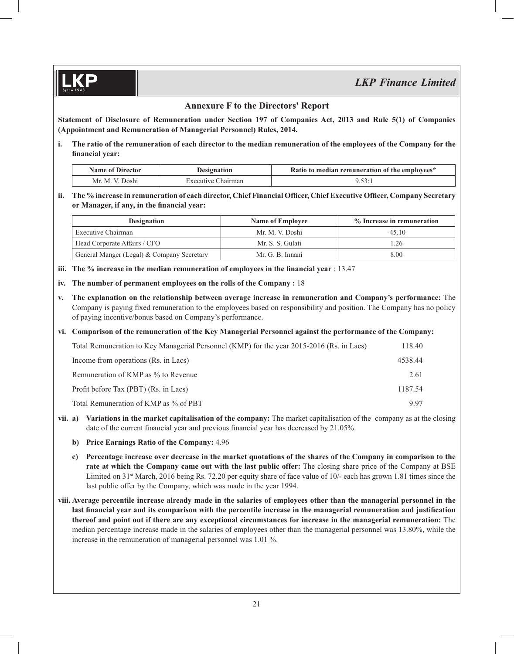## **Annexure F to the Directors' Report**

**Statement of Disclosure of Remuneration under Section 197 of Companies Act, 2013 and Rule 5(1) of Companies (Appointment and Remuneration of Managerial Personnel) Rules, 2014.**

**i. The ratio of the remuneration of each director to the median remuneration of the employees of the Company for the**  financial year:

| Name of Director | <i>Designation</i> | Ratio to median remuneration of the employees* |  |  |
|------------------|--------------------|------------------------------------------------|--|--|
| Mr. M. V. Doshi  | Executive Chairman |                                                |  |  |

ii. The % increase in remuneration of each director, Chief Financial Officer, Chief Executive Officer, Company Secretary or Manager, if any, in the financial year:

| <b>Designation</b>                         | <b>Name of Employee</b> | % Increase in remuneration |  |
|--------------------------------------------|-------------------------|----------------------------|--|
| Executive Chairman                         | Mr. M. V. Doshi         | $-45.10$                   |  |
| Head Corporate Affairs / CFO               | Mr. S. S. Gulati        | .26                        |  |
| General Manger (Legal) & Company Secretary | Mr. G. B. Innani        | 8.00                       |  |

- **iii.** The % increase in the median remuneration of employees in the financial year : 13.47
- **iv. The number of permanent employees on the rolls of the Company :** 18
- **v. The explanation on the relationship between average increase in remuneration and Company's performance:** The Company is paying fixed remuneration to the employees based on responsibility and position. The Company has no policy of paying incentive/bonus based on Company's performance.

## **vi. Comparison of the remuneration of the Key Managerial Personnel against the performance of the Company:**

| Total Remuneration to Key Managerial Personnel (KMP) for the year 2015-2016 (Rs. in Lacs) | 118.40  |
|-------------------------------------------------------------------------------------------|---------|
| Income from operations (Rs. in Lacs)                                                      | 4538.44 |
| Remuneration of KMP as % to Revenue                                                       | 2.61    |
| Profit before Tax (PBT) (Rs. in Lacs)                                                     | 1187.54 |
| Total Remuneration of KMP as % of PBT                                                     | 9.97    |

- **vii. a) Variations in the market capitalisation of the company:** The market capitalisation of the company as at the closing date of the current financial year and previous financial year has decreased by 21.05%.
	- **b) Price Earnings Ratio of the Company:** 4.96
	- **c) Percentage increase over decrease in the market quotations of the shares of the Company in comparison to the rate at which the Company came out with the last public offer:** The closing share price of the Company at BSE Limited on 31<sup>st</sup> March, 2016 being Rs. 72.20 per equity share of face value of 10/- each has grown 1.81 times since the last public offer by the Company, which was made in the year 1994.
- **viii. Average percentile increase already made in the salaries of employees other than the managerial personnel in the**  last financial year and its comparison with the percentile increase in the managerial remuneration and justification **thereof and point out if there are any exceptional circumstances for increase in the managerial remuneration:** The median percentage increase made in the salaries of employees other than the managerial personnel was 13.80%, while the increase in the remuneration of managerial personnel was 1.01 %.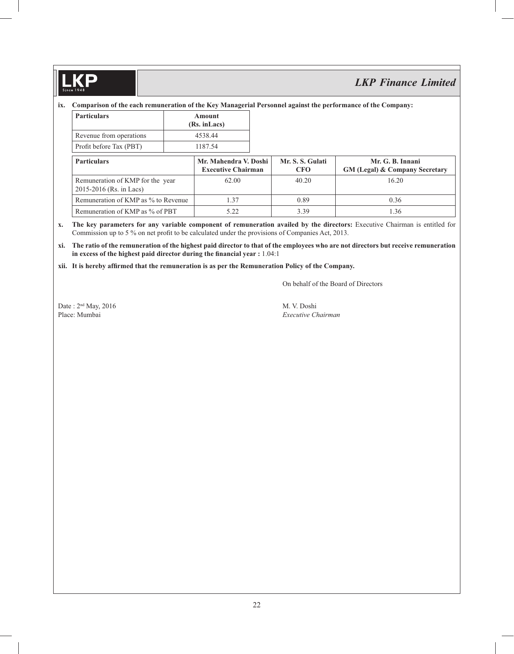$\mathbf{D}$ 

# *LKP Finance Limited*

## **ix. Comparison of the each remuneration of the Key Managerial Personnel against the performance of the Company:**

| Particulars             | Amount<br>(Rs. in Lacs) |  |  |
|-------------------------|-------------------------|--|--|
| Revenue from operations | 4538.44                 |  |  |
| Profit before Tax (PBT) | 1187.54                 |  |  |

| <b>Particulars</b>                                          | Mr. Mahendra V. Doshi<br><b>Executive Chairman</b> | Mr. S. S. Gulati<br><b>CFO</b> | Mr. G. B. Innani<br><b>GM (Legal) &amp; Company Secretary</b> |
|-------------------------------------------------------------|----------------------------------------------------|--------------------------------|---------------------------------------------------------------|
| Remuneration of KMP for the year<br>2015-2016 (Rs. in Lacs) | 62.00                                              | 40.20                          | 16.20                                                         |
| Remuneration of KMP as % to Revenue                         | i 37                                               | 0.89                           | 0.36                                                          |
| Remuneration of KMP as % of PBT                             |                                                    | 3.39                           | 1.36                                                          |

- **x. The key parameters for any variable component of remuneration availed by the directors:** Executive Chairman is entitled for Commission up to 5 % on net profit to be calculated under the provisions of Companies Act, 2013.
- **xi. The ratio of the remuneration of the highest paid director to that of the employees who are not directors but receive remuneration**  in excess of the highest paid director during the financial year : 1.04:1
- **xii. It is hereby affi rmed that the remuneration is as per the Remuneration Policy of the Company.**

On behalf of the Board of Directors

Date :  $2<sup>nd</sup>$  May, 2016 M. V. Doshi Place: Mumbai *Executive Chairman*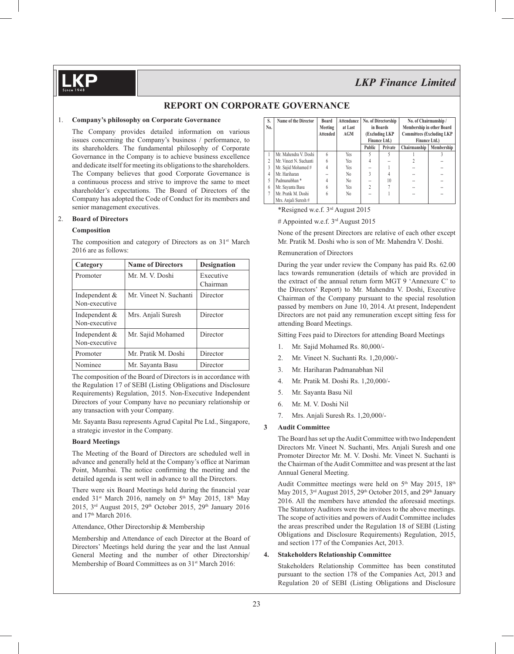## **REPORT ON CORPORATE GOVERNANCE**

#### 1. **Company's philosophy on Corporate Governance**

 The Company provides detailed information on various issues concerning the Company's business / performance, to its shareholders. The fundamental philosophy of Corporate Governance in the Company is to achieve business excellence and dedicate itself for meeting its obligations to the shareholders. The Company believes that good Corporate Governance is a continuous process and strive to improve the same to meet shareholder's expectations. The Board of Directors of the Company has adopted the Code of Conduct for its members and senior management executives.

#### 2. **Board of Directors**

#### **Composition**

The composition and category of Directors as on 31<sup>st</sup> March 2016 are as follows:

| Category                       | <b>Name of Directors</b> | <b>Designation</b>    |
|--------------------------------|--------------------------|-----------------------|
| Promoter                       | Mr. M. V. Doshi          | Executive<br>Chairman |
| Independent &<br>Non-executive | Mr. Vineet N. Suchanti   | Director              |
| Independent &<br>Non-executive | Mrs. Anjali Suresh       | Director              |
| Independent &<br>Non-executive | Mr. Sajid Mohamed        | Director              |
| Promoter                       | Mr. Pratik M. Doshi      | Director              |
| Nominee                        | Mr. Sayanta Basu         | Director              |

 The composition of the Board of Directors is in accordance with the Regulation 17 of SEBI (Listing Obligations and Disclosure Requirements) Regulation, 2015. Non-Executive Independent Directors of your Company have no pecuniary relationship or any transaction with your Company.

 Mr. Sayanta Basu represents Agrud Capital Pte Ltd., Singapore, a strategic investor in the Company.

#### **Board Meetings**

 The Meeting of the Board of Directors are scheduled well in advance and generally held at the Company's office at Nariman Point, Mumbai. The notice confirming the meeting and the detailed agenda is sent well in advance to all the Directors.

There were six Board Meetings held during the financial year ended  $31<sup>st</sup>$  March 2016, namely on  $5<sup>th</sup>$  May 2015, 18<sup>th</sup> May 2015, 3<sup>rd</sup> August 2015, 29<sup>th</sup> October 2015, 29<sup>th</sup> January 2016 and 17<sup>th</sup> March 2016.

Attendance, Other Directorship & Membership

 Membership and Attendance of each Director at the Board of Directors' Meetings held during the year and the last Annual General Meeting and the number of other Directorship/ Membership of Board Committees as on 31<sup>st</sup> March 2016:

| S.<br>No. | <b>Name of the Director</b> | <b>Board</b><br>Meeting<br><b>Attended</b> | <b>Attendance</b><br>No. of Directorship<br>in Boards<br>at Last<br>AGM<br>(Excluding LKP<br>Finance Ltd.) |                           | No. of Chairmanship /<br>Membership in other Board<br><b>Committees (Excluding LKP</b><br><b>Finance Ltd.)</b> |              |            |
|-----------|-----------------------------|--------------------------------------------|------------------------------------------------------------------------------------------------------------|---------------------------|----------------------------------------------------------------------------------------------------------------|--------------|------------|
|           |                             |                                            |                                                                                                            | Public                    | Private                                                                                                        | Chairmanship | Membership |
|           | Mr. Mahendra V. Doshi       | 6                                          | Yes                                                                                                        |                           | 5                                                                                                              |              |            |
|           | Mr. Vineet N. Suchanti      | 6                                          | <b>Yes</b>                                                                                                 | 4                         | --                                                                                                             |              |            |
| 3         | Mr. Sajid Mohamed #         | $\overline{4}$                             | <b>Yes</b>                                                                                                 |                           |                                                                                                                |              |            |
| 4         | Mr. Hariharan               |                                            | N <sub>0</sub>                                                                                             | $\mathbf{3}$              | 4                                                                                                              | --           |            |
| 5         | Padmanabhan <sup>*</sup>    | 4                                          | N <sub>0</sub>                                                                                             | $\overline{a}$            | 10                                                                                                             | --           |            |
| 6         | Mr. Sayanta Basu            | 6                                          | <b>Yes</b>                                                                                                 | $\overline{\mathfrak{c}}$ |                                                                                                                |              |            |
| 7         | Mr. Pratik M. Doshi         | 6                                          | No                                                                                                         | --                        |                                                                                                                | --           |            |
|           | Mrs. Anjali Suresh #        |                                            |                                                                                                            |                           |                                                                                                                |              |            |

\*Resigned w.e.f. 3rd August 2015

# Appointed w.e.f. 3rd August 2015

 None of the present Directors are relative of each other except Mr. Pratik M. Doshi who is son of Mr. Mahendra V. Doshi.

#### Remuneration of Directors

 During the year under review the Company has paid Rs. 62.00 lacs towards remuneration (details of which are provided in the extract of the annual return form MGT 9 'Annexure C' to the Directors' Report) to Mr. Mahendra V. Doshi, Executive Chairman of the Company pursuant to the special resolution passed by members on June 10, 2014. At present, Independent Directors are not paid any remuneration except sitting fess for attending Board Meetings.

Sitting Fees paid to Directors for attending Board Meetings

- 1. Mr. Sajid Mohamed Rs. 80,000/-
- 2. Mr. Vineet N. Suchanti Rs. 1,20,000/-
- 3. Mr. Hariharan Padmanabhan Nil
- 4. Mr. Pratik M. Doshi Rs. 1,20,000/-
- 5. Mr. Sayanta Basu Nil
- 6. Mr. M. V. Doshi Nil
- 7. Mrs. Anjali Suresh Rs. 1,20,000/-

#### **3 Audit Committee**

 The Board has set up the Audit Committee with two Independent Directors Mr. Vineet N. Suchanti, Mrs. Anjali Suresh and one Promoter Director Mr. M. V. Doshi. Mr. Vineet N. Suchanti is the Chairman of the Audit Committee and was present at the last Annual General Meeting.

Audit Committee meetings were held on  $5<sup>th</sup>$  May 2015, 18<sup>th</sup> May 2015,  $3<sup>rd</sup>$  August 2015,  $29<sup>th</sup>$  October 2015, and  $29<sup>th</sup>$  January 2016. All the members have attended the aforesaid meetings. The Statutory Auditors were the invitees to the above meetings. The scope of activities and powers of Audit Committee includes the areas prescribed under the Regulation 18 of SEBI (Listing Obligations and Disclosure Requirements) Regulation, 2015, and section 177 of the Companies Act, 2013.

#### **4. Stakeholders Relationship Committee**

Stakeholders Relationship Committee has been constituted pursuant to the section 178 of the Companies Act, 2013 and Regulation 20 of SEBI (Listing Obligations and Disclosure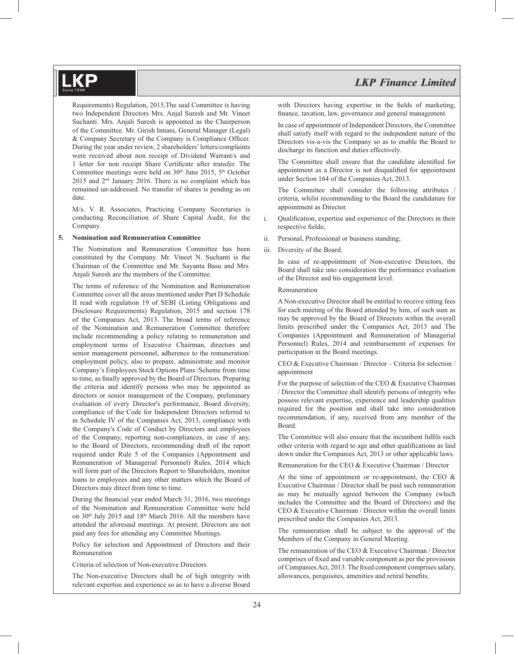Requirements) Regulation, 2015,The said Committee is having two Independent Directors Mrs. Anjal Suresh and Mr. Vineet Suchanti. Mrs. Anjali Suresh is appointed as the Chairperson of the Committee. Mr. Girish Innani, General Manager (Legal) & Company Secretary of the Company is Compliance Officer. During the year under review, 2 shareholders' letters/complaints were received about non receipt of Dividend Warrant/s and 1 letter for non receipt Share Certificate after transfer. The Committee meetings were held on  $30<sup>th</sup>$  June 2015,  $5<sup>th</sup>$  October 2015 and 2nd January 2016. There is no complaint which has remained un-addressed. No transfer of shares is pending as on date.

 M/s. V. R. Associates, Practicing Company Secretaries is conducting Reconciliation of Share Capital Audit, for the Company.

#### **5. Nomination and Remuneration Committee**

The Nomination and Remuneration Committee has been constituted by the Company. Mr. Vineet N. Suchanti is the Chairman of the Committee and Mr. Sayanta Basu and Mrs. Anjali Suresh are the members of the Committee.

The terms of reference of the Nomination and Remuneration Committee cover all the areas mentioned under Part D Schedule II read with regulation 19 of SEBI (Listing Obligations and Disclosure Requirements) Regulation, 2015 and section 178 of the Companies Act, 2013. The broad terms of reference of the Nomination and Remuneration Committee therefore include recommending a policy relating to remuneration and employment terms of Executive Chairman, directors and senior management personnel, adherence to the remuneration/ employment policy, also to prepare, administrate and monitor Company's Employees Stock Options Plans /Scheme from time to time, as finally approved by the Board of Directors. Preparing the criteria and identify persons who may be appointed as directors or senior management of the Company, preliminary evaluation of every Director's performance, Board diversity, compliance of the Code for Independent Directors referred to in Schedule IV of the Companies Act, 2013, compliance with the Company's Code of Conduct by Directors and employees of the Company, reporting non-compliances, in case if any, to the Board of Directors, recommending draft of the report required under Rule 5 of the Companies (Appointment and Remuneration of Managerial Personnel) Rules, 2014 which will form part of the Directors Report to Shareholders, monitor loans to employees and any other matters which the Board of Directors may direct from time to time.

During the financial year ended March 31, 2016, two meetings of the Nomination and Remuneration Committee were held on 30<sup>th</sup> July 2015 and 18<sup>th</sup> March 2016. All the members have attended the aforesaid meetings. At present, Directors are not paid any fees for attending any Committee Meetings.

 Policy for selection and Appointment of Directors and their Remuneration

Criteria of selection of Non-executive Directors

 The Non-executive Directors shall be of high integrity with relevant expertise and experience so as to have a diverse Board with Directors having expertise in the fields of marketing, finance, taxation, law, governance and general management.

 In case of appointment of Independent Directors, the Committee shall satisfy itself with regard to the independent nature of the Directors vis-a-vis the Company so as to enable the Board to discharge its function and duties effectively.

The Committee shall ensure that the candidate identified for appointment as a Director is not disqualified for appointment under Section 164 of the Companies Act, 2013.

 The Committee shall consider the following attributes / criteria, whilst recommending to the Board the candidature for appointment as Director.

- i. Qualification, expertise and experience of the Directors in their respective fields;
- ii. Personal, Professional or business standing;
- iii. Diversity of the Board.

 In case of re-appointment of Non-executive Directors, the Board shall take into consideration the performance evaluation of the Director and his engagement level.

#### Remuneration

 A Non-executive Director shall be entitled to receive sitting fees for each meeting of the Board attended by him, of such sum as may be approved by the Board of Directors within the overall limits prescribed under the Companies Act, 2013 and The Companies (Appointment and Remuneration of Managerial Personnel) Rules, 2014 and reimbursement of expenses for participation in the Board meetings.

 CEO & Executive Chairman / Director – Criteria for selection / appointment

 For the purpose of selection of the CEO & Executive Chairman / Director the Committee shall identify persons of integrity who possess relevant expertise, experience and leadership qualities required for the position and shall take into consideration recommendation, if any, received from any member of the Board.

The Committee will also ensure that the incumbent fulfils such other criteria with regard to age and other qualifications as laid down under the Companies Act, 2013 or other applicable laws.

Remuneration for the CEO & Executive Chairman / Director

At the time of appointment or re-appointment, the CEO  $\&$ Executive Chairman / Director shall be paid such remuneration as may be mutually agreed between the Company (which includes the Committee and the Board of Directors) and the CEO & Executive Chairman / Director within the overall limits prescribed under the Companies Act, 2013.

 The remuneration shall be subject to the approval of the Members of the Company in General Meeting.

 The remuneration of the CEO & Executive Chairman / Director comprises of fixed and variable component as per the provisions of Companies Act, 2013. The fixed component comprises salary, allowances, perquisites, amenities and retiral benefits.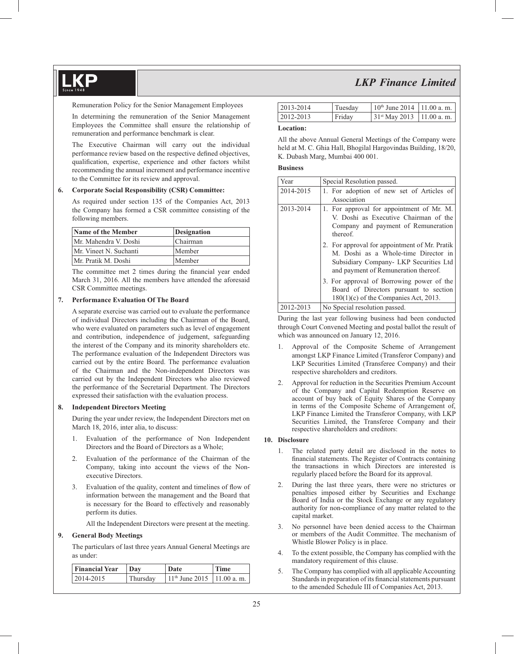Remuneration Policy for the Senior Management Employees

 In determining the remuneration of the Senior Management Employees the Committee shall ensure the relationship of remuneration and performance benchmark is clear.

 The Executive Chairman will carry out the individual performance review based on the respective defined objectives, qualification, expertise, experience and other factors whilst recommending the annual increment and performance incentive to the Committee for its review and approval.

#### **6. Corporate Social Responsibility (CSR) Committee:**

 As required under section 135 of the Companies Act, 2013 the Company has formed a CSR committee consisting of the following members.

| Name of the Member     | Designation |
|------------------------|-------------|
| Mr. Mahendra V. Doshi  | Chairman    |
| Mr. Vineet N. Suchanti | Member      |
| Mr. Pratik M. Doshi    | Member      |

The committee met 2 times during the financial year ended March 31, 2016. All the members have attended the aforesaid CSR Committee meetings.

#### **7. Performance Evaluation Of The Board**

 A separate exercise was carried out to evaluate the performance of individual Directors including the Chairman of the Board, who were evaluated on parameters such as level of engagement and contribution, independence of judgement, safeguarding the interest of the Company and its minority shareholders etc. The performance evaluation of the Independent Directors was carried out by the entire Board. The performance evaluation of the Chairman and the Non-independent Directors was carried out by the Independent Directors who also reviewed the performance of the Secretarial Department. The Directors expressed their satisfaction with the evaluation process.

#### **8. Independent Directors Meeting**

 During the year under review, the Independent Directors met on March 18, 2016, inter alia, to discuss:

- 1. Evaluation of the performance of Non Independent Directors and the Board of Directors as a Whole;
- 2. Evaluation of the performance of the Chairman of the Company, taking into account the views of the Nonexecutive Directors.
- 3. Evaluation of the quality, content and timelines of flow of information between the management and the Board that is necessary for the Board to effectively and reasonably perform its duties.

All the Independent Directors were present at the meeting.

#### **9. General Body Meetings**

The particulars of last three years Annual General Meetings are as under:

| Financial Year | Day      | Date                          | Time |  |
|----------------|----------|-------------------------------|------|--|
| $12014 - 2015$ | Thursdav | $11th$ June 2015   11.00 a.m. |      |  |

| 2013-2014 | Tuesdav | $10th$ June 2014   11.00 a. m. |  |
|-----------|---------|--------------------------------|--|
| 2012-2013 | Friday  | $131st$ May 2013 $11.00$ a.m.  |  |

#### **Location:**

All the above Annual General Meetings of the Company were held at M. C. Ghia Hall, Bhogilal Hargovindas Building, 18/20, K. Dubash Marg, Mumbai 400 001.

#### **Business**

| Year      | Special Resolution passed.                                                                                                                                                                                                                                                                       |
|-----------|--------------------------------------------------------------------------------------------------------------------------------------------------------------------------------------------------------------------------------------------------------------------------------------------------|
| 2014-2015 | 1. For adoption of new set of Articles of<br>Association                                                                                                                                                                                                                                         |
| 2013-2014 | 1. For approval for appointment of Mr. M.<br>V. Doshi as Executive Chairman of the<br>Company and payment of Remuneration<br>thereof.                                                                                                                                                            |
|           | 2. For approval for appointment of Mr. Pratik<br>M. Doshi as a Whole-time Director in<br>Subsidiary Company- LKP Securities Ltd<br>and payment of Remuneration thereof.                                                                                                                          |
|           | 3. For approval of Borrowing power of the<br>Board of Directors pursuant to section<br>$180(1)(c)$ of the Companies Act, 2013.                                                                                                                                                                   |
| 0.10.013  | $\mathbf{M}$ and $\mathbf{M}$ and $\mathbf{M}$ and $\mathbf{M}$ are $\mathbf{M}$ and $\mathbf{M}$ are $\mathbf{M}$ and $\mathbf{M}$ are $\mathbf{M}$ and $\mathbf{M}$ are $\mathbf{M}$ and $\mathbf{M}$ are $\mathbf{M}$ and $\mathbf{M}$ are $\mathbf{M}$ and $\mathbf{M}$ are $\mathbf{M}$ and |

| 2012-2013 | No Special resolution passed.

 During the last year following business had been conducted through Court Convened Meeting and postal ballot the result of which was announced on January 12, 2016.

- 1. Approval of the Composite Scheme of Arrangement amongst LKP Finance Limited (Transferor Company) and LKP Securities Limited (Transferee Company) and their respective shareholders and creditors.
- 2. Approval for reduction in the Securities Premium Account of the Company and Capital Redemption Reserve on account of buy back of Equity Shares of the Company in terms of the Composite Scheme of Arrangement of, LKP Finance Limited the Transferor Company, with LKP Securities Limited, the Transferee Company and their respective shareholders and creditors:

#### **10. Disclosure**

- 1. The related party detail are disclosed in the notes to financial statements. The Register of Contracts containing the transactions in which Directors are interested is regularly placed before the Board for its approval.
- 2. During the last three years, there were no strictures or penalties imposed either by Securities and Exchange Board of India or the Stock Exchange or any regulatory authority for non-compliance of any matter related to the capital market.
- 3. No personnel have been denied access to the Chairman or members of the Audit Committee. The mechanism of Whistle Blower Policy is in place.
- 4. To the extent possible, the Company has complied with the mandatory requirement of this clause.
- 5. The Company has complied with all applicable Accounting Standards in preparation of its financial statements pursuant to the amended Schedule III of Companies Act, 2013.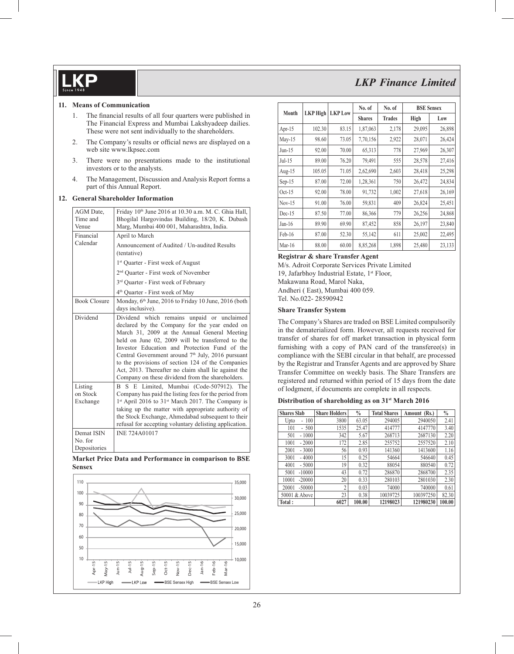#### **11. Means of Communication**

- 1. The financial results of all four quarters were published in The Financial Express and Mumbai Lakshyadeep dailies. These were not sent individually to the shareholders.
- 2. The Company's results or official news are displayed on a web site www.lkpsec.com
- 3. There were no presentations made to the institutional investors or to the analysts.
- 4. The Management, Discussion and Analysis Report forms a part of this Annual Report.

#### **12. General Shareholder Information**

| AGM Date,<br>Time and<br>Venue<br>Financial | Friday 10th June 2016 at 10.30 a.m. M. C. Ghia Hall,<br>Bhogilal Hargovindas Building, 18/20, K. Dubash<br>Marg, Mumbai 400 001, Maharashtra, India.<br>April to March                                                                                                                                                                                                                                                                                                             |
|---------------------------------------------|------------------------------------------------------------------------------------------------------------------------------------------------------------------------------------------------------------------------------------------------------------------------------------------------------------------------------------------------------------------------------------------------------------------------------------------------------------------------------------|
| Calendar                                    | Announcement of Audited / Un-audited Results<br>(tentative)                                                                                                                                                                                                                                                                                                                                                                                                                        |
|                                             | 1 <sup>st</sup> Quarter - First week of August                                                                                                                                                                                                                                                                                                                                                                                                                                     |
|                                             | 2 <sup>nd</sup> Quarter - First week of November                                                                                                                                                                                                                                                                                                                                                                                                                                   |
|                                             | 3rd Quarter - First week of February                                                                                                                                                                                                                                                                                                                                                                                                                                               |
|                                             | 4 <sup>th</sup> Quarter - First week of May                                                                                                                                                                                                                                                                                                                                                                                                                                        |
| <b>Book Closure</b>                         | Monday, 6th June, 2016 to Friday 10 June, 2016 (both<br>days inclusive).                                                                                                                                                                                                                                                                                                                                                                                                           |
| Dividend                                    | Dividend which remains unpaid or unclaimed<br>declared by the Company for the year ended on<br>March 31, 2009 at the Annual General Meeting<br>held on June 02, 2009 will be transferred to the<br>Investor Education and Protection Fund of the<br>Central Government around 7 <sup>th</sup> July, 2016 pursuant<br>to the provisions of section 124 of the Companies<br>Act, 2013. Thereafter no claim shall lie against the<br>Company on these dividend from the shareholders. |
| Listing<br>on Stock<br>Exchange             | E Limited, Mumbai (Code-507912).<br>B.<br>S.<br>The<br>Company has paid the listing fees for the period from<br>1 <sup>st</sup> April 2016 to 31 <sup>st</sup> March 2017. The Company is<br>taking up the matter with appropriate authority of<br>the Stock Exchange, Ahmedabad subsequent to their<br>refusal for accepting voluntary delisting application.                                                                                                                     |
| Demat ISIN<br>No. for<br>Depositories       | <b>INE 724A01017</b>                                                                                                                                                                                                                                                                                                                                                                                                                                                               |

#### **Market Price Data and Performance in comparison to BSE Sensex**



|           |          |                | No. of        | No. of        |        | <b>BSE Sensex</b> |
|-----------|----------|----------------|---------------|---------------|--------|-------------------|
| Month     | LKP High | <b>LKP</b> Low | <b>Shares</b> | <b>Trades</b> | High   | Low               |
| Apr- $15$ | 102.30   | 83.15          | 1,87,063      | 2,178         | 29,095 | 26,898            |
| $May-15$  | 98.60    | 73.05          | 7,70,156      | 2,922         | 28,071 | 26,424            |
| $Jun-15$  | 92.00    | 70.00          | 65,313        | 778           | 27,969 | 26,307            |
| $Jul-15$  | 89.00    | 76.20          | 79,491        | 555           | 28,578 | 27,416            |
| Aug- $15$ | 105.05   | 71.05          | 2,62,690      | 2,603         | 28,418 | 25,298            |
| $Sep-15$  | 87.00    | 72.00          | 1,28,361      | 750           | 26,472 | 24,834            |
| $Oct-15$  | 92.00    | 78.00          | 91,732        | 1,002         | 27,618 | 26,169            |
| $Nov-15$  | 91.00    | 76.00          | 59,831        | 409           | 26,824 | 25,451            |
| $Dec-15$  | 87.50    | 77.00          | 86,366        | 779           | 26,256 | 24,868            |
| $Jan-16$  | 89.90    | 69.90          | 87,452        | 858           | 26,197 | 23,840            |
| Feb-16    | 87.00    | 52.30          | 55,142        | 611           | 25,002 | 22,495            |
| $Mar-16$  | 88.00    | 60.00          | 8,85,268      | 1,898         | 25,480 | 23,133            |

#### **Registrar & share Transfer Agent**

M/s. Adroit Corporate Services Private Limited 19, Jafarbhoy Industrial Estate, 1<sup>st</sup> Floor, Makawana Road, Marol Naka, Andheri ( East), Mumbai 400 059. Tel. No.022- 28590942

#### **Share Transfer System**

 The Company's Shares are traded on BSE Limited compulsorily in the dematerialized form. However, all requests received for transfer of shares for off market transaction in physical form furnishing with a copy of PAN card of the transferee(s) in compliance with the SEBI circular in that behalf, are processed by the Registrar and Transfer Agents and are approved by Share Transfer Committee on weekly basis. The Share Transfers are registered and returned within period of 15 days from the date of lodgment, if documents are complete in all respects.

#### **Distribution of shareholding as on 31st March 2016**

| <b>Shares Slab</b> | <b>Share Holders</b> | $\frac{0}{0}$ | <b>Total Shares</b> | Amount (Rs.) | $\frac{0}{0}$ |
|--------------------|----------------------|---------------|---------------------|--------------|---------------|
| 100<br>Upto<br>ä,  | 3800                 | 63.05         | 294005              | 2940050      | 2.41          |
| 101<br>$-500$      | 1535                 | 25.47         | 414777              | 4147770      | 3.40          |
| $-1000$<br>501     | 342                  | 5.67          | 268713              | 2687130      | 2.20          |
| 1001<br>$-2000$    | 172                  | 2.85          | 255752              | 2557520      | 2.10          |
| $-3000$<br>2001    | 56                   | 0.93          | 141360              | 1413600      | 1.16          |
| 3001<br>$-4000$    | 15                   | 0.25          | 54664               | 546640       | 0.45          |
| 4001<br>$-5000$    | 19                   | 0.32          | 88054               | 880540       | 0.72          |
| $-10000$<br>5001   | 43                   | 0.72          | 286870              | 2868700      | 2.35          |
| $-20000$<br>10001  | 20                   | 0.33          | 280103              | 2801030      | 2.30          |
| 20001<br>$-50000$  | $\overline{c}$       | 0.03          | 74000               | 740000       | 0.61          |
| 50001 & Above      | 23                   | 0.38          | 10039725            | 100397250    | 82.30         |
| Total:             | 6027                 | 100.00        | 12198023            | 121980230    | 100.00        |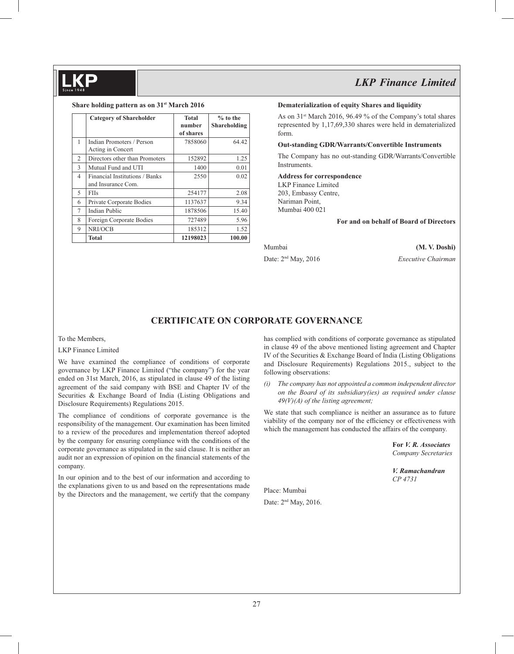#### **Share holding pattern as on 31st March 2016**

|                | <b>Category of Shareholder</b> | <b>Total</b><br>number<br>of shares | $%$ to the<br>Shareholding |
|----------------|--------------------------------|-------------------------------------|----------------------------|
| 1              | Indian Promoters / Person      | 7858060                             | 64.42                      |
|                | Acting in Concert              |                                     |                            |
| $\overline{c}$ | Directors other than Promoters | 152892                              | 1.25                       |
| 3              | Mutual Fund and UTI            | 1400                                | 0.01                       |
| $\overline{4}$ | Financial Institutions / Banks | 2550                                | 0.02                       |
|                | and Insurance Com.             |                                     |                            |
| 5              | <b>FIIs</b>                    | 254177                              | 2.08                       |
| 6              | Private Corporate Bodies       | 1137637                             | 9.34                       |
| 7              | <b>Indian Public</b>           | 1878506                             | 15.40                      |
| 8              | Foreign Corporate Bodies       | 727489                              | 5.96                       |
| 9              | NRI/OCB                        | 185312                              | 1.52                       |
|                | Total                          | 12198023                            | 100.00                     |

#### **Dematerialization of equity Shares and liquidity**

As on  $31<sup>st</sup>$  March 2016, 96.49 % of the Company's total shares represented by 1,17,69,330 shares were held in dematerialized form.

#### **Out-standing GDR/Warrants/Convertible Instruments**

The Company has no out-standing GDR/Warrants/Convertible Instruments.

#### **Address for correspondence**

LKP Finance Limited 203, Embassy Centre, Nariman Point, Mumbai 400 021

 **For and on behalf of Board of Directors**

Mumbai **(M. V. Doshi)** 

Date: 2nd May, 2016 *Executive Chairman*

### **CERTIFICATE ON CORPORATE GOVERNANCE**

#### To the Members,

#### LKP Finance Limited

We have examined the compliance of conditions of corporate governance by LKP Finance Limited ("the company") for the year ended on 31st March, 2016, as stipulated in clause 49 of the listing agreement of the said company with BSE and Chapter IV of the Securities & Exchange Board of India (Listing Obligations and Disclosure Requirements) Regulations 2015.

The compliance of conditions of corporate governance is the responsibility of the management. Our examination has been limited to a review of the procedures and implementation thereof adopted by the company for ensuring compliance with the conditions of the corporate governance as stipulated in the said clause. It is neither an audit nor an expression of opinion on the financial statements of the company.

In our opinion and to the best of our information and according to the explanations given to us and based on the representations made by the Directors and the management, we certify that the company has complied with conditions of corporate governance as stipulated in clause 49 of the above mentioned listing agreement and Chapter IV of the Securities & Exchange Board of India (Listing Obligations and Disclosure Requirements) Regulations 2015., subject to the following observations:

*(i) The company has not appointed a common independent director on the Board of its subsidiary(ies) as required under clause 49(V)(A) of the listing agreement;*

We state that such compliance is neither an assurance as to future viability of the company nor of the efficiency or effectiveness with which the management has conducted the affairs of the company.

> **For** *V. R. Associates Company Secretaries*

*V. Ramachandran CP 4731*

Place: Mumbai Date: 2nd May, 2016.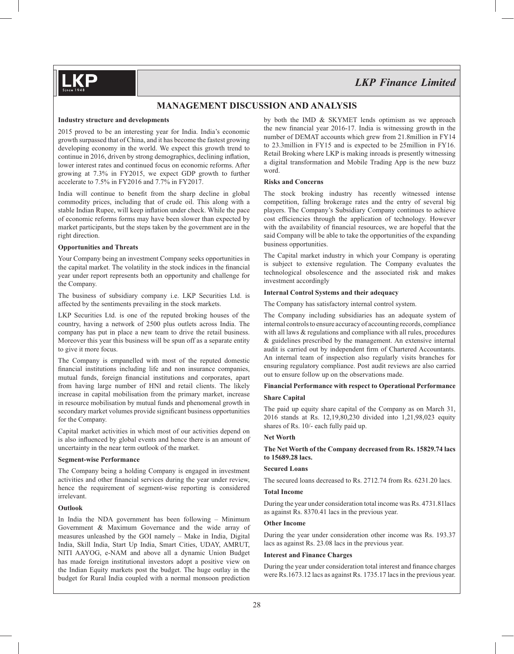## **MANAGEMENT DISCUSSION AND ANALYSIS**

#### **Industry structure and developments**

2015 proved to be an interesting year for India. India's economic growth surpassed that of China, and it has become the fastest growing developing economy in the world. We expect this growth trend to continue in 2016, driven by strong demographics, declining inflation, lower interest rates and continued focus on economic reforms. After growing at 7.3% in FY2015, we expect GDP growth to further accelerate to 7.5% in FY2016 and 7.7% in FY2017.

India will continue to benefit from the sharp decline in global commodity prices, including that of crude oil. This along with a stable Indian Rupee, will keep inflation under check. While the pace of economic reforms forms may have been slower than expected by market participants, but the steps taken by the government are in the right direction.

#### **Opportunities and Threats**

Your Company being an investment Company seeks opportunities in the capital market. The volatility in the stock indices in the financial year under report represents both an opportunity and challenge for the Company.

The business of subsidiary company i.e. LKP Securities Ltd. is affected by the sentiments prevailing in the stock markets.

LKP Securities Ltd. is one of the reputed broking houses of the country, having a network of 2500 plus outlets across India. The company has put in place a new team to drive the retail business. Moreover this year this business will be spun off as a separate entity to give it more focus.

The Company is empanelled with most of the reputed domestic financial institutions including life and non insurance companies, mutual funds, foreign financial institutions and corporates, apart from having large number of HNI and retail clients. The likely increase in capital mobilisation from the primary market, increase in resource mobilisation by mutual funds and phenomenal growth in secondary market volumes provide significant business opportunities for the Company.

Capital market activities in which most of our activities depend on is also influenced by global events and hence there is an amount of uncertainty in the near term outlook of the market.

#### **Segment-wise Performance**

The Company being a holding Company is engaged in investment activities and other financial services during the year under review, hence the requirement of segment-wise reporting is considered irrelevant.

#### **Outlook**

In India the NDA government has been following – Minimum Government & Maximum Governance and the wide array of measures unleashed by the GOI namely – Make in India, Digital India, Skill India, Start Up India, Smart Cities, UDAY, AMRUT, NITI AAYOG, e-NAM and above all a dynamic Union Budget has made foreign institutional investors adopt a positive view on the Indian Equity markets post the budget. The huge outlay in the budget for Rural India coupled with a normal monsoon prediction by both the IMD & SKYMET lends optimism as we approach the new financial year  $2016-17$ . India is witnessing growth in the number of DEMAT accounts which grew from 21.8million in FY14 to 23.3million in FY15 and is expected to be 25million in FY16. Retail Broking where LKP is making inroads is presently witnessing a digital transformation and Mobile Trading App is the new buzz word.

#### **Risks and Concerns**

The stock broking industry has recently witnessed intense competition, falling brokerage rates and the entry of several big players. The Company's Subsidiary Company continues to achieve cost efficiencies through the application of technology. However with the availability of financial resources, we are hopeful that the said Company will be able to take the opportunities of the expanding business opportunities.

The Capital market industry in which your Company is operating is subject to extensive regulation. The Company evaluates the technological obsolescence and the associated risk and makes investment accordingly

### **Internal Control Systems and their adequacy**

The Company has satisfactory internal control system.

The Company including subsidiaries has an adequate system of internal controls to ensure accuracy of accounting records, compliance with all laws & regulations and compliance with all rules, procedures & guidelines prescribed by the management. An extensive internal audit is carried out by independent firm of Chartered Accountants. An internal team of inspection also regularly visits branches for ensuring regulatory compliance. Post audit reviews are also carried out to ensure follow up on the observations made.

#### **Financial Performance with respect to Operational Performance**

#### **Share Capital**

The paid up equity share capital of the Company as on March 31, 2016 stands at Rs. 12,19,80,230 divided into 1,21,98,023 equity shares of Rs. 10/- each fully paid up.

#### **Net Worth**

#### **The Net Worth of the Company decreased from Rs. 15829.74 lacs to 15689.28 lacs.**

#### **Secured Loans**

The secured loans decreased to Rs. 2712.74 from Rs. 6231.20 lacs.

#### **Total Income**

During the year under consideration total income was Rs. 4731.81lacs as against Rs. 8370.41 lacs in the previous year.

#### **Other Income**

During the year under consideration other income was Rs. 193.37 lacs as against Rs. 23.08 lacs in the previous year.

#### **Interest and Finance Charges**

During the year under consideration total interest and finance charges were Rs.1673.12 lacs as against Rs. 1735.17 lacs in the previous year.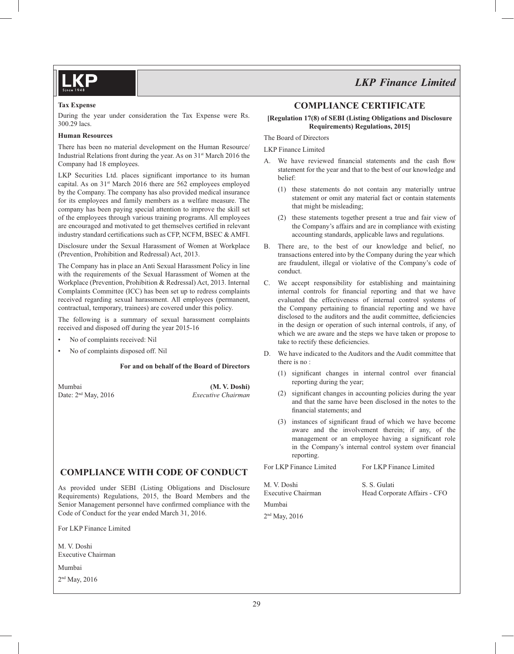#### **Tax Expense**

During the year under consideration the Tax Expense were Rs. 300.29 lacs.

#### **Human Resources**

There has been no material development on the Human Resource/ Industrial Relations front during the year. As on  $31<sup>st</sup>$  March 2016 the Company had 18 employees.

LKP Securities Ltd. places significant importance to its human capital. As on 31<sup>st</sup> March 2016 there are 562 employees employed by the Company. The company has also provided medical insurance for its employees and family members as a welfare measure. The company has been paying special attention to improve the skill set of the employees through various training programs. All employees are encouraged and motivated to get themselves certified in relevant industry standard certifications such as CFP, NCFM, BSEC  $&$  AMFI.

Disclosure under the Sexual Harassment of Women at Workplace (Prevention, Prohibition and Redressal) Act, 2013.

The Company has in place an Anti Sexual Harassment Policy in line with the requirements of the Sexual Harassment of Women at the Workplace (Prevention, Prohibition & Redressal) Act, 2013. Internal Complaints Committee (ICC) has been set up to redress complaints received regarding sexual harassment. All employees (permanent, contractual, temporary, trainees) are covered under this policy.

The following is a summary of sexual harassment complaints received and disposed off during the year 2015-16

- No of complaints received: Nil
- No of complaints disposed off. Nil

#### **For and on behalf of the Board of Directors**

Mumbai **(M. V. Doshi)** Date: 2nd May, 2016 *Executive Chairman*

## **COMPLIANCE WITH CODE OF CONDUCT**

As provided under SEBI (Listing Obligations and Disclosure Requirements) Regulations, 2015, the Board Members and the Senior Management personnel have confirmed compliance with the Code of Conduct for the year ended March 31, 2016.

For LKP Finance Limited

M. V. Doshi Executive Chairman

Mumbai

2<sup>nd</sup> May, 2016

## **COMPLIANCE CERTIFICATE**

#### **[Regulation 17(8) of SEBI (Listing Obligations and Disclosure Requirements) Regulations, 2015]**

The Board of Directors

LKP Finance Limited

- A. We have reviewed financial statements and the cash flow statement for the year and that to the best of our knowledge and belief:
	- (1) these statements do not contain any materially untrue statement or omit any material fact or contain statements that might be misleading;
	- (2) these statements together present a true and fair view of the Company's affairs and are in compliance with existing accounting standards, applicable laws and regulations.
- B. There are, to the best of our knowledge and belief, no transactions entered into by the Company during the year which are fraudulent, illegal or violative of the Company's code of conduct.
- C. We accept responsibility for establishing and maintaining internal controls for financial reporting and that we have evaluated the effectiveness of internal control systems of the Company pertaining to financial reporting and we have disclosed to the auditors and the audit committee, deficiencies in the design or operation of such internal controls, if any, of which we are aware and the steps we have taken or propose to take to rectify these deficiencies.
- D. We have indicated to the Auditors and the Audit committee that there is no :
	- (1) significant changes in internal control over financial reporting during the year;
	- $(2)$  significant changes in accounting policies during the year and that the same have been disclosed in the notes to the financial statements; and
	- $(3)$  instances of significant fraud of which we have become aware and the involvement therein; if any, of the management or an employee having a significant role in the Company's internal control system over financial reporting.

| For LKP Finance Limited           | For LKP Finance Limited                      |
|-----------------------------------|----------------------------------------------|
| M. V. Doshi<br>Executive Chairman | S. S. Gulati<br>Head Corporate Affairs - CFO |
| Mumbai                            |                                              |
| $2nd$ May, 2016                   |                                              |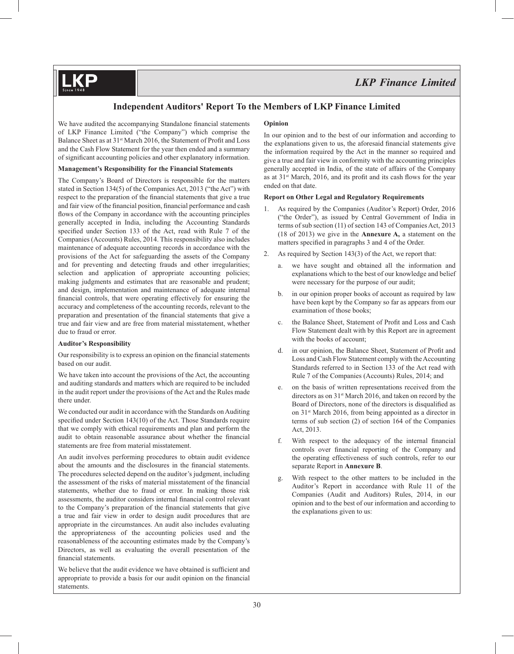## **Independent Auditors' Report To the Members of LKP Finance Limited**

We have audited the accompanying Standalone financial statements of LKP Finance Limited ("the Company") which comprise the Balance Sheet as at 31<sup>st</sup> March 2016, the Statement of Profit and Loss and the Cash Flow Statement for the year then ended and a summary of significant accounting policies and other explanatory information.

#### **Management's Responsibility for the Financial Statements**

The Company's Board of Directors is responsible for the matters stated in Section 134(5) of the Companies Act, 2013 ("the Act") with respect to the preparation of the financial statements that give a true and fair view of the financial position, financial performance and cash flows of the Company in accordance with the accounting principles generally accepted in India, including the Accounting Standards specified under Section 133 of the Act, read with Rule 7 of the Companies (Accounts) Rules, 2014. This responsibility also includes maintenance of adequate accounting records in accordance with the provisions of the Act for safeguarding the assets of the Company and for preventing and detecting frauds and other irregularities; selection and application of appropriate accounting policies; making judgments and estimates that are reasonable and prudent; and design, implementation and maintenance of adequate internal financial controls, that were operating effectively for ensuring the accuracy and completeness of the accounting records, relevant to the preparation and presentation of the financial statements that give a true and fair view and are free from material misstatement, whether due to fraud or error.

#### **Auditor's Responsibility**

Our responsibility is to express an opinion on the financial statements based on our audit.

We have taken into account the provisions of the Act, the accounting and auditing standards and matters which are required to be included in the audit report under the provisions of the Act and the Rules made there under.

We conducted our audit in accordance with the Standards on Auditing specified under Section  $143(10)$  of the Act. Those Standards require that we comply with ethical requirements and plan and perform the audit to obtain reasonable assurance about whether the financial statements are free from material misstatement.

An audit involves performing procedures to obtain audit evidence about the amounts and the disclosures in the financial statements. The procedures selected depend on the auditor's judgment, including the assessment of the risks of material misstatement of the financial statements, whether due to fraud or error. In making those risk assessments, the auditor considers internal financial control relevant to the Company's preparation of the financial statements that give a true and fair view in order to design audit procedures that are appropriate in the circumstances. An audit also includes evaluating the appropriateness of the accounting policies used and the reasonableness of the accounting estimates made by the Company's Directors, as well as evaluating the overall presentation of the financial statements.

We believe that the audit evidence we have obtained is sufficient and appropriate to provide a basis for our audit opinion on the financial statements.

### **Opinion**

In our opinion and to the best of our information and according to the explanations given to us, the aforesaid financial statements give the information required by the Act in the manner so required and give a true and fair view in conformity with the accounting principles generally accepted in India, of the state of affairs of the Company as at  $31^{st}$  March, 2016, and its profit and its cash flows for the year ended on that date.

#### **Report on Other Legal and Regulatory Requirements**

- 1. As required by the Companies (Auditor's Report) Order, 2016 ("the Order"), as issued by Central Government of India in terms of sub section (11) of section 143 of Companies Act, 2013 (18 of 2013) we give in the **Annexure A,** a statement on the matters specified in paragraphs 3 and 4 of the Order.
- 2. As required by Section 143(3) of the Act, we report that:
	- a. we have sought and obtained all the information and explanations which to the best of our knowledge and belief were necessary for the purpose of our audit;
	- b. in our opinion proper books of account as required by law have been kept by the Company so far as appears from our examination of those books;
	- c. the Balance Sheet, Statement of Profit and Loss and Cash Flow Statement dealt with by this Report are in agreement with the books of account;
	- d. in our opinion, the Balance Sheet, Statement of Profit and Loss and Cash Flow Statement comply with the Accounting Standards referred to in Section 133 of the Act read with Rule 7 of the Companies (Accounts) Rules, 2014; and
	- e. on the basis of written representations received from the directors as on 31<sup>st</sup> March 2016, and taken on record by the Board of Directors, none of the directors is disqualified as on 31st March 2016, from being appointed as a director in terms of sub section (2) of section 164 of the Companies Act, 2013.
	- f. With respect to the adequacy of the internal financial controls over financial reporting of the Company and the operating effectiveness of such controls, refer to our separate Report in **Annexure B**.
	- g. With respect to the other matters to be included in the Auditor's Report in accordance with Rule 11 of the Companies (Audit and Auditors) Rules, 2014, in our opinion and to the best of our information and according to the explanations given to us: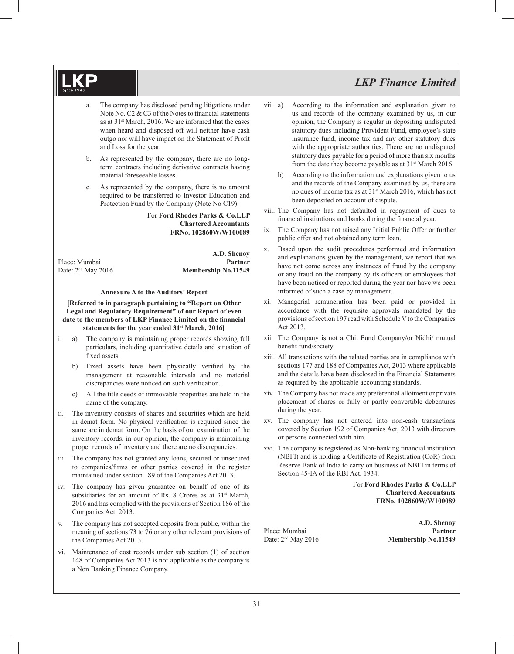- The company has disclosed pending litigations under Note No.  $C2 \& C3$  of the Notes to financial statements as at 31st March, 2016. We are informed that the cases when heard and disposed off will neither have cash outgo nor will have impact on the Statement of Profit and Loss for the year.
- b. As represented by the company, there are no longterm contracts including derivative contracts having material foreseeable losses.
- c. As represented by the company, there is no amount required to be transferred to Investor Education and Protection Fund by the Company (Note No C19).

For **Ford Rhodes Parks & Co.LLP Chartered Accountants FRNo. 102860W/W100089**

 **A.D. Shenoy** Place: Mumbai **Partner** Date: 2<sup>nd</sup> May 2016 **Membership No.11549** 

#### **Annexure A to the Auditors' Report**

#### **[Referred to in paragraph pertaining to "Report on Other Legal and Regulatory Requirement" of our Report of even**  date to the members of LKP Finance Limited on the financial **statements for the year ended 31st March, 2016]**

- i. a) The company is maintaining proper records showing full particulars, including quantitative details and situation of fixed assets.
	- b) Fixed assets have been physically verified by the management at reasonable intervals and no material discrepancies were noticed on such verification.
	- c) All the title deeds of immovable properties are held in the name of the company.
- ii. The inventory consists of shares and securities which are held in demat form. No physical verification is required since the same are in demat form. On the basis of our examination of the inventory records, in our opinion, the company is maintaining proper records of inventory and there are no discrepancies.
- iii. The company has not granted any loans, secured or unsecured to companies/firms or other parties covered in the register maintained under section 189 of the Companies Act 2013.
- iv. The company has given guarantee on behalf of one of its subsidiaries for an amount of Rs. 8 Crores as at 31<sup>st</sup> March, 2016 and has complied with the provisions of Section 186 of the Companies Act, 2013.
- v. The company has not accepted deposits from public, within the meaning of sections 73 to 76 or any other relevant provisions of the Companies Act 2013.
- vi. Maintenance of cost records under sub section (1) of section 148 of Companies Act 2013 is not applicable as the company is a Non Banking Finance Company.
- vii. a) According to the information and explanation given to us and records of the company examined by us, in our opinion, the Company is regular in depositing undisputed statutory dues including Provident Fund, employee's state insurance fund, income tax and any other statutory dues with the appropriate authorities. There are no undisputed statutory dues payable for a period of more than six months from the date they become payable as at  $31<sup>st</sup>$  March 2016.
	- b) According to the information and explanations given to us and the records of the Company examined by us, there are no dues of income tax as at 31st March 2016, which has not been deposited on account of dispute.
- viii. The Company has not defaulted in repayment of dues to financial institutions and banks during the financial year.
- ix. The Company has not raised any Initial Public Offer or further public offer and not obtained any term loan.
- x. Based upon the audit procedures performed and information and explanations given by the management, we report that we have not come across any instances of fraud by the company or any fraud on the company by its officers or employees that have been noticed or reported during the year nor have we been informed of such a case by management.
- xi. Managerial remuneration has been paid or provided in accordance with the requisite approvals mandated by the provisions of section 197 read with Schedule V to the Companies Act 2013.
- xii. The Company is not a Chit Fund Company/or Nidhi/ mutual benefit fund/society.
- xiii. All transactions with the related parties are in compliance with sections 177 and 188 of Companies Act, 2013 where applicable and the details have been disclosed in the Financial Statements as required by the applicable accounting standards.
- xiv. The Company has not made any preferential allotment or private placement of shares or fully or partly convertible debentures during the year.
- xv. The company has not entered into non-cash transactions covered by Section 192 of Companies Act, 2013 with directors or persons connected with him.
- xvi. The company is registered as Non-banking financial institution (NBFI) and is holding a Certificate of Registration (CoR) from Reserve Bank of India to carry on business of NBFI in terms of Section 45-IA of the RBI Act, 1934.

For **Ford Rhodes Parks & Co.LLP Chartered Accountants FRNo. 102860W/W100089**

 **A.D. Shenoy** Place: Mumbai **Partner** Date: 2<sup>nd</sup> May 2016 **Membership No.11549**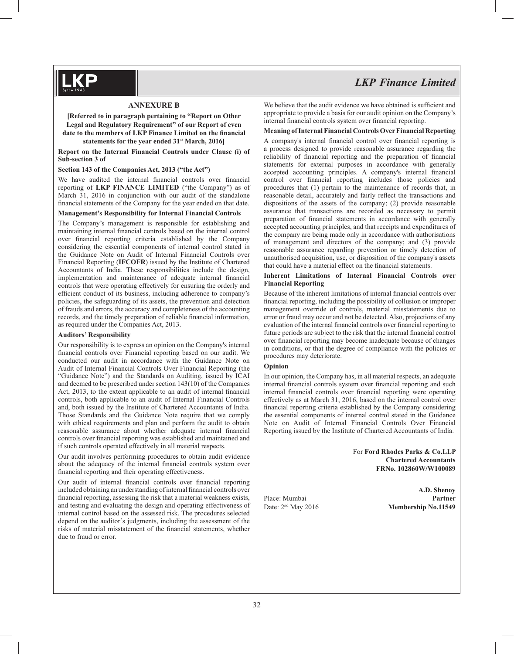#### **ANNEXURE B**

**[Referred to in paragraph pertaining to "Report on Other Legal and Regulatory Requirement" of our Report of even**  date to the members of LKP Finance Limited on the financial **statements for the year ended 31st March, 2016]**

**Report on the Internal Financial Controls under Clause (i) of Sub-section 3 of**

#### **Section 143 of the Companies Act, 2013 ("the Act")**

We have audited the internal financial controls over financial reporting of **LKP FINANCE LIMITED** ("the Company") as of March 31, 2016 in conjunction with our audit of the standalone financial statements of the Company for the year ended on that date.

#### **Management's Responsibility for Internal Financial Controls**

The Company's management is responsible for establishing and maintaining internal financial controls based on the internal control over financial reporting criteria established by the Company considering the essential components of internal control stated in the Guidance Note on Audit of Internal Financial Controls over Financial Reporting (**IFCOFR**) issued by the Institute of Chartered Accountants of India. These responsibilities include the design, implementation and maintenance of adequate internal financial controls that were operating effectively for ensuring the orderly and efficient conduct of its business, including adherence to company's policies, the safeguarding of its assets, the prevention and detection of frauds and errors, the accuracy and completeness of the accounting records, and the timely preparation of reliable financial information, as required under the Companies Act, 2013.

#### **Auditors' Responsibility**

Our responsibility is to express an opinion on the Company's internal financial controls over Financial reporting based on our audit. We conducted our audit in accordance with the Guidance Note on Audit of Internal Financial Controls Over Financial Reporting (the "Guidance Note") and the Standards on Auditing, issued by ICAI and deemed to be prescribed under section 143(10) of the Companies Act, 2013, to the extent applicable to an audit of internal financial controls, both applicable to an audit of Internal Financial Controls and, both issued by the Institute of Chartered Accountants of India. Those Standards and the Guidance Note require that we comply with ethical requirements and plan and perform the audit to obtain reasonable assurance about whether adequate internal financial controls over financial reporting was established and maintained and if such controls operated effectively in all material respects.

Our audit involves performing procedures to obtain audit evidence about the adequacy of the internal financial controls system over financial reporting and their operating effectiveness.

Our audit of internal financial controls over financial reporting included obtaining an understanding of internal financial controls over financial reporting, assessing the risk that a material weakness exists, and testing and evaluating the design and operating effectiveness of internal control based on the assessed risk. The procedures selected depend on the auditor's judgments, including the assessment of the risks of material misstatement of the financial statements, whether due to fraud or error.

# *LKP Finance Limited*

We believe that the audit evidence we have obtained is sufficient and appropriate to provide a basis for our audit opinion on the Company's internal financial controls system over financial reporting.

#### **Meaning of Internal Financial Controls Over Financial Reporting**

A company's internal financial control over financial reporting is a process designed to provide reasonable assurance regarding the reliability of financial reporting and the preparation of financial statements for external purposes in accordance with generally accepted accounting principles. A company's internal financial control over financial reporting includes those policies and procedures that (1) pertain to the maintenance of records that, in reasonable detail, accurately and fairly reflect the transactions and dispositions of the assets of the company; (2) provide reasonable assurance that transactions are recorded as necessary to permit preparation of financial statements in accordance with generally accepted accounting principles, and that receipts and expenditures of the company are being made only in accordance with authorisations of management and directors of the company; and (3) provide reasonable assurance regarding prevention or timely detection of unauthorised acquisition, use, or disposition of the company's assets that could have a material effect on the financial statements.

#### **Inherent Limitations of Internal Financial Controls over Financial Reporting**

Because of the inherent limitations of internal financial controls over financial reporting, including the possibility of collusion or improper management override of controls, material misstatements due to error or fraud may occur and not be detected. Also, projections of any evaluation of the internal financial controls over financial reporting to future periods are subject to the risk that the internal financial control over financial reporting may become inadequate because of changes in conditions, or that the degree of compliance with the policies or procedures may deteriorate.

#### **Opinion**

In our opinion, the Company has, in all material respects, an adequate internal financial controls system over financial reporting and such internal financial controls over financial reporting were operating effectively as at March 31, 2016, based on the internal control over financial reporting criteria established by the Company considering the essential components of internal control stated in the Guidance Note on Audit of Internal Financial Controls Over Financial Reporting issued by the Institute of Chartered Accountants of India.

> For **Ford Rhodes Parks & Co.LLP Chartered Accountants FRNo. 102860W/W100089**

 **A.D. Shenoy** Place: Mumbai **Partner** Date: 2<sup>nd</sup> May 2016 **Membership No.11549**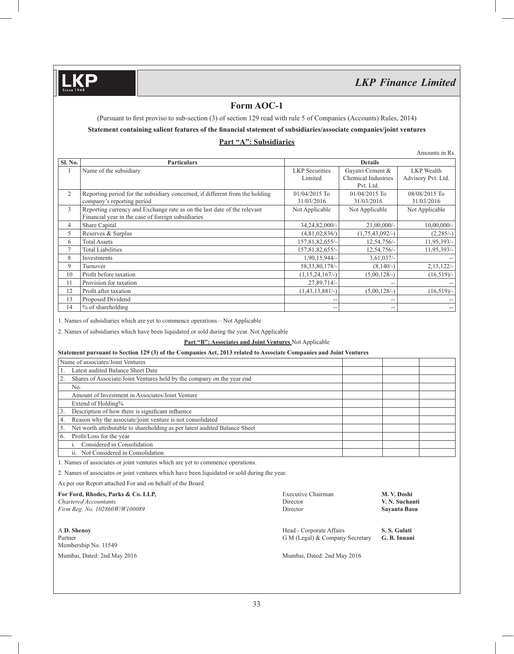## **Form AOC-1**

(Pursuant to first proviso to sub-section (3) of section 129 read with rule 5 of Companies (Accounts) Rules, 2014)

## Statement containing salient features of the financial statement of subsidiaries/associate companies/joint ventures

## **Part "A": Subsidiaries**

Amounts in Rs.

|                |                                                                              |                       |                     | AIIIOUIIIS III KS                     |
|----------------|------------------------------------------------------------------------------|-----------------------|---------------------|---------------------------------------|
| Sl. No.        | <b>Particulars</b>                                                           |                       | <b>Details</b>      |                                       |
|                | Name of the subsidiary                                                       | <b>LKP</b> Securities | Gayatri Cement &    | <b>LKP</b> Wealth                     |
|                |                                                                              | Limited               | Chemical Industries | Advisory Pvt. Ltd.                    |
|                |                                                                              |                       | Pvt. Ltd.           |                                       |
| $\overline{2}$ | Reporting period for the subsidiary concerned, if different from the holding | $01/04/2015$ To       | 01/04/2015 To       | 08/08/2015 To                         |
|                | company's reporting period                                                   | 31/03/2016            | 31/03/2016          | 31/03/2016                            |
| 3              | Reporting currency and Exchange rate as on the last date of the relevant     | Not Applicable        | Not Applicable      | Not Applicable                        |
|                | Financial year in the case of foreign subsidiaries                           |                       |                     |                                       |
| $\overline{4}$ | Share Capital                                                                | 34,24,82,000/-        | $21,00,000/-$       | $10,00,000/$ -                        |
| 5              | Reserves & Surplus                                                           | (4,81,02,836/)        | $(1,75,43,092/-)$   | $(2,285/-)$                           |
| 6              | <b>Total Assets</b>                                                          | 157,81,82,655/-       | 12,54,756/-         | 11,95,393/-                           |
| $\tau$         | <b>Total Liabilities</b>                                                     | 157,81,82,655/-       | 12,54,756/-         | 11,95,393/-                           |
| 8              | Investments                                                                  | 1,90,15,944/-         | $3,61,037/-$        |                                       |
| 9              | Turnover                                                                     | 58, 33, 80, 178/-     | $(8,140/-)$         | $2,13,122/-$                          |
| 10             | Profit before taxation                                                       | $(1,15,24,167/-)$     | $(5,00,128/-)$      | $(16,519)$ /-                         |
| 11             | Provision for taxation                                                       | 27,89,714/-           |                     |                                       |
| 12             | Profit after taxation                                                        | $(1,43,13,881/-)$     | $(5,00,128/-)$      | $(16,519)$ /-                         |
| 13             | Proposed Dividend                                                            | $-$                   |                     |                                       |
| 14             | $%$ of shareholding                                                          | $- -$                 | --                  | $\hspace{0.05cm}$ – $\hspace{0.05cm}$ |

1. Names of subsidiaries which are yet to commence operations – Not Applicable

2. Names of subsidiaries which have been liquidated or sold during the year. Not Applicable

**Part "B": Associates and Joint Ventures** Not Applicable

#### **Statement pursuant to Section 129 (3) of the Companies Act, 2013 related to Associate Companies and Joint Ventures**

| Name of associates/Joint Ventures                                                |  |  |
|----------------------------------------------------------------------------------|--|--|
| Latest audited Balance Sheet Date                                                |  |  |
| Shares of Associate/Joint Ventures held by the company on the year end           |  |  |
| No.                                                                              |  |  |
| Amount of Investment in Associates/Joint Venture                                 |  |  |
| Extend of Holding%                                                               |  |  |
| Description of how there is significant influence<br>3.                          |  |  |
| Reason why the associate/joint venture is not consolidated<br>4.                 |  |  |
| Net worth attributable to shareholding as per latest audited Balance Sheet<br>5. |  |  |
| Profit/Loss for the year<br>6.                                                   |  |  |
| Considered in Consolidation                                                      |  |  |
| ii. Not Considered in Consolidation                                              |  |  |

1. Names of associates or joint ventures which are yet to commence operations.

2. Names of associates or joint ventures which have been liquidated or sold during the year.

As per our Report attached For and on behalf of the Board

| For Ford, Rhodes, Parks & Co. LLP,<br>Chartered Accountants<br>Firm Reg. No. 102860W/W100089 | Executive Chairman<br>Director<br>Director                  | M. V. Doshi<br>V. N. Suchanti<br>Savanta Basu |  |
|----------------------------------------------------------------------------------------------|-------------------------------------------------------------|-----------------------------------------------|--|
| A.D. Shenov<br>Partner<br>Membership No. 11549                                               | Head - Corporate Affairs<br>G M (Legal) & Company Secretary | S. S. Gulati<br>G. B. Innani                  |  |
| Mumbai, Dated: 2nd May 2016                                                                  | Mumbai, Dated: 2nd May 2016                                 |                                               |  |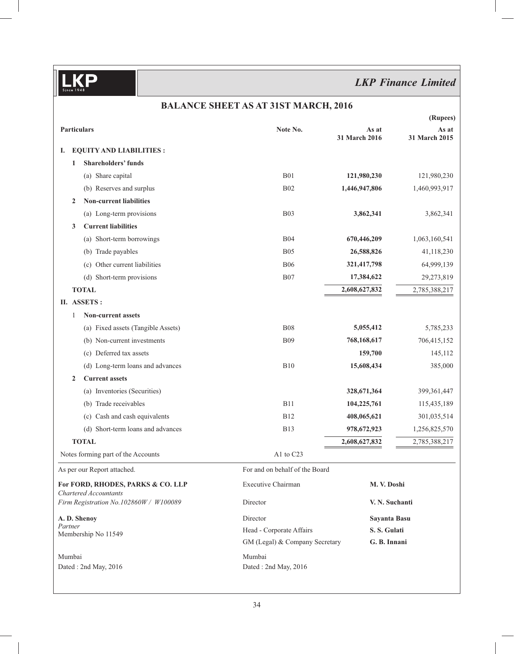## **BALANCE SHEET AS AT 31ST MARCH, 2016**

|                                                            |                                    |                                |                        | (Rupees)               |
|------------------------------------------------------------|------------------------------------|--------------------------------|------------------------|------------------------|
| <b>Particulars</b>                                         |                                    | Note No.                       | As at<br>31 March 2016 | As at<br>31 March 2015 |
| I.                                                         | <b>EQUITY AND LIABILITIES:</b>     |                                |                        |                        |
| 1                                                          | <b>Shareholders' funds</b>         |                                |                        |                        |
|                                                            | (a) Share capital                  | <b>B01</b>                     | 121,980,230            | 121,980,230            |
|                                                            | (b) Reserves and surplus           | <b>B02</b>                     | 1,446,947,806          | 1,460,993,917          |
| $\mathbf{2}$                                               | <b>Non-current liabilities</b>     |                                |                        |                        |
|                                                            | (a) Long-term provisions           | <b>B03</b>                     | 3,862,341              | 3,862,341              |
| 3                                                          | <b>Current liabilities</b>         |                                |                        |                        |
|                                                            | (a) Short-term borrowings          | <b>B04</b>                     | 670,446,209            | 1,063,160,541          |
|                                                            | (b) Trade payables                 | <b>B05</b>                     | 26,588,826             | 41,118,230             |
|                                                            | Other current liabilities<br>(c)   | <b>B06</b>                     | 321,417,798            | 64,999,139             |
|                                                            | (d) Short-term provisions          | <b>B07</b>                     | 17,384,622             | 29,273,819             |
|                                                            | <b>TOTAL</b>                       |                                | 2,608,627,832          | 2,785,388,217          |
|                                                            | II. ASSETS:                        |                                |                        |                        |
| 1                                                          | <b>Non-current assets</b>          |                                |                        |                        |
|                                                            | (a) Fixed assets (Tangible Assets) | <b>B08</b>                     | 5,055,412              | 5,785,233              |
|                                                            | (b) Non-current investments        | <b>B09</b>                     | 768,168,617            | 706,415,152            |
|                                                            | (c) Deferred tax assets            |                                | 159,700                | 145,112                |
|                                                            | (d) Long-term loans and advances   | <b>B10</b>                     | 15,608,434             | 385,000                |
| $\mathbf{2}$                                               | <b>Current assets</b>              |                                |                        |                        |
|                                                            | (a) Inventories (Securities)       |                                | 328,671,364            | 399,361,447            |
|                                                            | (b) Trade receivables              | <b>B11</b>                     | 104,225,761            | 115,435,189            |
|                                                            | (c) Cash and cash equivalents      | <b>B12</b>                     | 408,065,621            | 301,035,514            |
|                                                            | (d) Short-term loans and advances  | <b>B13</b>                     | 978,672,923            | 1,256,825,570          |
|                                                            | <b>TOTAL</b>                       |                                | 2,608,627,832          | 2,785,388,217          |
|                                                            | Notes forming part of the Accounts | A1 to C23                      |                        |                        |
|                                                            | As per our Report attached.        | For and on behalf of the Board |                        |                        |
| For FORD, RHODES, PARKS & CO. LLP<br>Chartered Accountants |                                    | <b>Executive Chairman</b>      | M. V. Doshi            |                        |
| Firm Registration No.102860W / W100089                     |                                    | Director                       | V. N. Suchanti         |                        |
| A. D. Shenoy                                               |                                    | Director                       | Sayanta Basu           |                        |
| Partner<br>Membership No 11549                             |                                    | Head - Corporate Affairs       | S.S. Gulati            |                        |
|                                                            |                                    | GM (Legal) & Company Secretary | G. B. Innani           |                        |
| Mumbai                                                     |                                    | Mumbai                         |                        |                        |
|                                                            | Dated: 2nd May, 2016               | Dated: 2nd May, 2016           |                        |                        |
|                                                            |                                    |                                |                        |                        |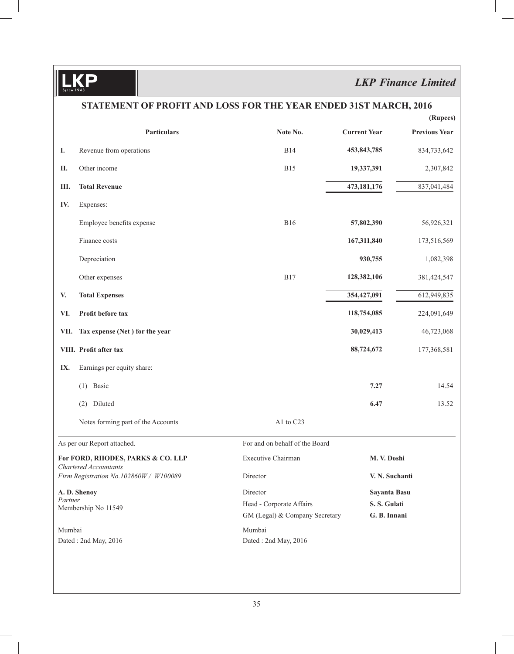$\frac{1}{\text{Since } 1948}$ D

# *LKP Finance Limited*

|                                        | STATEMENT OF PROFIT AND LOSS FOR THE YEAR ENDED 31ST MARCH, 2016 |                                |                     |                      |  |  |
|----------------------------------------|------------------------------------------------------------------|--------------------------------|---------------------|----------------------|--|--|
|                                        |                                                                  |                                |                     | (Rupees)             |  |  |
|                                        | Particulars                                                      | Note No.                       | <b>Current Year</b> | <b>Previous Year</b> |  |  |
| I.                                     | Revenue from operations                                          | <b>B14</b>                     | 453,843,785         | 834,733,642          |  |  |
| П.                                     | Other income                                                     | <b>B15</b>                     | 19,337,391          | 2,307,842            |  |  |
| Ш.                                     | <b>Total Revenue</b>                                             |                                | 473,181,176         | 837,041,484          |  |  |
| IV.                                    | Expenses:                                                        |                                |                     |                      |  |  |
|                                        | Employee benefits expense                                        | <b>B16</b>                     | 57,802,390          | 56,926,321           |  |  |
|                                        | Finance costs                                                    |                                | 167,311,840         | 173,516,569          |  |  |
|                                        | Depreciation                                                     |                                | 930,755             | 1,082,398            |  |  |
|                                        | Other expenses                                                   | <b>B17</b>                     | 128,382,106         | 381,424,547          |  |  |
| V.                                     | <b>Total Expenses</b>                                            |                                | 354,427,091         | 612,949,835          |  |  |
| VI.                                    | Profit before tax                                                |                                | 118,754,085         | 224,091,649          |  |  |
| VII.                                   | Tax expense (Net) for the year                                   |                                | 30,029,413          | 46,723,068           |  |  |
|                                        | VIII. Profit after tax                                           |                                | 88,724,672          | 177,368,581          |  |  |
| IX.                                    | Earnings per equity share:                                       |                                |                     |                      |  |  |
|                                        | Basic<br>(1)                                                     |                                | 7.27                | 14.54                |  |  |
|                                        | (2) Diluted                                                      |                                | 6.47                | 13.52                |  |  |
|                                        | Notes forming part of the Accounts                               | A1 to C23                      |                     |                      |  |  |
|                                        | As per our Report attached.                                      | For and on behalf of the Board |                     |                      |  |  |
|                                        | For FORD, RHODES, PARKS & CO. LLP<br>Chartered Accountants       | <b>Executive Chairman</b>      | M. V. Doshi         |                      |  |  |
| Firm Registration No.102860W / W100089 |                                                                  | Director                       | V. N. Suchanti      |                      |  |  |
| A. D. Shenoy                           |                                                                  | Director                       | Sayanta Basu        |                      |  |  |
| Partner<br>Membership No 11549         |                                                                  | Head - Corporate Affairs       | S.S. Gulati         |                      |  |  |
|                                        |                                                                  | GM (Legal) & Company Secretary | G. B. Innani        |                      |  |  |
| Mumbai                                 | Dated: 2nd May, 2016                                             | Mumbai<br>Dated: 2nd May, 2016 |                     |                      |  |  |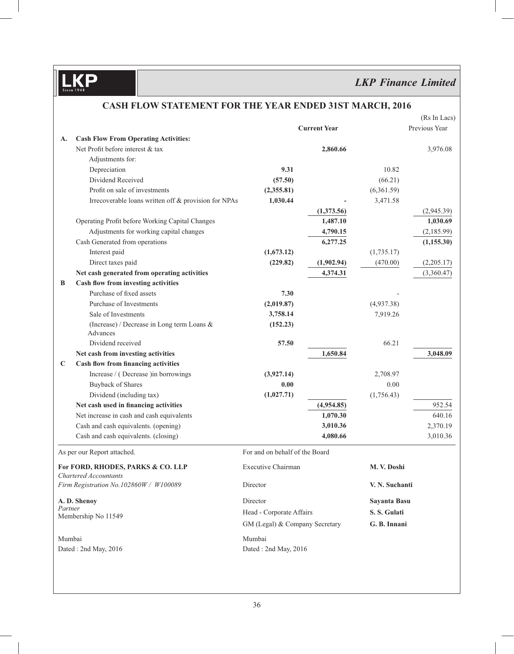# *LKP Finance Limited*

|                                |                                                                 |                                |                     |                | (Rs In Lacs)  |
|--------------------------------|-----------------------------------------------------------------|--------------------------------|---------------------|----------------|---------------|
|                                |                                                                 |                                | <b>Current Year</b> |                | Previous Year |
| A.                             | <b>Cash Flow From Operating Activities:</b>                     |                                |                     |                |               |
|                                | Net Profit before interest & tax                                |                                | 2,860.66            |                | 3,976.08      |
|                                | Adjustments for:                                                |                                |                     |                |               |
|                                | Depreciation                                                    | 9.31                           |                     | 10.82          |               |
|                                | Dividend Received                                               | (57.50)                        |                     | (66.21)        |               |
|                                | Profit on sale of investments                                   | (2,355.81)                     |                     | (6,361.59)     |               |
|                                | Irrecoverable loans written off & provision for NPAs            | 1,030.44                       |                     | 3,471.58       |               |
|                                |                                                                 |                                | (1,373.56)          |                | (2,945.39)    |
|                                | Operating Profit before Working Capital Changes                 |                                | 1,487.10            |                | 1,030.69      |
|                                | Adjustments for working capital changes                         |                                | 4,790.15            |                | (2,185.99)    |
|                                | Cash Generated from operations                                  |                                | 6,277.25            |                | (1, 155.30)   |
|                                | Interest paid                                                   | (1,673.12)                     |                     | (1,735.17)     |               |
|                                | Direct taxes paid                                               | (229.82)                       | (1,902.94)          | (470.00)       | (2,205.17)    |
|                                | Net cash generated from operating activities                    |                                | 4,374.31            |                | (3,360.47)    |
| B                              | Cash flow from investing activities                             |                                |                     |                |               |
|                                | Purchase of fixed assets                                        | 7.30                           |                     |                |               |
|                                | Purchase of Investments                                         | (2,019.87)                     |                     | (4,937.38)     |               |
|                                | Sale of Investments                                             | 3,758.14                       |                     | 7,919.26       |               |
|                                | (Increase) / Decrease in Long term Loans &<br>Advances          | (152.23)                       |                     |                |               |
|                                | Dividend received                                               | 57.50                          |                     | 66.21          |               |
|                                | Net cash from investing activities                              |                                | 1,650.84            |                | 3,048.09      |
| $\mathbf C$                    | Cash flow from financing activities                             |                                |                     |                |               |
|                                | Increase / (Decrease ) in borrowings                            | (3,927.14)                     |                     | 2,708.97       |               |
|                                | <b>Buyback of Shares</b>                                        | 0.00                           |                     | 0.00           |               |
|                                | Dividend (including tax)                                        | (1,027.71)                     |                     | (1,756.43)     |               |
|                                | Net cash used in financing activities                           |                                | (4,954.85)          |                | 952.54        |
|                                | Net increase in cash and cash equivalents                       |                                | 1,070.30            |                | 640.16        |
|                                | Cash and cash equivalents. (opening)                            |                                | 3,010.36            |                | 2,370.19      |
|                                | Cash and cash equivalents. (closing)                            |                                | 4,080.66            |                | 3,010.36      |
|                                | As per our Report attached.                                     | For and on behalf of the Board |                     |                |               |
|                                | For FORD, RHODES, PARKS & CO. LLP                               | Executive Chairman             |                     | M. V. Doshi    |               |
|                                | Chartered Accountants<br>Firm Registration No.102860W / W100089 | Director                       |                     | V. N. Suchanti |               |
|                                | A. D. Shenoy                                                    | Director                       |                     | Sayanta Basu   |               |
| Partner<br>Membership No 11549 |                                                                 | Head - Corporate Affairs       |                     | S.S. Gulati    |               |
|                                |                                                                 | GM (Legal) & Company Secretary |                     | G. B. Innani   |               |
| Mumbai                         |                                                                 | Mumbai                         |                     |                |               |
|                                | Dated: 2nd May, 2016                                            | Dated: 2nd May, 2016           |                     |                |               |
|                                |                                                                 |                                |                     |                |               |

## **CASH FLOW STATEMENT FOR THE YEAR ENDED 31ST MARCH, 2016**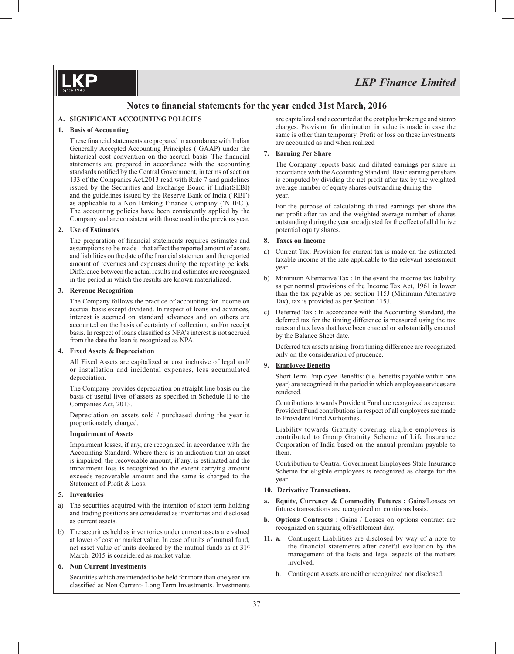## Notes to financial statements for the year ended 31st March, 2016

#### **A. SIGNIFICANT ACCOUNTING POLICIES**

#### **1. Basis of Accounting**

These financial statements are prepared in accordance with Indian Generally Accepted Accounting Principles ( GAAP) under the historical cost convention on the accrual basis. The financial statements are prepared in accordance with the accounting standards notified by the Central Government, in terms of section 133 of the Companies Act,2013 read with Rule 7 and guidelines issued by the Securities and Exchange Board if India(SEBI) and the guidelines issued by the Reserve Bank of India ('RBI') as applicable to a Non Banking Finance Company ('NBFC'). The accounting policies have been consistently applied by the Company and are consistent with those used in the previous year.

#### **2. Use of Estimates**

The preparation of financial statements requires estimates and assumptions to be made that affect the reported amount of assets and liabilities on the date of the financial statement and the reported amount of revenues and expenses during the reporting periods. Difference between the actual results and estimates are recognized in the period in which the results are known materialized.

### **3. Revenue Recognition**

 The Company follows the practice of accounting for Income on accrual basis except dividend. In respect of loans and advances, interest is accrued on standard advances and on others are accounted on the basis of certainty of collection, and/or receipt basis. In respect of loans classified as NPA's interest is not accrued from the date the loan is recognized as NPA.

#### **4. Fixed Assets & Depreciation**

 All Fixed Assets are capitalized at cost inclusive of legal and/ or installation and incidental expenses, less accumulated depreciation.

 The Company provides depreciation on straight line basis on the basis of useful lives of assets as specified in Schedule II to the Companies Act, 2013.

 Depreciation on assets sold / purchased during the year is proportionately charged.

#### **Impairment of Assets**

 Impairment losses, if any, are recognized in accordance with the Accounting Standard. Where there is an indication that an asset is impaired, the recoverable amount, if any, is estimated and the impairment loss is recognized to the extent carrying amount exceeds recoverable amount and the same is charged to the Statement of Profit & Loss.

#### **5. Inventories**

- a) The securities acquired with the intention of short term holding and trading positions are considered as inventories and disclosed as current assets.
- b) The securities held as inventories under current assets are valued at lower of cost or market value. In case of units of mutual fund, net asset value of units declared by the mutual funds as at 31st March, 2015 is considered as market value.

#### **6. Non Current Investments**

 Securities which are intended to be held for more than one year are classified as Non Current- Long Term Investments. Investments are capitalized and accounted at the cost plus brokerage and stamp charges. Provision for diminution in value is made in case the same is other than temporary. Profit or loss on these investments are accounted as and when realized

#### **7. Earning Per Share**

 The Company reports basic and diluted earnings per share in accordance with the Accounting Standard. Basic earning per share is computed by dividing the net profit after tax by the weighted average number of equity shares outstanding during the year.

 For the purpose of calculating diluted earnings per share the net profit after tax and the weighted average number of shares outstanding during the year are adjusted for the effect of all dilutive potential equity shares.

#### **8. Taxes on Income**

- a) Current Tax: Provision for current tax is made on the estimated taxable income at the rate applicable to the relevant assessment year.
- b) Minimum Alternative Tax : In the event the income tax liability as per normal provisions of the Income Tax Act, 1961 is lower than the tax payable as per section 115J (Minimum Alternative Tax), tax is provided as per Section 115J.
- c) Deferred Tax : In accordance with the Accounting Standard, the deferred tax for the timing difference is measured using the tax rates and tax laws that have been enacted or substantially enacted by the Balance Sheet date.

 Deferred tax assets arising from timing difference are recognized only on the consideration of prudence.

#### **9.** Employee Benefits

Short Term Employee Benefits: (i.e. benefits payable within one year) are recognized in the period in which employee services are rendered.

 Contributions towards Provident Fund are recognized as expense. Provident Fund contributions in respect of all employees are made to Provident Fund Authorities.

 Liability towards Gratuity covering eligible employees is contributed to Group Gratuity Scheme of Life Insurance Corporation of India based on the annual premium payable to them.

 Contribution to Central Government Employees State Insurance Scheme for eligible employees is recognized as charge for the year

#### **10. Derivative Transactions.**

- **a. Equity, Currency & Commodity Futures : Gains/Losses on** futures transactions are recognized on continous basis.
- **b. Options Contracts** : Gains / Losses on options contract are recognized on squaring off/settlement day.
- **11. a.** Contingent Liabilities are disclosed by way of a note to the financial statements after careful evaluation by the management of the facts and legal aspects of the matters involved.
	- **b**. Contingent Assets are neither recognized nor disclosed.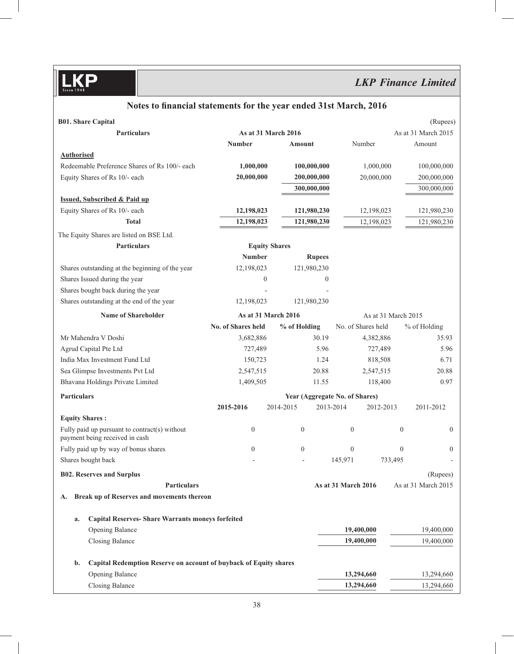# Notes to financial statements for the year ended 31st March, 2016

| <b>B01. Share Capital</b>                                                       |                      |                  |                                |                     | (Rupees)            |
|---------------------------------------------------------------------------------|----------------------|------------------|--------------------------------|---------------------|---------------------|
| Particulars                                                                     | As at 31 March 2016  |                  |                                |                     | As at 31 March 2015 |
|                                                                                 | <b>Number</b>        | Amount           | Number                         |                     | Amount              |
| <b>Authorised</b>                                                               |                      |                  |                                |                     |                     |
| Redeemable Preference Shares of Rs 100/- each                                   | 1,000,000            | 100,000,000      | 1,000,000                      |                     | 100,000,000         |
| Equity Shares of Rs 10/- each                                                   | 20,000,000           | 200,000,000      | 20,000,000                     |                     | 200,000,000         |
|                                                                                 |                      | 300,000,000      |                                |                     | 300,000,000         |
| <b>Issued, Subscribed &amp; Paid up</b>                                         |                      |                  |                                |                     |                     |
| Equity Shares of Rs 10/- each                                                   | 12,198,023           | 121,980,230      | 12,198,023                     |                     | 121,980,230         |
| <b>Total</b>                                                                    | 12,198,023           | 121,980,230      | 12,198,023                     |                     | 121,980,230         |
| The Equity Shares are listed on BSE Ltd.                                        |                      |                  |                                |                     |                     |
| <b>Particulars</b>                                                              | <b>Equity Shares</b> |                  |                                |                     |                     |
|                                                                                 | <b>Number</b>        | <b>Rupees</b>    |                                |                     |                     |
| Shares outstanding at the beginning of the year                                 | 12,198,023           | 121,980,230      |                                |                     |                     |
| Shares Issued during the year                                                   | $\mathbf{0}$         | $\mathbf{0}$     |                                |                     |                     |
| Shares bought back during the year                                              |                      |                  |                                |                     |                     |
| Shares outstanding at the end of the year                                       | 12,198,023           | 121,980,230      |                                |                     |                     |
| <b>Name of Shareholder</b>                                                      | As at 31 March 2016  |                  |                                | As at 31 March 2015 |                     |
|                                                                                 | No. of Shares held   | % of Holding     | No. of Shares held             |                     | % of Holding        |
| Mr Mahendra V Doshi                                                             | 3,682,886            | 30.19            | 4,382,886                      |                     | 35.93               |
| Agrud Capital Pte Ltd                                                           | 727,489              | 5.96             | 727,489                        |                     | 5.96                |
| India Max Investment Fund Ltd                                                   | 150,723              | 1.24             | 818,508                        |                     | 6.71                |
| Sea Glimpse Investments Pvt Ltd                                                 | 2,547,515            | 20.88            | 2,547,515                      |                     | 20.88               |
| Bhavana Holdings Private Limited                                                | 1,409,505            | 11.55            | 118,400                        |                     | 0.97                |
| Particulars                                                                     |                      |                  | Year (Aggregate No. of Shares) |                     |                     |
|                                                                                 | 2015-2016            | 2014-2015        | 2013-2014<br>2012-2013         |                     | 2011-2012           |
| <b>Equity Shares:</b>                                                           |                      |                  |                                |                     |                     |
| Fully paid up pursuant to contract(s) without<br>payment being received in cash | $\boldsymbol{0}$     | $\boldsymbol{0}$ | $\boldsymbol{0}$               | $\boldsymbol{0}$    | $\overline{0}$      |
| Fully paid up by way of bonus shares                                            | $\mathbf{0}$         | $\boldsymbol{0}$ | $\mathbf{0}$                   | $\mathbf{0}$        | $\boldsymbol{0}$    |
| Shares bought back                                                              |                      |                  | 145,971                        | 733,495             |                     |
| <b>B02. Reserves and Surplus</b>                                                |                      |                  |                                |                     | (Rupees)            |
| <b>Particulars</b>                                                              |                      |                  | As at 31 March 2016            |                     | As at 31 March 2015 |
| Break up of Reserves and movements thereon<br>А.                                |                      |                  |                                |                     |                     |
|                                                                                 |                      |                  |                                |                     |                     |
| <b>Capital Reserves- Share Warrants moneys forfeited</b><br>a.                  |                      |                  |                                |                     |                     |
| Opening Balance                                                                 |                      |                  | 19,400,000                     |                     | 19,400,000          |
| <b>Closing Balance</b>                                                          |                      |                  | 19,400,000                     |                     | 19,400,000          |
| b.<br>Capital Redemption Reserve on account of buyback of Equity shares         |                      |                  |                                |                     |                     |
| <b>Opening Balance</b>                                                          |                      |                  | 13,294,660                     |                     | 13,294,660          |
| Closing Balance                                                                 |                      |                  | 13,294,660                     |                     | 13,294,660          |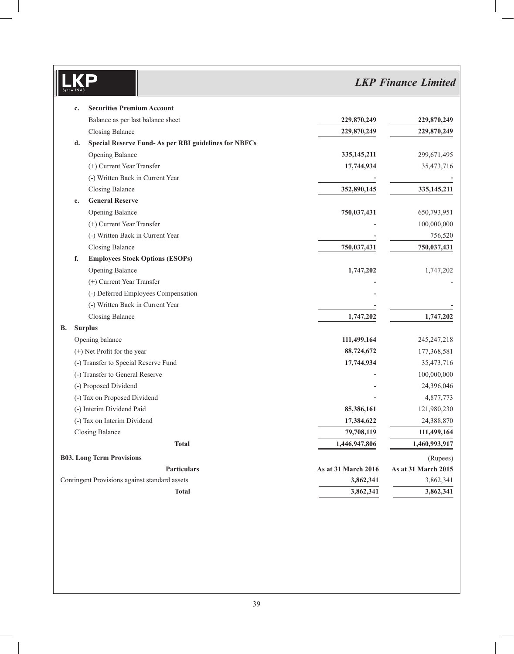# *LKP Finance Limited*

|    | c. | <b>Securities Premium Account</b>                    |                     |                     |
|----|----|------------------------------------------------------|---------------------|---------------------|
|    |    | Balance as per last balance sheet                    | 229,870,249         | 229,870,249         |
|    |    | Closing Balance                                      | 229,870,249         | 229,870,249         |
|    | d. | Special Reserve Fund-As per RBI guidelines for NBFCs |                     |                     |
|    |    | Opening Balance                                      | 335, 145, 211       | 299,671,495         |
|    |    | (+) Current Year Transfer                            | 17,744,934          | 35,473,716          |
|    |    | (-) Written Back in Current Year                     |                     |                     |
|    |    | <b>Closing Balance</b>                               | 352,890,145         | 335, 145, 211       |
|    | e. | <b>General Reserve</b>                               |                     |                     |
|    |    | <b>Opening Balance</b>                               | 750,037,431         | 650,793,951         |
|    |    | (+) Current Year Transfer                            |                     | 100,000,000         |
|    |    | (-) Written Back in Current Year                     |                     | 756,520             |
|    |    | <b>Closing Balance</b>                               | 750,037,431         | 750,037,431         |
|    | f. | <b>Employees Stock Options (ESOPs)</b>               |                     |                     |
|    |    | Opening Balance                                      | 1,747,202           | 1,747,202           |
|    |    | (+) Current Year Transfer                            |                     |                     |
|    |    | (-) Deferred Employees Compensation                  |                     |                     |
|    |    | (-) Written Back in Current Year                     |                     |                     |
|    |    | <b>Closing Balance</b>                               | 1,747,202           | 1,747,202           |
| В. |    | <b>Surplus</b>                                       |                     |                     |
|    |    | Opening balance                                      | 111,499,164         | 245, 247, 218       |
|    |    | (+) Net Profit for the year                          | 88,724,672          | 177,368,581         |
|    |    | (-) Transfer to Special Reserve Fund                 | 17,744,934          | 35,473,716          |
|    |    | (-) Transfer to General Reserve                      |                     | 100,000,000         |
|    |    | (-) Proposed Dividend                                |                     | 24,396,046          |
|    |    | (-) Tax on Proposed Dividend                         |                     | 4,877,773           |
|    |    | (-) Interim Dividend Paid                            | 85,386,161          | 121,980,230         |
|    |    | (-) Tax on Interim Dividend                          | 17,384,622          | 24,388,870          |
|    |    | <b>Closing Balance</b>                               | 79,708,119          | 111,499,164         |
|    |    | <b>Total</b>                                         | 1,446,947,806       | 1,460,993,917       |
|    |    | <b>B03. Long Term Provisions</b>                     |                     | (Rupees)            |
|    |    | <b>Particulars</b>                                   | As at 31 March 2016 | As at 31 March 2015 |
|    |    | Contingent Provisions against standard assets        | 3,862,341           | 3,862,341           |
|    |    | <b>Total</b>                                         | 3,862,341           | 3,862,341           |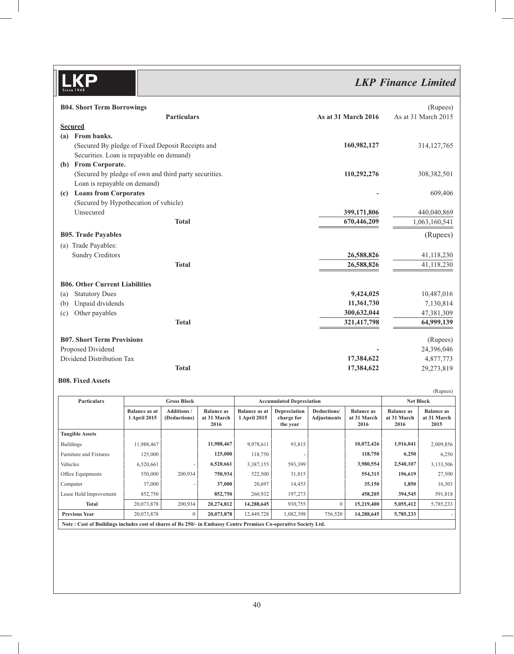# *LKP Finance Limited*

|     | <b>B04. Short Term Borrowings</b>                     |                     | (Rupees)            |
|-----|-------------------------------------------------------|---------------------|---------------------|
|     | <b>Particulars</b>                                    | As at 31 March 2016 | As at 31 March 2015 |
|     | <b>Secured</b>                                        |                     |                     |
| (a) | From banks.                                           |                     |                     |
|     | (Secured By pledge of Fixed Deposit Receipts and      | 160,982,127         | 314, 127, 765       |
|     | Securities. Loan is repayable on demand)              |                     |                     |
| (b) | From Corporate.                                       |                     |                     |
|     | (Secured by pledge of own and third party securities. | 110,292,276         | 308, 382, 501       |
|     | Loan is repayable on demand)                          |                     |                     |
| (c) | <b>Loans from Corporates</b>                          |                     | 609,406             |
|     | (Secured by Hypothecation of vehicle)                 |                     |                     |
|     | Unsecured                                             | 399,171,806         | 440,040,869         |
|     | <b>Total</b>                                          | 670,446,209         | 1,063,160,541       |
|     | <b>B05. Trade Payables</b>                            |                     | (Rupees)            |
|     | (a) Trade Payables:                                   |                     |                     |
|     | <b>Sundry Creditors</b>                               | 26,588,826          | 41,118,230          |
|     | <b>Total</b>                                          | 26,588,826          | 41,118,230          |
|     | <b>B06. Other Current Liabilities</b>                 |                     |                     |
| (a) | <b>Statutory Dues</b>                                 | 9,424,025           | 10,487,016          |
| (b) | Unpaid dividends                                      | 11,361,730          | 7,130,814           |
| (c) | Other payables                                        | 300,632,044         | 47,381,309          |
|     | <b>Total</b>                                          | 321,417,798         | 64,999,139          |
|     | <b>B07. Short Term Provisions</b>                     |                     | (Rupees)            |
|     | Proposed Dividend                                     |                     | 24,396,046          |
|     | Dividend Distribution Tax                             | 17,384,622          | 4,877,773           |
|     | <b>Total</b>                                          | 17,384,622          | 29,273,819          |

## **B08. Fixed Assets**

|                                                                                                                  |                                      |                                   |                                          |                                      |                                               |                                   |                                          |                                          | (Rupees)                                 |
|------------------------------------------------------------------------------------------------------------------|--------------------------------------|-----------------------------------|------------------------------------------|--------------------------------------|-----------------------------------------------|-----------------------------------|------------------------------------------|------------------------------------------|------------------------------------------|
| <b>Particulars</b>                                                                                               | <b>Gross Block</b>                   |                                   |                                          |                                      | <b>Accumulated Depreciation</b>               |                                   |                                          | <b>Net Block</b>                         |                                          |
|                                                                                                                  | <b>Balance as at</b><br>1 April 2015 | <b>Additions/</b><br>(Deductions) | <b>Balance as</b><br>at 31 March<br>2016 | <b>Balance as at</b><br>1 April 2015 | <b>Depreciation</b><br>charge for<br>the year | Deductions/<br><b>Adjustments</b> | <b>Balance as</b><br>at 31 March<br>2016 | <b>Balance as</b><br>at 31 March<br>2016 | <b>Balance as</b><br>at 31 March<br>2015 |
| <b>Tangible Assets</b>                                                                                           |                                      |                                   |                                          |                                      |                                               |                                   |                                          |                                          |                                          |
| <b>Buildings</b>                                                                                                 | 11,988,467                           |                                   | 11,988,467                               | 9,978,611                            | 93,815                                        |                                   | 10,072,426                               | 1,916,041                                | 2,009,856                                |
| Furniture and Fixtures                                                                                           | 125,000                              |                                   | 125,000                                  | 118,750                              |                                               |                                   | 118,750                                  | 6,250                                    | 6,250                                    |
| Vehicles                                                                                                         | 6,520,661                            |                                   | 6,520,661                                | 3,387,155                            | 593,399                                       |                                   | 3,980,554                                | 2,540,107                                | 3,133,506                                |
| Office Equipments                                                                                                | 550,000                              | 200,934                           | 750,934                                  | 522,500                              | 31,815                                        |                                   | 554,315                                  | 196,619                                  | 27,500                                   |
| Computer                                                                                                         | 37,000                               |                                   | 37,000                                   | 20,697                               | 14,453                                        |                                   | 35,150                                   | 1,850                                    | 16,303                                   |
| Lease Hold Improvement                                                                                           | 852,750                              |                                   | 852,750                                  | 260,932                              | 197,273                                       |                                   | 458,205                                  | 394,545                                  | 591,818                                  |
| Total                                                                                                            | 20,073,878                           | 200,934                           | 20,274,812                               | 14,288,645                           | 930,755                                       | $\Omega$                          | 15,219,400                               | 5,055,412                                | 5,785,233                                |
| <b>Previous Year</b>                                                                                             | 20,073,878                           | $\mathbf{0}$                      | 20,073,878                               | 12,449,728                           | 1,082,398                                     | 756,520                           | 14,288,645                               | 5,785,233                                |                                          |
| Note: Cost of Buildings includes cost of shares of Rs 250/- in Embassy Centre Premises Co-operative Society Ltd. |                                      |                                   |                                          |                                      |                                               |                                   |                                          |                                          |                                          |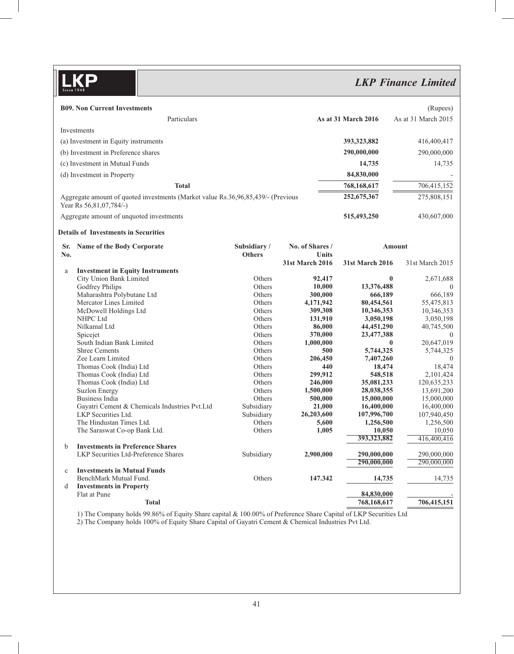# *LKP Finance Limited*

|              | <b>B09. Non Current Investments</b>                                              |                      |                        |                          | (Rupees)                 |
|--------------|----------------------------------------------------------------------------------|----------------------|------------------------|--------------------------|--------------------------|
|              | Particulars                                                                      |                      |                        | As at 31 March 2016      | As at 31 March 2015      |
|              | Investments                                                                      |                      |                        |                          |                          |
|              | (a) Investment in Equity instruments                                             |                      |                        | 393,323,882              |                          |
|              |                                                                                  |                      |                        |                          | 416,400,417              |
|              | (b) Investment in Preference shares                                              |                      |                        | 290,000,000              | 290,000,000              |
|              | (c) Investment in Mutual Funds                                                   |                      |                        | 14,735                   | 14,735                   |
|              | (d) Investment in Property                                                       |                      |                        | 84,830,000               |                          |
|              | <b>Total</b>                                                                     |                      |                        | 768,168,617              | 706,415,152              |
|              | Aggregate amount of quoted investments (Market value Rs.36,96,85,439/- (Previous |                      |                        | 252,675,367              | 275,808,151              |
|              | Year Rs 56,81,07,784/-)                                                          |                      |                        |                          |                          |
|              | Aggregate amount of unquoted investments                                         |                      |                        | 515,493,250              | 430,607,000              |
|              | <b>Details of Investments in Securities</b>                                      |                      |                        |                          |                          |
|              | Sr. Name of the Body Corporate                                                   | Subsidiary/          | No. of Shares /        |                          | <b>Amount</b>            |
| No.          |                                                                                  | <b>Others</b>        | <b>Units</b>           |                          |                          |
|              |                                                                                  |                      | <b>31st March 2016</b> | <b>31st March 2016</b>   | 31st March 2015          |
| a            | <b>Investment in Equity Instruments</b>                                          |                      |                        |                          |                          |
|              | City Union Bank Limited                                                          | Others               | 92,417                 |                          | $\bf{0}$<br>2,671,688    |
|              | Godfrey Philips                                                                  | Others               | 10,000                 | 13,376,488               | $\Omega$                 |
|              | Maharashtra Polybutane Ltd                                                       | <b>Others</b>        | 300,000                | 666,189                  | 666,189                  |
|              | Mercator Lines Limited                                                           | <b>Others</b>        | 4,171,942              | 80,454,561               | 55,475,813               |
|              | McDowell Holdings Ltd                                                            | Others               | 309,308                | 10,346,353               | 10,346,353               |
|              | NHPC Ltd                                                                         | <b>Others</b>        | 131,910                | 3,050,198                | 3,050,198                |
|              | Nilkamal Ltd                                                                     | Others               | 86,000                 | 44, 451, 290             | 40,745,500               |
|              | Spicejet                                                                         | Others               | 370,000                | 23,477,388               | $\Omega$                 |
|              | South Indian Bank Limited                                                        | Others               | 1,000,000              | $\mathbf{0}$             | 20,647,019               |
|              | <b>Shree Cements</b>                                                             | Others               | 500                    | 5,744,325                | 5,744,325                |
|              | Zee Learn Limited                                                                | Others               | 206,450                | 7,407,260                | $\Omega$                 |
|              | Thomas Cook (India) Ltd                                                          | Others               | 440                    | 18,474                   | 18,474                   |
|              | Thomas Cook (India) Ltd                                                          | Others<br>Others     | 299,912                | 548,518                  | 2,101,424                |
|              | Thomas Cook (India) Ltd<br><b>Suzlon Energy</b>                                  | Others               | 246,000                | 35,081,233               | 120,635,233              |
|              | Business India                                                                   | Others               | 1,500,000              | 28,038,355               | 13,691,200               |
|              |                                                                                  |                      | 500,000                | 15,000,000               | 15,000,000               |
|              | Gayatri Cement & Chemicals Industries Pvt.Ltd<br>LKP Securities Ltd.             | Subsidiary           | 21,000                 | 16,400,000               | 16,400,000               |
|              | The Hindustan Times Ltd.                                                         | Subsidiary<br>Others | 26,203,600<br>5,600    | 107,996,700<br>1,256,500 | 107,940,450<br>1,256,500 |
|              | The Saraswat Co-op Bank Ltd.                                                     | Others               | 1,005                  | 10,050                   | 10,050                   |
|              |                                                                                  |                      |                        | 393,323,882              | 416,400,416              |
| $\mathbf b$  | <b>Investments in Preference Shares</b>                                          |                      |                        |                          |                          |
|              | LKP Securities Ltd-Preference Shares                                             | Subsidiary           | 2,900,000              | 290,000,000              | 290,000,000              |
|              |                                                                                  |                      |                        | 290,000,000              | 290,000,000              |
| $\mathbf{c}$ | <b>Investments in Mutual Funds</b>                                               |                      |                        |                          |                          |
|              | BenchMark Mutual Fund.                                                           | Others               | 147.342                | 14,735                   | 14,735                   |
| d            | <b>Investments in Property</b>                                                   |                      |                        |                          |                          |
|              | Flat at Pune                                                                     |                      |                        | 84,830,000               |                          |
|              | <b>Total</b>                                                                     |                      |                        | 768,168,617              | 706,415,151              |

1) The Company holds 99.86% of Equity Share capital & 100.00% of Preference Share Capital of LKP Securities Ltd

2) The Company holds 100% of Equity Share Capital of Gayatri Cement & Chemical Industries Pvt Ltd.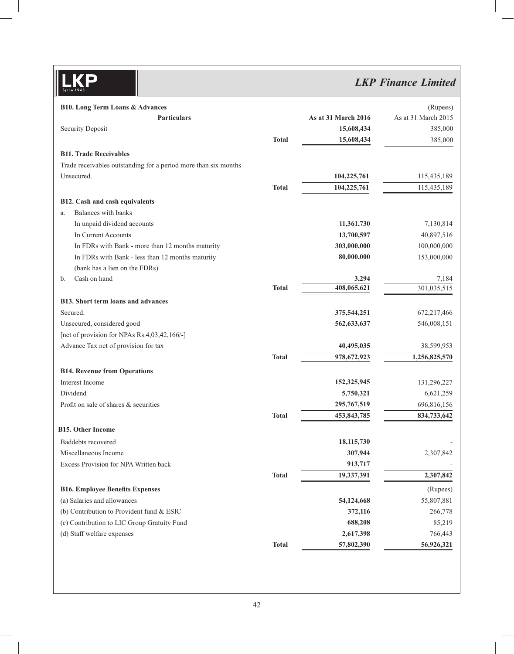# *LKP Finance Limited*

| <b>B10.</b> Long Term Loans & Advances                          |              |                     | (Rupees)            |
|-----------------------------------------------------------------|--------------|---------------------|---------------------|
| <b>Particulars</b>                                              |              | As at 31 March 2016 | As at 31 March 2015 |
| <b>Security Deposit</b>                                         |              | 15,608,434          | 385,000             |
|                                                                 | <b>Total</b> | 15,608,434          | 385,000             |
| <b>B11. Trade Receivables</b>                                   |              |                     |                     |
| Trade receivables outstanding for a period more than six months |              |                     |                     |
| Unsecured.                                                      |              | 104,225,761         | 115,435,189         |
|                                                                 | <b>Total</b> | 104,225,761         | 115,435,189         |
| B12. Cash and cash equivalents                                  |              |                     |                     |
| Balances with banks<br>a.                                       |              |                     |                     |
| In unpaid dividend accounts                                     |              | 11,361,730          | 7,130,814           |
| In Current Accounts                                             |              | 13,700,597          | 40,897,516          |
| In FDRs with Bank - more than 12 months maturity                |              | 303,000,000         | 100,000,000         |
| In FDRs with Bank - less than 12 months maturity                |              | 80,000,000          | 153,000,000         |
| (bank has a lien on the FDRs)                                   |              |                     |                     |
| Cash on hand<br>b.                                              |              | 3,294               | 7,184               |
|                                                                 | <b>Total</b> | 408,065,621         | 301,035,515         |
| <b>B13.</b> Short term loans and advances                       |              |                     |                     |
| Secured.                                                        |              | 375,544,251         | 672,217,466         |
| Unsecured, considered good                                      |              | 562,633,637         | 546,008,151         |
| [net of provision for NPAs Rs.4,03,42,166/-]                    |              |                     |                     |
| Advance Tax net of provision for tax                            |              | 40,495,035          | 38,599,953          |
|                                                                 | <b>Total</b> | 978,672,923         | 1,256,825,570       |
| <b>B14. Revenue from Operations</b>                             |              |                     |                     |
| Interest Income                                                 |              | 152,325,945         | 131,296,227         |
| Dividend                                                        |              | 5,750,321           | 6,621,259           |
| Profit on sale of shares & securities                           |              | 295,767,519         | 696,816,156         |
|                                                                 | <b>Total</b> | 453,843,785         | 834,733,642         |
| <b>B15. Other Income</b>                                        |              |                     |                     |
| Baddebts recovered                                              |              | 18,115,730          |                     |
| Miscellaneous Income                                            |              | 307,944             | 2,307,842           |
| Excess Provision for NPA Written back                           |              | 913,717             |                     |
|                                                                 | <b>Total</b> | 19,337,391          | 2,307,842           |
| <b>B16. Employee Benefits Expenses</b>                          |              |                     | (Rupees)            |
| (a) Salaries and allowances                                     |              | 54,124,668          | 55,807,881          |
| (b) Contribution to Provident fund & ESIC                       |              | 372,116             | 266,778             |
| (c) Contribution to LIC Group Gratuity Fund                     |              | 688,208             | 85,219              |
| (d) Staff welfare expenses                                      |              | 2,617,398           | 766,443             |
|                                                                 | <b>Total</b> | 57,802,390          | 56,926,321          |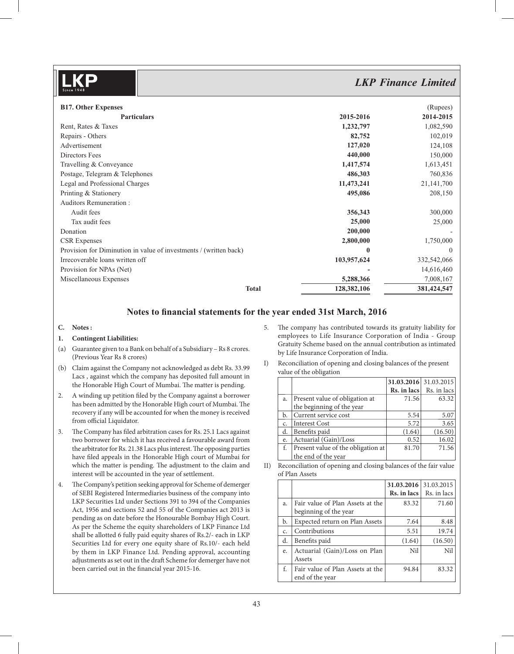## *LKP Finance Limited* **B17. Other Expenses** (Rupees) **Particulars 2015-2016 2014-2015** Rent, Rates & Taxes 1,082,590 Repairs - Others **82,752** 102,019 Advertisement **127,020** 124,108 Directors Fees **440,000** 150,000 Travelling & Conveyance 1,417,574 1,613,451 Postage, Telegram & Telephones **486,303** 760,836 Legal and Professional Charges **11,473,241** 21,141,700 Printing & Stationery **495,086** 208,150 Auditors Remuneration : Audit fees 356,343 300,000 Tax audit fees **25,000** 25,000 **Donation** 200,000 **-** 200,000 **-** 200,000 **-** 200,000 **-** 200,000 **-** 200,000 **-** 200,000 **-** 200,000 **-** 200,000 **-** 200,000 **-** 200,000 **-** 200,000 **-** 200,000 **-** 200,000 **-** 201,000 **-** 201,000 **-** 201,000 **-** 201,000 CSR Expenses **2,800,000** 1,750,000 Provision for Diminution in value of investments / (written back) **0** 0 Irrecoverable loans written off **103,957,624** 332,542,066 Provision for NPAs (Net) **-** 14,616,460 Miscellaneous Expenses **5,288,366** 7,008,167 **Total 128,382,106 381,424,547**

## Notes to financial statements for the year ended 31st March, 2016

### **C. Notes :**

### **1. Contingent Liabilities:**

- (a) Guarantee given to a Bank on behalf of a Subsidiary Rs 8 crores. (Previous Year Rs 8 crores)
- (b) Claim against the Company not acknowledged as debt Rs. 33.99 Lacs , against which the company has deposited full amount in the Honorable High Court of Mumbai. The matter is pending.
- 2. A winding up petition filed by the Company against a borrower has been admitted by the Honorable High court of Mumbai. The recovery if any will be accounted for when the money is received from official Liquidator.
- 3. The Company has filed arbitration cases for Rs. 25.1 Lacs against two borrower for which it has received a favourable award from the arbitrator for Rs. 21.38 Lacs plus interest. The opposing parties have filed appeals in the Honorable High court of Mumbai for which the matter is pending. The adjustment to the claim and interest will be accounted in the year of settlement.
- 4. The Company's petition seeking approval for Scheme of demerger of SEBI Registered Intermediaries business of the company into LKP Securities Ltd under Sections 391 to 394 of the Companies Act, 1956 and sections 52 and 55 of the Companies act 2013 is pending as on date before the Honourable Bombay High Court. As per the Scheme the equity shareholders of LKP Finance Ltd shall be allotted 6 fully paid equity shares of Rs.2/- each in LKP Securities Ltd for every one equity share of Rs.10/- each held by them in LKP Finance Ltd. Pending approval, accounting adjustments as set out in the draft Scheme for demerger have not been carried out in the financial year 2015-16.
- 5. The company has contributed towards its gratuity liability for employees to Life Insurance Corporation of India - Group Gratuity Scheme based on the annual contribution as intimated by Life Insurance Corporation of India.
- I) Reconciliation of opening and closing balances of the present value of the obligation

|    |                                    | 31.03.2016 31.03.2015 |             |
|----|------------------------------------|-----------------------|-------------|
|    |                                    | Rs. in lacs           | Rs. in lacs |
| a. | Present value of obligation at     | 71.56                 | 63.32       |
|    | the beginning of the year          |                       |             |
| b. | Current service cost               | 5.54                  | 5.07        |
| c. | <b>Interest Cost</b>               | 5.72                  | 3.65        |
| d. | Benefits paid                      | (1.64)                | (16.50)     |
| e. | Actuarial (Gain)/Loss              | 0.52                  | 16.02       |
| f. | Present value of the obligation at | 81.70                 | 71.56       |
|    | the end of the year                |                       |             |

II) Reconciliation of opening and closing balances of the fair value of Plan Assets

|    |                                  | 31.03.2016            | 31.03.2015  |
|----|----------------------------------|-----------------------|-------------|
|    |                                  | $Rs.$ in lacs $\vert$ | Rs. in lacs |
| a. | Fair value of Plan Assets at the | 83.32                 | 71.60       |
|    | beginning of the year            |                       |             |
| b. | Expected return on Plan Assets   | 7.64                  | 8.48        |
| c. | Contributions                    | 5.51                  | 19.74       |
| d. | Benefits paid                    | (1.64)                | (16.50)     |
| e. | Actuarial (Gain)/Loss on Plan    | Nil                   | Nil         |
|    | Assets                           |                       |             |
| f. | Fair value of Plan Assets at the | 94.84                 | 83.32       |
|    | end of the year                  |                       |             |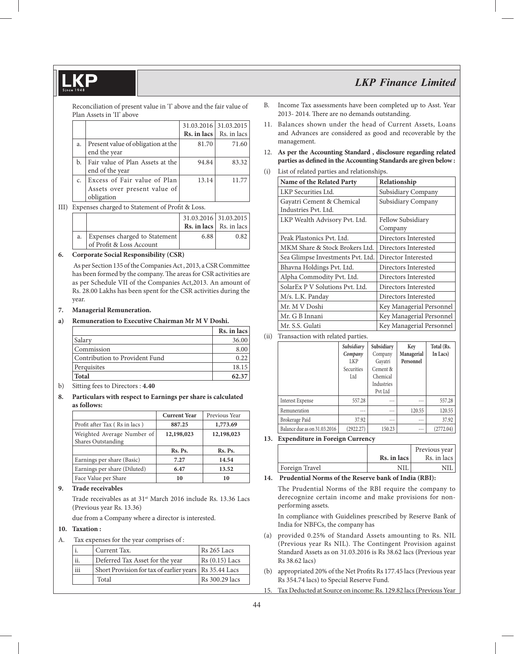Reconciliation of present value in 'I' above and the fair value of Plan Assets in 'II' above

|    |                                    |       | 31.03.2016 31.03.2015                  |
|----|------------------------------------|-------|----------------------------------------|
|    |                                    |       | <b>Rs. in lacs</b> $\vert$ Rs. in lacs |
| a. | Present value of obligation at the | 81.70 | 71.60                                  |
|    | end the year                       |       |                                        |
| b. | Fair value of Plan Assets at the   | 94.84 | 83.32                                  |
|    | end of the year                    |       |                                        |
|    | Excess of Fair value of Plan       | 13.14 | 11.77                                  |
|    | Assets over present value of       |       |                                        |
|    | obligation                         |       |                                        |

III) Expenses charged to Statement of Profit & Loss.

|    |                               | 31.03.2016 31.03.2015 |                                        |
|----|-------------------------------|-----------------------|----------------------------------------|
|    |                               |                       | <b>Rs. in lacs</b> $\vert$ Rs. in lacs |
| a. | Expenses charged to Statement | 6.88                  | 0.82                                   |
|    | of Profit & Loss Account      |                       |                                        |

#### **6. Corporate Social Responsibility (CSR)**

 As per Section 135 of the Companies Act , 2013, a CSR Committee has been formed by the company. The areas for CSR activities are as per Schedule VII of the Companies Act,2013. An amount of Rs. 28.00 Lakhs has been spent for the CSR activities during the year.

#### **7. Managerial Remuneration.**

#### **a) Remuneration to Executive Chairman Mr M V Doshi.**

|                                | Rs. in lacs |
|--------------------------------|-------------|
| Salary                         | 36.00       |
| Commission                     | 8.00        |
| Contribution to Provident Fund | 0.22        |
| Perquisites                    | 18.15       |
| <b>Total</b>                   | 62.37       |

- b) Sitting fees to Directors : **4.40**
- **8. Particulars with respect to Earnings per share is calculated as follows:**

|                                                  | <b>Current Year</b> | Previous Year |
|--------------------------------------------------|---------------------|---------------|
| Profit after Tax (Rs in lacs)                    | 887.25              | 1,773.69      |
| Weighted Average Number of<br>Shares Outstanding | 12,198,023          | 12,198,023    |
|                                                  | Rs. Ps.             | Rs. Ps.       |
| Earnings per share (Basic)                       | 7.27                | 14.54         |
| Earnings per share (Diluted)                     | 6.47                | 13.52         |
| Face Value per Share                             | 10                  | 10            |

#### **9. Trade receivables**

Trade receivables as at 31<sup>st</sup> March 2016 include Rs. 13.36 Lacs (Previous year Rs. 13.36)

due from a Company where a director is interested.

#### **10. Taxation :**

A. Tax expenses for the year comprises of :

|     | Current Tax.                                             | Rs 265 Lacs     |
|-----|----------------------------------------------------------|-----------------|
| ii. | Deferred Tax Asset for the year                          | $Rs(0.15)$ Lacs |
| iii | Short Provision for tax of earlier years   Rs 35.44 Lacs |                 |
|     | Total                                                    | Rs 300.29 lacs  |

- B. Income Tax assessments have been completed up to Asst. Year 2013- 2014. There are no demands outstanding.
- 11. Balances shown under the head of Current Assets, Loans and Advances are considered as good and recoverable by the management.
- 12. **As per the Accounting Standard , disclosure regarding related**  parties as defined in the Accounting Standards are given below :
- (i) List of related parties and relationships.

| Name of the Related Party                         | Relationship                 |
|---------------------------------------------------|------------------------------|
| LKP Securities Ltd.                               | Subsidiary Company           |
| Gayatri Cement & Chemical<br>Industries Pvt. Ltd. | Subsidiary Company           |
| LKP Wealth Advisory Pvt. Ltd.                     | Fellow Subsidiary<br>Company |
| Peak Plastonics Pvt. Ltd.                         | Directors Interested         |
| MKM Share & Stock Brokers Ltd.                    | Directors Interested         |
| Sea Glimpse Investments Pvt. Ltd.                 | Director Interested          |
| Bhavna Holdings Pvt. Ltd.                         | Directors Interested         |
| Alpha Commodity Pvt. Ltd.                         | Directors Interested         |
| SolarEx P V Solutions Pvt. Ltd.                   | Directors Interested         |
| M/s. L.K. Panday                                  | Directors Interested         |
| Mr. M V Doshi                                     | Key Managerial Personnel     |
| Mr. G B Innani                                    | Key Managerial Personnel     |
| Mr. S.S. Gulati                                   | Key Managerial Personnel     |

(ii) Transaction with related parties.

|                              | Subsidiary<br>Company<br>LKP<br>Securities<br>Ltd | Subsidiary<br>Company<br>Gayatri<br>Cement &<br>Chemical<br>Industries | Key<br>Managerial<br>Personnel | Total (Rs.<br>In Lacs) |
|------------------------------|---------------------------------------------------|------------------------------------------------------------------------|--------------------------------|------------------------|
| <b>Interest Expense</b>      | 557.28                                            | Pvt Ltd<br>---                                                         | $- - -$                        | 557.28                 |
| Remuneration                 | ---                                               | ---                                                                    | 120.55                         | 120.55                 |
| Brokerage Paid               | 37.92                                             | ---                                                                    | $- - -$                        | 37.92                  |
| Balance due as on 31.03.2016 | (2922.27)                                         | 150.23                                                                 | $- - -$                        | (2772.04)              |

**13. Expenditure in Foreign Currency**

|                | $\operatorname{Rs.}$ in lacs $\operatorname{\hspace{0.8ex}\rule{0.1ex}{1.5ex}\hspace{0.1ex}}$ | Previous year<br>Rs. in lacs |
|----------------|-----------------------------------------------------------------------------------------------|------------------------------|
| Foreign Travel |                                                                                               |                              |

**14. Prudential Norms of the Reserve bank of India (RBI):**

 The Prudential Norms of the RBI require the company to derecognize certain income and make provisions for nonperforming assets.

 In compliance with Guidelines prescribed by Reserve Bank of India for NBFCs, the company has

- (a) provided 0.25% of Standard Assets amounting to Rs. NIL (Previous year Rs NIL). The Contingent Provision against Standard Assets as on 31.03.2016 is Rs 38.62 lacs (Previous year Rs 38.62 lacs)
- (b) appropriated 20% of the Net Profits Rs  $177.45$  lacs (Previous year Rs 354.74 lacs) to Special Reserve Fund.
- 15. Tax Deducted at Source on income: Rs. 129.82 lacs (Previous Year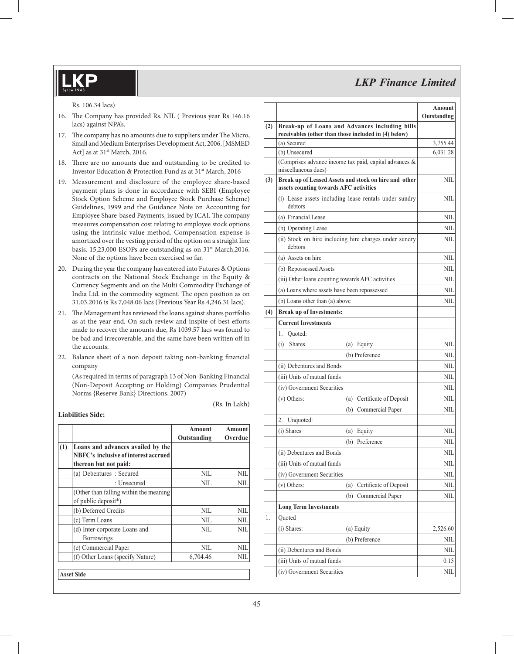Rs. 106.34 lacs)

- 16. The Company has provided Rs. NIL ( Previous year Rs 146.16) lacs) against NPA's.
- 17. The company has no amounts due to suppliers under The Micro, Small and Medium Enterprises Development Act, 2006, [MSMED Act] as at 31<sup>st</sup> March, 2016.
- 18. There are no amounts due and outstanding to be credited to Investor Education & Protection Fund as at 31<sup>st</sup> March, 2016
- 19. Measurement and disclosure of the employee share-based payment plans is done in accordance with SEBI (Employee Stock Option Scheme and Employee Stock Purchase Scheme) Guidelines, 1999 and the Guidance Note on Accounting for Employee Share-based Payments, issued by ICAI. The company measures compensation cost relating to employee stock options using the intrinsic value method. Compensation expense is amortized over the vesting period of the option on a straight line basis. 15,23,000 ESOPs are outstanding as on 31<sup>st</sup> March,2016. None of the options have been exercised so far.
- 20. During the year the company has entered into Futures & Options contracts on the National Stock Exchange in the Equity & Currency Segments and on the Multi Commodity Exchange of India Ltd. in the commodity segment. The open position as on 31.03.2016 is Rs 7,048.06 lacs (Previous Year Rs 4,246.31 lacs).
- 21. The Management has reviewed the loans against shares portfolio as at the year end. On such review and inspite of best efforts made to recover the amounts due, Rs 1039.57 lacs was found to be bad and irrecoverable, and the same have been written off in the accounts.
- 22. Balance sheet of a non deposit taking non-banking financial company

 (As required in terms of paragraph 13 of Non-Banking Financial (Non-Deposit Accepting or Holding) Companies Prudential Norms {Reserve Bank} Directions, 2007)

### **Liabilities Side:**

|     |                                                                                                    | Amount<br>Outstanding | Amount<br>Overdue |
|-----|----------------------------------------------------------------------------------------------------|-----------------------|-------------------|
| (1) | Loans and advances availed by the<br>NBFC's inclusive of interest accrued<br>thereon but not paid: |                       |                   |
|     | (a) Debentures : Secured                                                                           | NIL                   | NIL               |
|     | : Unsecured                                                                                        | NIL                   | NIL               |
|     | (Other than falling within the meaning)<br>of public deposit*)                                     |                       |                   |
|     | (b) Deferred Credits                                                                               | NIL                   | NIL               |
|     | (c) Term Loans                                                                                     | NIL                   | NIL.              |
|     | (d) Inter-corporate Loans and<br><b>Borrowings</b>                                                 | NIL                   | NII.              |
|     | (e) Commercial Paper                                                                               | NIL                   | NIL               |
|     | (f) Other Loans (specify Nature)                                                                   | 6,704.46              | NШ                |
|     | <b>Asset Side</b>                                                                                  |                       |                   |

|     |                                                                                                        | <b>Amount</b><br>Outstanding |
|-----|--------------------------------------------------------------------------------------------------------|------------------------------|
| (2) | Break-up of Loans and Advances including bills<br>receivables (other than those included in (4) below) |                              |
|     | (a) Secured                                                                                            | 3,755.44                     |
|     | (b) Unsecured                                                                                          | 6,031.28                     |
|     | (Comprises advance income tax paid, capital advances &<br>miscellaneous dues)                          |                              |
| (3) | Break up of Leased Assets and stock on hire and other<br>assets counting towards AFC activities        | NIL                          |
|     | (i) Lease assets including lease rentals under sundry<br>debtors                                       | NIL                          |
|     | (a) Financial Lease                                                                                    | NIL                          |
|     | (b) Operating Lease                                                                                    | NIL                          |
|     | (ii) Stock on hire including hire charges under sundry<br>debtors                                      | NIL                          |
|     | (a) Assets on hire                                                                                     | NIL                          |
|     | (b) Repossessed Assets                                                                                 | NIL                          |
|     | (iii) Other loans counting towards AFC activities                                                      | NIL                          |
|     | (a) Loans where assets have been repossessed                                                           | NIL                          |
|     | (b) Loans other than (a) above                                                                         | NIL                          |
| (4) | <b>Break up of Investments:</b>                                                                        |                              |
|     | <b>Current Investments</b>                                                                             |                              |
|     | 1.<br>Quoted:                                                                                          |                              |
|     | (i)<br><b>Shares</b><br>(a) Equity                                                                     | NIL                          |
|     | (b) Preference                                                                                         | NIL                          |
|     | (ii) Debentures and Bonds                                                                              | NIL                          |
|     | (iii) Units of mutual funds                                                                            | NIL                          |
|     | (iv) Government Securities                                                                             | NIL                          |
|     | (v) Others:<br>(a) Certificate of Deposit                                                              | NIL                          |
|     | (b) Commercial Paper                                                                                   | NIL                          |
|     | 2.<br>Unquoted:                                                                                        |                              |
|     | (i) Shares<br>(a) Equity                                                                               | NIL                          |
|     | (b) Preference                                                                                         | NIL                          |
|     | (ii) Debentures and Bonds                                                                              | NIL                          |
|     | (iii) Units of mutual funds                                                                            | NIL                          |
|     | (iv) Government Securities                                                                             | NIL                          |
|     | Certificate of Deposit<br>(v) Others:<br>(a)                                                           | NIL                          |
|     | Commercial Paper<br>(b)                                                                                | NIL                          |
|     | <b>Long Term Investments</b>                                                                           |                              |
| 1.  | Quoted                                                                                                 |                              |
|     | (i) Shares:<br>(a) Equity                                                                              | 2,526.60                     |
|     | (b) Preference                                                                                         | NIL                          |
|     | (ii) Debentures and Bonds                                                                              | NIL                          |
|     | (iii) Units of mutual funds                                                                            | 0.15                         |
|     | (iv) Government Securities                                                                             | <b>NIL</b>                   |

(Rs. In Lakh)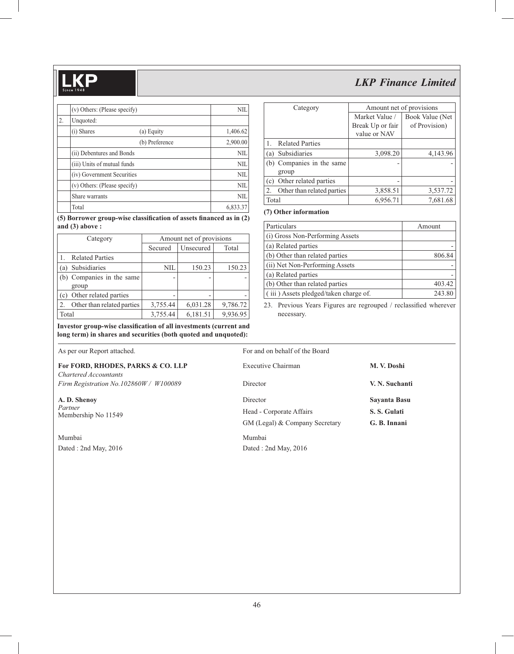|    | (v) Others: (Please specify) | <b>NIL</b> |
|----|------------------------------|------------|
| 2. | Unquoted:                    |            |
|    | (i) Shares<br>(a) Equity     | 1,406.62   |
|    | (b) Preference               | 2,900.00   |
|    | (ii) Debentures and Bonds    | <b>NIL</b> |
|    | (iii) Units of mutual funds  | NIL        |
|    | (iv) Government Securities   | <b>NIL</b> |
|    | (v) Others: (Please specify) | <b>NIL</b> |
|    | Share warrants               | <b>NIL</b> |
|    | Total                        | 6,833.37   |

(5) Borrower group-wise classification of assets financed as in (2) **and (3) above :**

|       | Category                   | Amount net of provisions |           |          |
|-------|----------------------------|--------------------------|-----------|----------|
|       |                            | Secured                  | Unsecured | Total    |
|       | <b>Related Parties</b>     |                          |           |          |
|       | (a) Subsidiaries           | NIL                      | 150.23    | 150.23   |
|       | (b) Companies in the same  |                          |           |          |
|       | group                      |                          |           |          |
|       | (c) Other related parties  |                          |           |          |
| 2.    | Other than related parties | 3,755.44                 | 6,031.28  | 9,786.72 |
| Total |                            | 3,755.44                 | 6,181.51  | 9,936.95 |

|                | Category                   | Amount net of provisions |                 |  |  |
|----------------|----------------------------|--------------------------|-----------------|--|--|
|                |                            | Market Value /           | Book Value (Net |  |  |
|                |                            | Break Up or fair         | of Provision)   |  |  |
|                |                            | value or NAV             |                 |  |  |
| $\mathbf{1}$ . | <b>Related Parties</b>     |                          |                 |  |  |
|                | (a) Subsidiaries           | 3,098.20                 | 4,143.96        |  |  |
|                | (b) Companies in the same  |                          |                 |  |  |
|                | group                      |                          |                 |  |  |
|                | (c) Other related parties  |                          |                 |  |  |
| 2.             | Other than related parties | 3,858.51                 | 3,537.72        |  |  |
| Total          |                            | 6,956.71                 | 7,681.68        |  |  |
|                |                            |                          |                 |  |  |

## **(7) Other information**

| Particulars                                  | Amount |
|----------------------------------------------|--------|
| (i) Gross Non-Performing Assets              |        |
| (a) Related parties                          |        |
| (b) Other than related parties               | 806.84 |
| (ii) Net Non-Performing Assets               |        |
| (a) Related parties                          |        |
| (b) Other than related parties               | 403.42 |
| $\int$ (iii) Assets pledged/taken charge of. | 243.80 |

23. Previous Years Figures are regrouped / reclassified wherever necessary.

Investor group-wise classification of all investments (current and **long term) in shares and securities (both quoted and unquoted):**

|  |  |  | As per our Report attached. |
|--|--|--|-----------------------------|
|--|--|--|-----------------------------|

Mumbai Mumbai

| For and on behalf of the Board |                |
|--------------------------------|----------------|
| Executive Chairman             | M. V. Doshi    |
| Director                       | V. N. Suchanti |
| Director                       | Sayanta Basu   |
| Head - Corporate Affairs       | S. S. Gulati   |
| GM (Legal) & Company Secretary | G. B. Innani   |
|                                |                |

Dated : 2nd May, 2016 Dated : 2nd May, 2016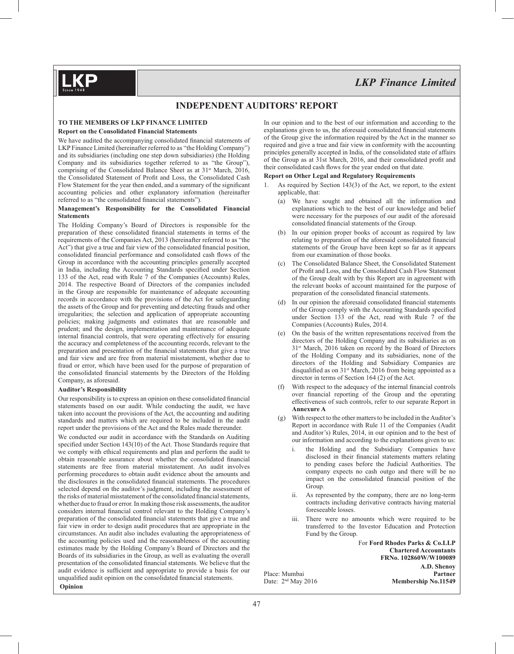*LKP Finance Limited*

## **INDEPENDENT AUDITORS' REPORT**

#### **TO THE MEMBERS OF LKP FINANCE LIMITED**

#### **Report on the Consolidated Financial Statements**

We have audited the accompanying consolidated financial statements of LKP Finance Limited (hereinafter referred to as "the Holding Company") and its subsidiaries (including one step down subsidiaries) (the Holding Company and its subsidiaries together referred to as "the Group"), comprising of the Consolidated Balance Sheet as at 31<sup>st</sup> March, 2016, the Consolidated Statement of Profit and Loss, the Consolidated Cash Flow Statement for the year then ended, and a summary of the significant accounting policies and other explanatory information (hereinafter referred to as "the consolidated financial statements").

#### **Management's Responsibility for the Consolidated Financial Statements**

The Holding Company's Board of Directors is responsible for the preparation of these consolidated financial statements in terms of the requirements of the Companies Act, 2013 (hereinafter referred to as "the Act") that give a true and fair view of the consolidated financial position, consolidated financial performance and consolidated cash flows of the Group in accordance with the accounting principles generally accepted in India, including the Accounting Standards specified under Section 133 of the Act, read with Rule 7 of the Companies (Accounts) Rules, 2014. The respective Board of Directors of the companies included in the Group are responsible for maintenance of adequate accounting records in accordance with the provisions of the Act for safeguarding the assets of the Group and for preventing and detecting frauds and other irregularities; the selection and application of appropriate accounting policies; making judgments and estimates that are reasonable and prudent; and the design, implementation and maintenance of adequate internal financial controls, that were operating effectively for ensuring the accuracy and completeness of the accounting records, relevant to the preparation and presentation of the financial statements that give a true and fair view and are free from material misstatement, whether due to fraud or error, which have been used for the purpose of preparation of the consolidated financial statements by the Directors of the Holding Company, as aforesaid.

#### **Auditor's Responsibility**

Our responsibility is to express an opinion on these consolidated financial statements based on our audit. While conducting the audit, we have taken into account the provisions of the Act, the accounting and auditing standards and matters which are required to be included in the audit report under the provisions of the Act and the Rules made thereunder.

We conducted our audit in accordance with the Standards on Auditing specified under Section  $143(10)$  of the Act. Those Standards require that we comply with ethical requirements and plan and perform the audit to obtain reasonable assurance about whether the consolidated financial statements are free from material misstatement. An audit involves performing procedures to obtain audit evidence about the amounts and the disclosures in the consolidated financial statements. The procedures selected depend on the auditor's judgment, including the assessment of the risks of material misstatement of the consolidated financial statements, whether due to fraud or error. In making those risk assessments, the auditor considers internal financial control relevant to the Holding Company's preparation of the consolidated financial statements that give a true and fair view in order to design audit procedures that are appropriate in the circumstances. An audit also includes evaluating the appropriateness of the accounting policies used and the reasonableness of the accounting estimates made by the Holding Company's Board of Directors and the Boards of its subsidiaries in the Group, as well as evaluating the overall presentation of the consolidated financial statements. We believe that the audit evidence is sufficient and appropriate to provide a basis for our unqualified audit opinion on the consolidated financial statements.  **Opinion**

In our opinion and to the best of our information and according to the explanations given to us, the aforesaid consolidated financial statements of the Group give the information required by the Act in the manner so required and give a true and fair view in conformity with the accounting principles generally accepted in India, of the consolidated state of affairs of the Group as at 31st March, 2016, and their consolidated profit and their consolidated cash flows for the year ended on that date.

#### **Report on Other Legal and Regulatory Requirements**

- As required by Section  $143(3)$  of the Act, we report, to the extent applicable, that:
	- (a) We have sought and obtained all the information and explanations which to the best of our knowledge and belief were necessary for the purposes of our audit of the aforesaid consolidated financial statements of the Group.
	- (b) In our opinion proper books of account as required by law relating to preparation of the aforesaid consolidated financial statements of the Group have been kept so far as it appears from our examination of those books.
	- (c) The Consolidated Balance Sheet, the Consolidated Statement of Profit and Loss, and the Consolidated Cash Flow Statement of the Group dealt with by this Report are in agreement with the relevant books of account maintained for the purpose of preparation of the consolidated financial statements.
	- (d) In our opinion the aforesaid consolidated financial statements of the Group comply with the Accounting Standards specified under Section 133 of the Act, read with Rule 7 of the Companies (Accounts) Rules, 2014.
	- (e) On the basis of the written representations received from the directors of the Holding Company and its subsidiaries as on 31<sup>st</sup> March, 2016 taken on record by the Board of Directors of the Holding Company and its subsidiaries, none of the directors of the Holding and Subsidiary Companies are disqualified as on 31<sup>st</sup> March, 2016 from being appointed as a director in terms of Section 164 (2) of the Act.
	- $(f)$  With respect to the adequacy of the internal financial controls over financial reporting of the Group and the operating effectiveness of such controls, refer to our separate Report in **Annexure A**
	- (g) With respect to the other matters to be included in the Auditor's Report in accordance with Rule 11 of the Companies (Audit and Auditor's) Rules, 2014, in our opinion and to the best of our information and according to the explanations given to us:
		- i. the Holding and the Subsidiary Companies have disclosed in their financial statements matters relating to pending cases before the Judicial Authorities. The company expects no cash outgo and there will be no impact on the consolidated financial position of the Group.
		- ii. As represented by the company, there are no long-term contracts including derivative contracts having material foreseeable losses.
		- iii. There were no amounts which were required to be transferred to the Investor Education and Protection Fund by the Group.

For **Ford Rhodes Parks & Co.LLP Chartered Accountants FRNo. 102860W/W100089 A.D. Shenoy** Membership No.11549

Place: Mumbai<br>Date: 2<sup>nd</sup> May 2016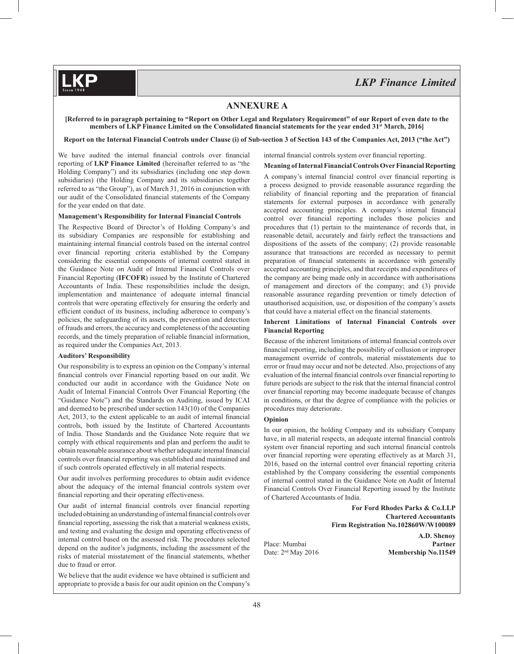## **ANNEXURE A**

**[Referred to in paragraph pertaining to "Report on Other Legal and Regulatory Requirement" of our Report of even date to the**  members of LKP Finance Limited on the Consolidated financial statements for the year ended 31<sup>st</sup> March, 2016]

**Report on the Internal Financial Controls under Clause (i) of Sub-section 3 of Section 143 of the Companies Act, 2013 ("the Act")**

We have audited the internal financial controls over financial reporting of **LKP Finance Limited** (hereinafter referred to as "the Holding Company") and its subsidiaries (including one step down subsidiaries) (the Holding Company and its subsidiaries together referred to as "the Group"), as of March 31, 2016 in conjunction with our audit of the Consolidated financial statements of the Company for the year ended on that date.

#### **Management's Responsibility for Internal Financial Controls**

The Respective Board of Director's of Holding Company's and its subsidiary Companies are responsible for establishing and maintaining internal financial controls based on the internal control over financial reporting criteria established by the Company considering the essential components of internal control stated in the Guidance Note on Audit of Internal Financial Controls over Financial Reporting (**IFCOFR**) issued by the Institute of Chartered Accountants of India. These responsibilities include the design, implementation and maintenance of adequate internal financial controls that were operating effectively for ensuring the orderly and efficient conduct of its business, including adherence to company's policies, the safeguarding of its assets, the prevention and detection of frauds and errors, the accuracy and completeness of the accounting records, and the timely preparation of reliable financial information, as required under the Companies Act, 2013.

#### **Auditors' Responsibility**

Our responsibility is to express an opinion on the Company's internal financial controls over Financial reporting based on our audit. We conducted our audit in accordance with the Guidance Note on Audit of Internal Financial Controls Over Financial Reporting (the "Guidance Note") and the Standards on Auditing, issued by ICAI and deemed to be prescribed under section 143(10) of the Companies Act, 2013, to the extent applicable to an audit of internal financial controls, both issued by the Institute of Chartered Accountants of India. Those Standards and the Guidance Note require that we comply with ethical requirements and plan and perform the audit to obtain reasonable assurance about whether adequate internal financial controls over financial reporting was established and maintained and if such controls operated effectively in all material respects.

Our audit involves performing procedures to obtain audit evidence about the adequacy of the internal financial controls system over financial reporting and their operating effectiveness.

Our audit of internal financial controls over financial reporting included obtaining an understanding of internal financial controls over financial reporting, assessing the risk that a material weakness exists, and testing and evaluating the design and operating effectiveness of internal control based on the assessed risk. The procedures selected depend on the auditor's judgments, including the assessment of the risks of material misstatement of the financial statements, whether due to fraud or error.

We believe that the audit evidence we have obtained is sufficient and appropriate to provide a basis for our audit opinion on the Company's internal financial controls system over financial reporting.

#### **Meaning of Internal Financial Controls Over Financial Reporting**

A company's internal financial control over financial reporting is a process designed to provide reasonable assurance regarding the reliability of financial reporting and the preparation of financial statements for external purposes in accordance with generally accepted accounting principles. A company's internal financial control over financial reporting includes those policies and procedures that (1) pertain to the maintenance of records that, in reasonable detail, accurately and fairly reflect the transactions and dispositions of the assets of the company; (2) provide reasonable assurance that transactions are recorded as necessary to permit preparation of financial statements in accordance with generally accepted accounting principles, and that receipts and expenditures of the company are being made only in accordance with authorisations of management and directors of the company; and (3) provide reasonable assurance regarding prevention or timely detection of unauthorised acquisition, use, or disposition of the company's assets that could have a material effect on the financial statements.

#### **Inherent Limitations of Internal Financial Controls over Financial Reporting**

Because of the inherent limitations of internal financial controls over financial reporting, including the possibility of collusion or improper management override of controls, material misstatements due to error or fraud may occur and not be detected. Also, projections of any evaluation of the internal financial controls over financial reporting to future periods are subject to the risk that the internal financial control over financial reporting may become inadequate because of changes in conditions, or that the degree of compliance with the policies or procedures may deteriorate.

#### **Opinion**

In our opinion, the holding Company and its subsidiary Company have, in all material respects, an adequate internal financial controls system over financial reporting and such internal financial controls over financial reporting were operating effectively as at March 31, 2016, based on the internal control over financial reporting criteria established by the Company considering the essential components of internal control stated in the Guidance Note on Audit of Internal Financial Controls Over Financial Reporting issued by the Institute of Chartered Accountants of India.

> **For Ford Rhodes Parks & Co.LLP Chartered Accountants Firm Registration No.102860W/W100089**

**A.D. Shenoy** Place: Mumbai **Partner**<br>Date: 2<sup>nd</sup> May 2016 **Partner**<br>**Partner Partner Partner Partner Partner Partner Partner Partner Partner Partner Partner Partner Partner Partner Partner Partner Partne** Membership No.11549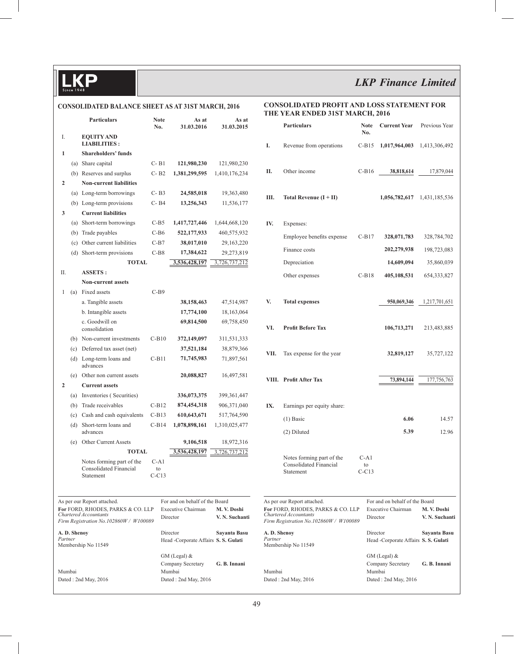$\overline{\mathbf{D}}$ 

# *LKP Finance Limited*

## **CONSOLIDATED BALANCE SHEET AS AT 31ST MARCH, 2016**

| CONSOLIDAI ED BALANCE SHEET AS AT 31ST MARCH, 2010 |              |                                                                                                                                     |                       |  |                                                                  | THB                           |                                     |
|----------------------------------------------------|--------------|-------------------------------------------------------------------------------------------------------------------------------------|-----------------------|--|------------------------------------------------------------------|-------------------------------|-------------------------------------|
|                                                    |              | <b>Particulars</b>                                                                                                                  | <b>Note</b><br>No.    |  | As at<br>31.03.2016                                              | As at<br>31.03.2015           |                                     |
| I.                                                 |              | <b>EQUITY AND</b><br><b>LIABILITIES:</b>                                                                                            |                       |  |                                                                  |                               | I.                                  |
| 1                                                  |              | <b>Shareholders' funds</b>                                                                                                          |                       |  |                                                                  |                               |                                     |
|                                                    |              | (a) Share capital                                                                                                                   | $C - B1$              |  | 121,980,230                                                      | 121,980,230                   |                                     |
|                                                    |              | (b) Reserves and surplus                                                                                                            | $C- B2$               |  | 1,381,299,595                                                    | 1,410,176,234                 | П.                                  |
| $\overline{2}$                                     |              | <b>Non-current liabilities</b>                                                                                                      |                       |  |                                                                  |                               |                                     |
|                                                    |              | (a) Long-term borrowings                                                                                                            | $C - B3$              |  | 24,585,018                                                       | 19,363,480                    | Ш.                                  |
|                                                    |              | (b) Long-term provisions                                                                                                            | $C - B4$              |  | 13,256,343                                                       | 11,536,177                    |                                     |
| 3                                                  |              | <b>Current liabilities</b>                                                                                                          |                       |  |                                                                  |                               |                                     |
|                                                    |              | (a) Short-term borrowings                                                                                                           | $C-B5$                |  | 1,417,727,446                                                    | 1,644,668,120                 | IV.                                 |
|                                                    |              | (b) Trade payables                                                                                                                  | $C-B6$                |  | 522,177,933                                                      | 460,575,932                   |                                     |
|                                                    |              | (c) Other current liabilities                                                                                                       | $C-B7$                |  | 38,017,010                                                       | 29, 163, 220                  |                                     |
|                                                    |              | (d) Short-term provisions                                                                                                           | $C-B8$                |  | 17,384,622                                                       | 29,273,819                    |                                     |
|                                                    |              | <b>TOTAL</b>                                                                                                                        |                       |  | 3,536,428,197                                                    | 3,726,737,212                 |                                     |
| П.                                                 |              | <b>ASSETS:</b>                                                                                                                      |                       |  |                                                                  |                               |                                     |
|                                                    |              | <b>Non-current assets</b>                                                                                                           |                       |  |                                                                  |                               |                                     |
| 1                                                  |              | (a) Fixed assets                                                                                                                    | $C-B9$                |  |                                                                  |                               |                                     |
|                                                    |              | a. Tangible assets                                                                                                                  |                       |  | 38,158,463                                                       | 47,514,987                    | V.                                  |
|                                                    |              | b. Intangible assets                                                                                                                |                       |  | 17,774,100                                                       | 18,163,064                    |                                     |
|                                                    |              | c. Goodwill on<br>consolidation                                                                                                     |                       |  | 69,814,500                                                       | 69,758,450                    | VI.                                 |
|                                                    |              | (b) Non-current investments                                                                                                         | $C-B10$               |  | 372,149,097                                                      | 311,531,333                   |                                     |
|                                                    |              | (c) Deferred tax asset (net)                                                                                                        |                       |  | 37,521,184                                                       | 38,879,366                    | VII.                                |
|                                                    |              | (d) Long-term loans and<br>advances                                                                                                 | $C-B11$               |  | 71,745,983                                                       | 71,897,561                    |                                     |
|                                                    | (e)          | Other non current assets                                                                                                            |                       |  | 20,088,827                                                       | 16,497,581                    | VIII.                               |
| $\overline{2}$                                     |              | <b>Current assets</b>                                                                                                               |                       |  |                                                                  |                               |                                     |
|                                                    | (a)          | Inventories (Securities)                                                                                                            |                       |  | 336,073,375                                                      | 399, 361, 447                 |                                     |
|                                                    | (b)          | Trade receivables                                                                                                                   | $C-B12$               |  | 874,454,318                                                      | 906, 371, 040                 | IX.                                 |
|                                                    | (c)          | Cash and cash equivalents                                                                                                           | $C-B13$               |  | 610,643,671                                                      | 517,764,590                   |                                     |
|                                                    | (d)          | Short-term loans and<br>advances                                                                                                    | $C-B14$               |  | 1,078,898,161                                                    | 1,310,025,477                 |                                     |
|                                                    | (e)          | Other Current Assets                                                                                                                |                       |  | 9,106,518                                                        | 18,972,316                    |                                     |
|                                                    |              | <b>TOTAL</b>                                                                                                                        |                       |  | 3,536,428,197                                                    | 3,726,737,212                 |                                     |
|                                                    |              | Notes forming part of the<br><b>Consolidated Financial</b><br>Statement                                                             | C-A1<br>to<br>$C-C13$ |  |                                                                  |                               |                                     |
|                                                    |              |                                                                                                                                     |                       |  |                                                                  |                               |                                     |
|                                                    |              | As per our Report attached.<br>For FORD, RHODES, PARKS & CO. LLP<br>Chartered Accountants<br>Firm Registration No.102860W / W100089 |                       |  | For and on behalf of the Board<br>Executive Chairman<br>Director | M. V. Doshi<br>V. N. Suchanti | As per<br>For F<br>Charte<br>Firm I |
| Partner                                            | A. D. Shenoy | Membership No 11549                                                                                                                 |                       |  | Director<br>Head -Corporate Affairs S. S. Gulati                 | Sayanta Basu                  | A.D. :<br>Partne<br>Memb            |
| Mumbai                                             |              |                                                                                                                                     |                       |  | $GM$ (Legal) $&$<br>Company Secretary<br>Mumbai                  | G. B. Innani                  | Mumb                                |

Dated : 2nd May, 2016 Dated : 2nd May, 2016

#### **CONSOLIDATED PROFIT AND LOSS STATEMENT FOR YEAR ENDED 31ST MARCH, 2016**

|                                                                                                                                     | Particulars                                                      | <b>Note</b><br>No.      | <b>Current Year</b>                                                     | Previous Year                 |
|-------------------------------------------------------------------------------------------------------------------------------------|------------------------------------------------------------------|-------------------------|-------------------------------------------------------------------------|-------------------------------|
| I.                                                                                                                                  | Revenue from operations                                          | $C-B15$                 | 1,017,964,003                                                           | 1,413,306,492                 |
| П.                                                                                                                                  | Other income                                                     | $C-B16$                 | 38,818,614                                                              | 17,879,044                    |
| Ш.                                                                                                                                  | Total Revenue $(I + II)$                                         |                         | 1,056,782,617                                                           | 1,431,185,536                 |
| IV.                                                                                                                                 | Expenses:                                                        |                         |                                                                         |                               |
|                                                                                                                                     | Employee benefits expense                                        | $C-B17$                 | 328,071,783                                                             | 328,784,702                   |
|                                                                                                                                     | Finance costs                                                    |                         | 202,279,938                                                             | 198,723,083                   |
|                                                                                                                                     | Depreciation                                                     |                         | 14,609,094                                                              | 35,860,039                    |
|                                                                                                                                     | Other expenses                                                   | $C-B18$                 | 405,108,531                                                             | 654, 333, 827                 |
| V.                                                                                                                                  | <b>Total expenses</b>                                            |                         | 950,069,346                                                             | 1,217,701,651                 |
| VI.                                                                                                                                 | <b>Profit Before Tax</b>                                         |                         | 106,713,271                                                             | 213,483,885                   |
| VII.                                                                                                                                | Tax expense for the year                                         |                         | 32,819,127                                                              | 35,727,122                    |
|                                                                                                                                     | VIII. Profit After Tax                                           |                         | 73,894,144                                                              | 177,756,763                   |
| IX.                                                                                                                                 | Earnings per equity share:                                       |                         |                                                                         |                               |
|                                                                                                                                     | $(1)$ Basic                                                      |                         | 6.06                                                                    | 14.57                         |
|                                                                                                                                     | (2) Diluted                                                      |                         | 5.39                                                                    | 12.96                         |
|                                                                                                                                     | Notes forming part of the<br>Consolidated Financial<br>Statement | $C-A1$<br>to<br>$C-C13$ |                                                                         |                               |
| As per our Report attached.<br>For FORD, RHODES, PARKS & CO. LLP<br>Chartered Accountants<br>Firm Registration No.102860W / W100089 |                                                                  |                         | For and on behalf of the Board<br>Executive Chairman<br>Director        | M. V. Doshi<br>V. N. Suchanti |
| A. D. Shenoy<br>Partner                                                                                                             | Membership No 11549                                              |                         | Director<br>Head -Corporate Affairs S.S. Gulati                         | Sayanta Basu                  |
| Mumbai                                                                                                                              | Dated : 2nd May, 2016                                            |                         | $GM$ (Legal) $&$<br>Company Secretary<br>Mumbai<br>Dated: 2nd May, 2016 | G. B. Innani                  |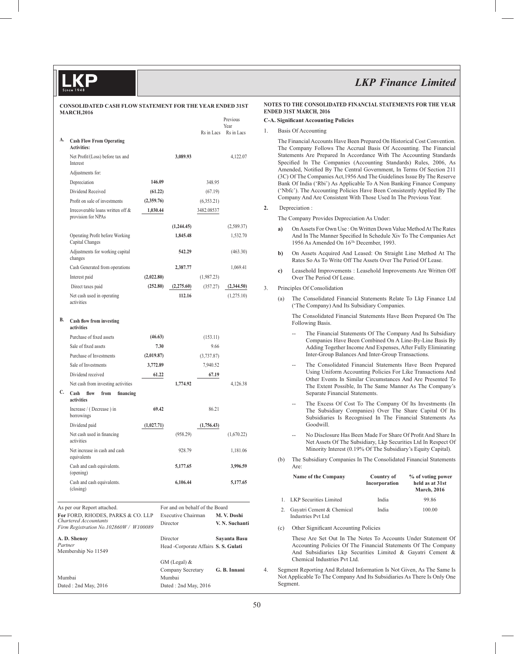|    | <b>MARCH,2016</b>                                                                                    |            |       |                                     |            | Previous<br>Year              |
|----|------------------------------------------------------------------------------------------------------|------------|-------|-------------------------------------|------------|-------------------------------|
| А. | <b>Cash Flow From Operating</b>                                                                      |            |       |                                     | Rs in Lacs | Rs in Lacs                    |
|    | <b>Activities:</b>                                                                                   |            |       |                                     |            |                               |
|    | Net Profit/(Loss) before tax and<br>Interest                                                         |            |       | 3,089.93                            |            | 4,122.07                      |
|    | Adjustments for:                                                                                     |            |       |                                     |            |                               |
|    | Depreciation                                                                                         | 146.09     |       |                                     | 348.95     |                               |
|    | Dividend Received                                                                                    | (61.22)    |       |                                     | (67.19)    |                               |
|    | Profit on sale of investments                                                                        | (2,359.76) |       |                                     | (6,353.21) |                               |
|    | Irrecoverable loans written off &<br>provision for NPAs                                              | 1,030.44   |       |                                     | 3482.08537 |                               |
|    |                                                                                                      |            |       | (1,244.45)                          |            | (2,589.37)                    |
|    | Operating Profit before Working<br>Capital Changes                                                   |            |       | 1,845.48                            |            | 1,532.70                      |
|    | Adjustments for working capital<br>changes                                                           |            |       | 542.29                              |            | (463.30)                      |
|    | Cash Generated from operations                                                                       |            |       | 2,387.77                            |            | 1,069.41                      |
|    | Interest paid                                                                                        | (2,022.80) |       |                                     | (1,987.23) |                               |
|    | Direct taxes paid                                                                                    | (252.80)   |       | (2,275.60)                          | (357.27)   | (2,344.50)                    |
|    | Net cash used in operating<br>activities                                                             |            |       | 112.16                              |            | (1,275.10)                    |
| В. | Cash flow from investing<br>activities                                                               |            |       |                                     |            |                               |
|    | Purchase of fixed assets                                                                             | (46.63)    |       |                                     | (153.11)   |                               |
|    | Sale of fixed assets                                                                                 |            | 7.30  |                                     | 9.66       |                               |
|    | Purchase of Investments                                                                              | (2,019.87) |       |                                     | (3,737.87) |                               |
|    | Sale of Investments                                                                                  | 3,772.89   |       |                                     | 7,940.52   |                               |
|    | Dividend received                                                                                    |            | 61.22 |                                     | 67.19      |                               |
|    | Net cash from investing activities                                                                   |            |       | 1,774.92                            |            | 4,126.38                      |
| C. | Cash<br>from<br>financing<br>flow<br>activities                                                      |            |       |                                     |            |                               |
|    | Increase / (Decrease) in<br>borrowings                                                               |            | 69.42 |                                     | 86.21      |                               |
|    | Dividend paid                                                                                        | (1,027.71) |       |                                     | (1,756.43) |                               |
|    | Net cash used in financing<br>activities                                                             |            |       | (958.29)                            |            | (1,670.22)                    |
|    | Net increase in cash and cash<br>equivalents                                                         |            |       | 928.79                              |            | 1.181.06                      |
|    | Cash and cash equivalents.<br>(opening)                                                              |            |       | 5,177.65                            |            | 3,996.59                      |
|    | Cash and cash equivalents.<br>(closing)                                                              |            |       | 6,106.44                            |            | 5,177.65                      |
|    | As per our Report attached.                                                                          |            |       | For and on behalf of the Board      |            |                               |
|    | For FORD, RHODES, PARKS & CO. LLP<br>Chartered Accountants<br>Firm Registration No.102860W / W100089 |            |       | Executive Chairman<br>Director      |            | M. V. Doshi<br>V. N. Suchanti |
|    | A. D. Shenoy                                                                                         |            |       | Director                            |            | Sayanta Basu                  |
|    | Partner<br>Membership No 11549                                                                       |            |       | Head -Corporate Affairs S.S. Gulati |            |                               |
|    |                                                                                                      |            |       | $GM$ (Legal) $&$                    |            |                               |
|    |                                                                                                      |            |       | Company Secretary                   |            | G. B. Innani                  |
|    | Mumbai                                                                                               |            |       | Mumbai                              |            |                               |
|    | Dated: 2nd May, 2016                                                                                 |            |       | Dated: 2nd May, 2016                |            |                               |

#### **NOTES TO THE CONSOLIDATED FINANCIAL STATEMENTS FOR THE YEAR ENDED 31ST MARCH, 2016**

#### **C-A. Significant Accounting Policies**

#### 1. Basis Of Accounting

 The Financial Accounts Have Been Prepared On Historical Cost Convention. The Company Follows The Accrual Basis Of Accounting. The Financial Statements Are Prepared In Accordance With The Accounting Standards Specified In The Companies (Accounting Standards) Rules, 2006, As Amended, Notified By The Central Government, In Terms Of Section 211 (3C) Of The Companies Act,1956 And The Guidelines Issue By The Reserve Bank Of India ('Rbi') As Applicable To A Non Banking Finance Company ('Nbfc'). The Accounting Policies Have Been Consistently Applied By The Company And Are Consistent With Those Used In The Previous Year.

#### **2.** Depreciation :

The Company Provides Depreciation As Under:

- **a)** On Assets For Own Use : On Written Down Value Method At The Rates And In The Manner Specified In Schedule Xiv To The Companies Act 1956 As Amended On 16Th December, 1993.
- **b)** On Assets Acquired And Leased: On Straight Line Method At The Rates So As To Write Off The Assets Over The Period Of Lease.
- **c)** Leasehold Improvements : Leasehold Improvements Are Written Off Over The Period Of Lease.

#### 3. Principles Of Consolidation

(a) The Consolidated Financial Statements Relate To Lkp Finance Ltd ('The Company) And Its Subsidiary Companies.

 The Consolidated Financial Statements Have Been Prepared On The Following Basis.

- The Financial Statements Of The Company And Its Subsidiary Companies Have Been Combined On A Line-By-Line Basis By Adding Together Income And Expenses, After Fully Eliminating Inter-Group Balances And Inter-Group Transactions.
- The Consolidated Financial Statements Have Been Prepared Using Uniform Accounting Policies For Like Transactions And Other Events In Similar Circumstances And Are Presented To The Extent Possible, In The Same Manner As The Company's Separate Financial Statements.
- The Excess Of Cost To The Company Of Its Investments (In The Subsidiary Companies) Over The Share Capital Of Its Subsidiaries Is Recognised In The Financial Statements As Goodwill.
- No Disclosure Has Been Made For Share Of Profit And Share In Net Assets Of The Subsidiary, Lkp Securities Ltd In Respect Of Minority Interest (0.19% Of The Subsidiary's Equity Capital).
- (b) The Subsidiary Companies In The Consolidated Financial Statements Are:

| Name of the Company                                    | <b>Country of</b><br>Incorporation | % of voting power<br>held as at 31st<br><b>March, 2016</b> |
|--------------------------------------------------------|------------------------------------|------------------------------------------------------------|
| LKP Securities Limited                                 | India                              | 99.86                                                      |
| Gayatri Cement & Chemical<br><b>Industries Pvt Ltd</b> | India                              | 100.00                                                     |

(c) Other Significant Accounting Policies

 These Are Set Out In The Notes To Accounts Under Statement Of Accounting Policies Of The Financial Statements Of The Company And Subsidiaries Lkp Securities Limited & Gayatri Cement & Chemical Industries Pvt Ltd.

4. Segment Reporting And Related Information Is Not Given, As The Same Is Not Applicable To The Company And Its Subsidiaries As There Is Only One Segment.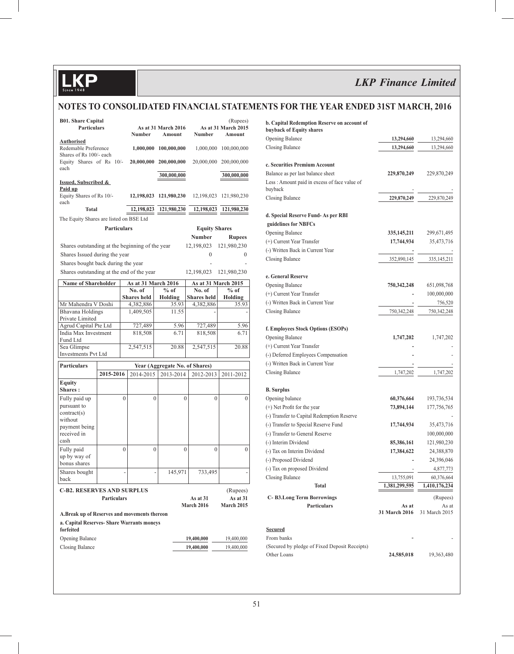## **NOTES TO CONSOLIDATED FINANCIAL STATEMENTS FOR THE YEAR ENDED 31ST MARCH, 2016**

| <b>B01. Share Capital</b><br><b>Particulars</b>             |                    |                | <b>Number</b>              |                  | As at 31 March 2016<br>Amount | Number                         | (Rupees)<br>As at 31 March 2015<br>Amount |
|-------------------------------------------------------------|--------------------|----------------|----------------------------|------------------|-------------------------------|--------------------------------|-------------------------------------------|
| <b>Authorised</b><br>Redemable Preference                   |                    |                | 1,000,000                  |                  | 100,000,000                   | 1,000,000                      | 100,000,000                               |
| Shares of Rs 100/- each<br>Equity Shares of Rs 10/-<br>each |                    |                | 20,000,000 200,000,000     |                  |                               |                                | 20,000,000 200,000,000                    |
|                                                             |                    |                |                            |                  | 300,000,000                   |                                | 300,000,000                               |
| Issued, Subscribed &                                        |                    |                |                            |                  |                               |                                |                                           |
| Paid up<br>Equity Shares of Rs 10/-<br>each                 |                    |                | 12,198,023 121,980,230     |                  |                               | 12,198,023                     | 121,980,230                               |
| <b>Total</b>                                                |                    |                | 12,198,023                 |                  | 121,980,230                   | 12,198,023                     | 121,980,230                               |
| The Equity Shares are listed on BSE Ltd                     |                    |                |                            |                  |                               |                                |                                           |
|                                                             | <b>Particulars</b> |                |                            |                  |                               | <b>Equity Shares</b>           |                                           |
|                                                             |                    |                |                            |                  |                               | Number                         | <b>Rupees</b>                             |
| Shares outstanding at the beginning of the year             |                    |                |                            |                  |                               | 12,198,023                     | 121,980,230                               |
| Shares Issued during the year                               |                    |                |                            |                  |                               | 0                              | $\overline{0}$                            |
| Shares bought back during the year                          |                    |                |                            |                  |                               |                                |                                           |
| Shares outstanding at the end of the year                   |                    |                |                            |                  |                               | 12,198,023                     | 121,980,230                               |
| <b>Name of Shareholder</b>                                  |                    |                | <b>As at 31 March 2016</b> |                  |                               |                                | As at 31 March 2015                       |
|                                                             |                    |                | No. of                     |                  | $%$ of                        | No. of                         | $%$ of                                    |
|                                                             |                    |                | <b>Shares</b> held         |                  | Holding                       | <b>Shares</b> held             | Holding                                   |
| Mr Mahendra V Doshi                                         |                    |                | 4,382,886                  |                  | 35.93                         | 4,382,886                      | 35.93                                     |
| Bhavana Holdings<br>Private Limited                         |                    |                | 1,409,505                  |                  | 11.55                         |                                |                                           |
| Agrud Capital Pte Ltd                                       |                    |                | 727,489                    |                  | 5.96                          | 727,489                        | 5.96                                      |
| India Max Investment                                        |                    |                | 818,508                    |                  | 6.71                          | 818,508                        | 6.71                                      |
| Fund Ltd                                                    |                    |                |                            |                  |                               |                                |                                           |
| Sea Glimpse<br><b>Investments Pvt Ltd</b>                   |                    |                | 2,547,515                  |                  | 20.88                         | 2,547,515                      | 20.88                                     |
|                                                             |                    |                |                            |                  |                               |                                |                                           |
| <b>Particulars</b>                                          |                    |                |                            |                  |                               | Year (Aggregate No. of Shares) |                                           |
|                                                             | 2015-2016          |                | 2014-2015                  |                  | 2013-2014                     | 2012-2013                      | 2011-2012                                 |
| Equity<br>Shares:                                           |                    |                |                            |                  |                               |                                |                                           |
| Fully paid up                                               |                    | $\theta$       |                            | $\theta$         | $\theta$                      |                                | $\theta$<br>$\mathbf{0}$                  |
| pursuant to<br>contract(s)                                  |                    |                |                            |                  |                               |                                |                                           |
| without                                                     |                    |                |                            |                  |                               |                                |                                           |
| payment being                                               |                    |                |                            |                  |                               |                                |                                           |
| received in                                                 |                    |                |                            |                  |                               |                                |                                           |
| cash                                                        |                    |                |                            |                  |                               |                                |                                           |
| Fully paid<br>up by way of                                  |                    | $\overline{0}$ |                            | $\boldsymbol{0}$ | $\boldsymbol{0}$              |                                | $\overline{0}$<br>$\mathbf{0}$            |
| bonus shares                                                |                    |                |                            |                  |                               |                                |                                           |
| Shares bought                                               |                    |                |                            |                  | 145,971                       | 733,495                        |                                           |
| back                                                        |                    |                |                            |                  |                               |                                |                                           |
| <b>C-B2. RESERVES AND SURPLUS</b>                           |                    |                |                            |                  |                               |                                | (Rupees)                                  |
| <b>Particulars</b><br>As at 31<br>March 2016                |                    |                |                            |                  |                               |                                | As at 31<br><b>March 2015</b>             |
| A.Break up of Reserves and movements thereon                |                    |                |                            |                  |                               |                                |                                           |
| a. Capital Reserves- Share Warrants moneys<br>forfeited     |                    |                |                            |                  |                               |                                |                                           |
| Opening Balance                                             |                    |                |                            |                  |                               | 19,400,000                     | 19,400,000                                |
| <b>Closing Balance</b>                                      |                    |                |                            |                  |                               | 19,400,000                     | 19,400,000                                |
|                                                             |                    |                |                            |                  |                               |                                |                                           |

| b. Capital Redemption Reserve on account of                  |               |               |
|--------------------------------------------------------------|---------------|---------------|
| buyback of Equity shares                                     |               |               |
| Opening Balance                                              | 13,294,660    | 13,294,660    |
| Closing Balance                                              | 13,294,660    | 13,294,660    |
| c. Securities Premium Account                                |               |               |
| Balance as per last balance sheet                            | 229,870,249   | 229,870,249   |
| Less: Amount paid in excess of face value of<br>buyback      |               |               |
| Closing Balance                                              | 229,870,249   | 229,870,249   |
| d. Special Reserve Fund- As per RBI                          |               |               |
| guidelines for NBFCs                                         |               |               |
| Opening Balance                                              | 335, 145, 211 | 299,671,495   |
| (+) Current Year Transfer                                    | 17,744,934    | 35,473,716    |
| (-) Written Back in Current Year                             |               |               |
| Closing Balance                                              | 352,890,145   | 335,145,211   |
| e. General Reserve                                           |               |               |
| <b>Opening Balance</b>                                       | 750,342,248   | 651,098,768   |
| (+) Current Year Transfer                                    |               | 100,000,000   |
| (-) Written Back in Current Year                             |               | 756,520       |
| Closing Balance                                              | 750,342,248   | 750,342,248   |
| f. Employees Stock Options (ESOPs)                           |               |               |
| Opening Balance                                              | 1,747,202     | 1,747,202     |
| (+) Current Year Transfer                                    |               |               |
| (-) Deferred Employees Compensation                          |               |               |
| (-) Written Back in Current Year                             |               |               |
| Closing Balance                                              | 1,747,202     | 1,747,202     |
|                                                              |               |               |
| <b>B.</b> Surplus                                            |               |               |
| Opening balance                                              | 60,376,664    | 193,736,534   |
| (+) Net Profit for the year                                  | 73,894,144    | 177,756,765   |
| (-) Transfer to Capital Redemption Reserve                   |               |               |
| (-) Transfer to Special Reserve Fund                         | 17,744,934    | 35,473,716    |
| (-) Transfer to General Reserve                              |               | 100,000,000   |
| (-) Interim Dividend                                         | 85,386,161    | 121,980,230   |
| (-) Tax on Interim Dividend                                  | 17,384,622    | 24,388,870    |
| (-) Proposed Dividend                                        |               | 24,396,046    |
| (-) Tax on proposed Dividend                                 |               | 4,877,773     |
| Closing Balance                                              | 13,755,091    | 60,376,664    |
| Total                                                        | 1,381,299,595 | 1,410,176,234 |
| <b>C-B3.Long Term Borrowings</b>                             |               | (Rupees)      |
| <b>Particulars</b>                                           | As at         | As at         |
|                                                              | 31 March 2016 | 31 March 2015 |
| <b>Secured</b>                                               |               |               |
| From banks                                                   |               |               |
| (Secured by pledge of Fixed Deposit Receipts)<br>Other Loans | 24,585,018    | 19,363,480    |
|                                                              |               |               |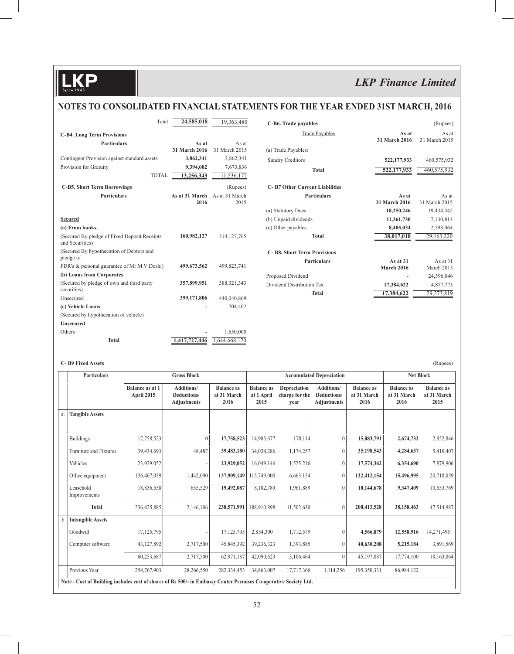## **NOTES TO CONSOLIDATED FINANCIAL STATEMENTS FOR THE YEAR ENDED 31ST MARCH, 2016**

| Total                                                    | 24,585,018     | 19,363,480     | C-B6. Trade payables                  |                   | (Rupees)      |
|----------------------------------------------------------|----------------|----------------|---------------------------------------|-------------------|---------------|
| <b>C-B4.</b> Long Term Provisions                        |                |                | <b>Trade Payables</b>                 | As at             | As at         |
| <b>Particulars</b>                                       | As at          | As at          |                                       | 31 March 2016     | 31 March 2015 |
|                                                          | 31 March 2016  | 31 March 2015  | (a) Trade Payables:                   |                   |               |
| Contingent Provision against standard assets             | 3,862,341      | 3,862,341      | <b>Sundry Creditors</b>               | 522,177,933       | 460,575,932   |
| Provision for Gratuity                                   | 9,394,002      | 7,673,836      | <b>Total</b>                          | 522,177,933       | 460,575,932   |
| <b>TOTAL</b>                                             | 13,256,343     | 11,536,177     |                                       |                   |               |
| <b>C-B5. Short Term Borrowings</b>                       |                | (Rupees)       | <b>C-B7 Other Current Liabilities</b> |                   |               |
| <b>Particulars</b>                                       | As at 31 March | As at 31 March | <b>Particulars</b>                    | As at             | As at         |
|                                                          | 2016           | 2015           |                                       | 31 March 2016     | 31 March 2015 |
|                                                          |                |                | (a) Statutory Dues                    | 18,250,246        | 19,434,342    |
| <b>Secured</b>                                           |                |                | (b) Unpaid dividends                  | 11,361,730        | 7,130,814     |
| (a) From banks.                                          |                |                | (c) Other payables                    | 8,405,034         | 2,598,064     |
| (Secured By pledge of Fixed Deposit Receipts)            | 160,982,127    | 314, 127, 765  | <b>Total</b>                          | 38,017,010        | 29,163,220    |
| and Securities)                                          |                |                |                                       |                   |               |
| (Secured By hypothecation of Debtors and<br>pledge of    |                |                | <b>C-B8. Short Term Provisions</b>    |                   |               |
|                                                          |                |                | <b>Particulars</b>                    | As at 31          | As at 31      |
| FDR's & personal guarantee of Mr M V Doshi)              | 499,673,562    | 499,823,741    |                                       | <b>March 2016</b> | March 2015    |
| (b) Loans from Corporates                                |                |                | Proposed Dividend                     |                   | 24,396,046    |
| (Secured by pledge of own and third party<br>securities) | 357,899,951    | 388, 321, 343  | Dividend Distribution Tax             | 17,384,622        | 4,877,773     |
| Unsecured                                                | 399,171,806    | 440,040,869    | <b>Total</b>                          | 17,384,622        | 29,273,819    |
| (c) Vehicle Loans                                        |                | 704,402        |                                       |                   |               |
| (Secured by hypothecation of vehicle)                    |                |                |                                       |                   |               |
| <b>Unsecured</b>                                         |                |                |                                       |                   |               |
| Others                                                   |                | 1,650,000      |                                       |                   |               |
| <b>Total</b>                                             | 1,417,727,446  | .644.668.120   |                                       |                   |               |

#### **C- B9 Fixed Assets** (Rupees)

|    | <b>Particulars</b>                                                                                              | <b>Gross Block</b>                   |                                                        |                                          | <b>Accumulated Depreciation</b>         |                                        |                                                 |                                          | <b>Net Block</b>                         |                                          |
|----|-----------------------------------------------------------------------------------------------------------------|--------------------------------------|--------------------------------------------------------|------------------------------------------|-----------------------------------------|----------------------------------------|-------------------------------------------------|------------------------------------------|------------------------------------------|------------------------------------------|
|    |                                                                                                                 | <b>Balance as at 1</b><br>April 2015 | <b>Additions/</b><br>Deductions/<br><b>Adjustments</b> | <b>Balance</b> as<br>at 31 March<br>2016 | <b>Balance</b> as<br>at 1 April<br>2015 | Depreciation<br>charge for the<br>vear | <b>Additions/</b><br>Deductions/<br>Adjustments | <b>Balance</b> as<br>at 31 March<br>2016 | <b>Balance</b> as<br>at 31 March<br>2016 | <b>Balance as</b><br>at 31 March<br>2015 |
| a. | <b>Tangible Assets</b>                                                                                          |                                      |                                                        |                                          |                                         |                                        |                                                 |                                          |                                          |                                          |
|    |                                                                                                                 |                                      |                                                        |                                          |                                         |                                        |                                                 |                                          |                                          |                                          |
|    | <b>Buildings</b>                                                                                                | 17,758,523                           | $\Omega$                                               | 17,758,523                               | 14,905,677                              | 178,114                                | $\mathbf{0}$                                    | 15,083,791                               | 2,674,732                                | 2,852,846                                |
|    | <b>Furniture and Fixtures</b>                                                                                   | 39,434,693                           | 48,487                                                 | 39,483,180                               | 34,024,286                              | 1,174,257                              | $\mathbf{0}$                                    | 35,198,543                               | 4,284,637                                | 5,410,407                                |
|    | Vehicles                                                                                                        | 23,929,052                           |                                                        | 23,929,052                               | 16,049,146                              | 1,525,216                              | $\mathbf{0}$                                    | 17,574,362                               | 6,354,690                                | 7,879,906                                |
|    | Office equipment                                                                                                | 136,467,059                          | 1,442,090                                              | 137,909,149                              | 115,749,000                             | 6,663,154                              | $\mathbf{0}$                                    | 122,412,154                              | 15,496,995                               | 20,718,059                               |
|    | Leasehold<br>Improvements                                                                                       | 18,836,558                           | 655,529                                                | 19,492,087                               | 8,182,789                               | 1,961,889                              | $\mathbf{0}$                                    | 10,144,678                               | 9,347,409                                | 10,653,769                               |
|    | <b>Total</b>                                                                                                    | 236,425,885                          | 2,146,106                                              | 238,571,991                              | 188,910,898                             | 11,502,630                             | $\theta$                                        | 200,413,528                              | 38,158,463                               | 47,514,987                               |
| b  | <b>Intangible Assets</b>                                                                                        |                                      |                                                        |                                          |                                         |                                        |                                                 |                                          |                                          |                                          |
|    | Goodwill                                                                                                        | 17, 125, 795                         |                                                        | 17,125,795                               | 2,854,300                               | 1,712,579                              | $\mathbf{0}$                                    | 4,566,879                                | 12,558,916                               | 14,271,495                               |
|    | Computer software                                                                                               | 43,127,892                           | 2,717,500                                              | 45,845,392                               | 39,236,323                              | 1,393,885                              | $\mathbf{0}$                                    | 40,630,208                               | 5,215,184                                | 3,891,569                                |
|    |                                                                                                                 | 60,253,687                           | 2,717,500                                              | 62,971,187                               | 42,090,623                              | 3,106,464                              | $\mathbf{0}$                                    | 45,197,087                               | 17,774,100                               | 18,163,064                               |
|    | Previous Year                                                                                                   | 254,767,903                          | 28,266,550                                             | 282,334,453                              | 34,863,007                              | 17,717,366                             | 1,114,256                                       | 195,350,331                              | 86,984,122                               |                                          |
|    | Note: Cost of Building includes cost of shares of Rs 500/- in Embassy Center Premises Co-operative Society Ltd. |                                      |                                                        |                                          |                                         |                                        |                                                 |                                          |                                          |                                          |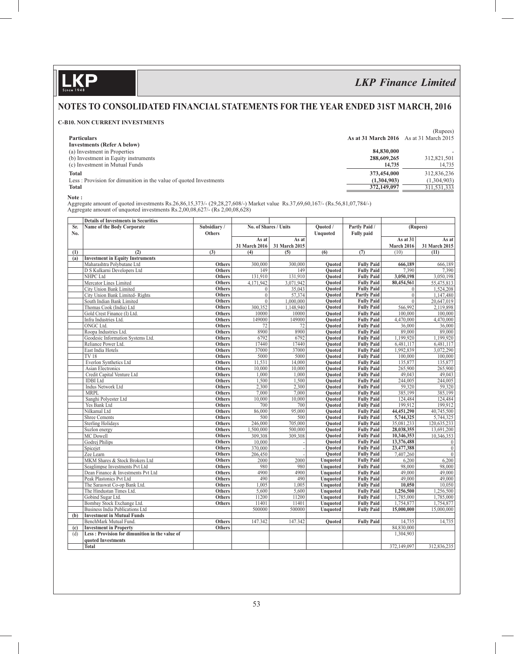$\mathbf{D}$ 

# *LKP Finance Limited*

## **NOTES TO CONSOLIDATED FINANCIAL STATEMENTS FOR THE YEAR ENDED 31ST MARCH, 2016**

### **C-B10. NON CURRENT INVESTMENTS**

|                                                                   |                                                | (Rupees)    |
|-------------------------------------------------------------------|------------------------------------------------|-------------|
| <b>Particulars</b>                                                | <b>As at 31 March 2016</b> As at 31 March 2015 |             |
| <b>Investments (Refer A below)</b>                                |                                                |             |
| (a) Investment in Properties                                      | 84,830,000                                     |             |
| (b) Investment in Equity instruments                              | 288,609,265                                    | 312,821,501 |
| (c) Investment in Mutual Funds                                    | 14,735                                         | 14,735      |
| <b>Total</b>                                                      | 373,454,000                                    | 312,836,236 |
| Less: Provision for dimunition in the value of quoted Investments | (1,304,903)                                    | (1,304,903) |
| <b>Total</b>                                                      | 372,149,097                                    | 311,531,333 |
|                                                                   |                                                |             |

 **Note :**

 Aggregate amount of quoted investments Rs.26,86,15,373/- (29,28,27,608/-) Market value Rs.37,69,60,167/- (Rs.56,81,07,784/-) Aggregate amount of unquoted investments Rs.2,00,08,627/- (Rs 2,00,08,628)

|     | <b>Details of Investments in Securities</b>    |               |                       |                 |                           |                                      |                |                |  |
|-----|------------------------------------------------|---------------|-----------------------|-----------------|---------------------------|--------------------------------------|----------------|----------------|--|
| Sr. | Name of the Body Corporate                     | Subsidiary/   | No. of Shares / Units |                 | Partly Paid /<br>Ouoted / |                                      | (Rupees)       |                |  |
| No. |                                                | <b>Others</b> |                       |                 |                           | <b>Unquoted</b><br><b>Fully paid</b> |                |                |  |
|     |                                                |               | As at                 | As at           |                           |                                      | As at 31       | As at          |  |
|     |                                                |               | 31 March 2016         | 31 March 2015   |                           |                                      | March 2016     | 31 March 2015  |  |
| (1) | (2)                                            | (3)           | (4)                   | (5)             | (6)                       | (7)                                  | (10)           | (11)           |  |
| (a) | <b>Investment in Equity Instruments</b>        |               |                       |                 |                           |                                      |                |                |  |
|     | Maharashtra Polybutane Ltd                     | <b>Others</b> | 300,000               | 300,000         | <b>Ouoted</b>             | <b>Fully Paid</b>                    | 666,189        | 666,189        |  |
|     | D S Kulkarni Developers Ltd                    | Others        | 149                   | 149             | <b>Ouoted</b>             | <b>Fully Paid</b>                    | 7,390          | 7,390          |  |
|     | NHPC Ltd                                       | <b>Others</b> | 131,910               | 131,910         | <b>Ouoted</b>             | <b>Fully Paid</b>                    | 3,050,198      | 3,050,198      |  |
|     | Mercator Lines Limited                         | <b>Others</b> | 4,171,942             | 3,071,942       | <b>Ouoted</b>             | <b>Fully Paid</b>                    | 80,454,561     | 55,475,813     |  |
|     | <b>City Union Bank Limited</b>                 | <b>Others</b> | $\overline{0}$        | 35,043          | <b>Quoted</b>             | <b>Fully Paid</b>                    | $\mathbf{0}$   | 1,524,208      |  |
|     | City Union Bank Limited-Rights                 | <b>Others</b> | $\overline{0}$        | 57,374          | <b>Quoted</b>             | <b>Partly Paid</b>                   | $\overline{0}$ | 1.147.480      |  |
|     | South Indian Bank Limited                      | <b>Others</b> | $\Omega$              | 1,000,000       | Ouoted                    | <b>Fully Paid</b>                    | $\theta$       | 20,647,019     |  |
|     | Thomas Cook (India) Ltd                        | <b>Others</b> | 300,352               | 1,148,940       | <b>Quoted</b>             | <b>Fully Paid</b>                    | 566,992        | 2,119,898      |  |
|     | Gold Crest Finance (I) Ltd.                    | <b>Others</b> | 10000                 | 10000           | <b>Ouoted</b>             | <b>Fully Paid</b>                    | 100,000        | 100,000        |  |
|     | Infra Industries Ltd.                          | <b>Others</b> | 149000                | 149000          | Quoted                    | <b>Fully Paid</b>                    | 4,470,000      | 4,470,000      |  |
|     | <b>ONGC Ltd.</b>                               | <b>Others</b> | 72                    | $\overline{72}$ | <b>Ouoted</b>             | <b>Fully Paid</b>                    | 36,000         | 36,000         |  |
|     | Roopa Industries Ltd.                          | <b>Others</b> | 8900                  | 8900            | <b>Ouoted</b>             | <b>Fully Paid</b>                    | 89,000         | 89,000         |  |
|     | Geodesic Information Systems Ltd.              | Others        | 6792                  | 6792            | <b>Quoted</b>             | <b>Fully Paid</b>                    | 1,199,920      | 1,199,920      |  |
|     | Reliance Power Ltd.                            | <b>Others</b> | 17440                 | 17440           | <b>Ouoted</b>             | <b>Fully Paid</b>                    | 6,481,117      | 6,481,117      |  |
|     | East India Hotels                              | Others        | 37000                 | 37000           | <b>Ouoted</b>             | <b>Fully Paid</b>                    | 1,992,839      | 3,072,290      |  |
|     | <b>TV18</b>                                    | Others        | 5000                  | 5000            | <b>Ouoted</b>             | <b>Fully Paid</b>                    | 100,000        | 100,000        |  |
|     | Everlon Synthetics Ltd                         | Others        | 11,531                | 14,000          | Quoted                    | <b>Fully Paid</b>                    | 135,877        | 135,877        |  |
|     | <b>Asian Electronics</b>                       | <b>Others</b> | 10,000                | 10,000          | <b>Ouoted</b>             | <b>Fully Paid</b>                    | 265,900        | 265,900        |  |
|     | Credit Capital Venture Ltd                     | Others        | 1,000                 | 1,000           | <b>Ouoted</b>             | <b>Fully Paid</b>                    | 49,043         | 49,043         |  |
|     | <b>IDBI</b> Ltd                                | <b>Others</b> | 1,500                 | 1,500           | Ouoted                    | <b>Fully Paid</b>                    | 244,005        | 244,005        |  |
|     | <b>Indus Network Ltd</b>                       | Others        | 2,300                 | 2,300           | <b>Ouoted</b>             | <b>Fully Paid</b>                    | 59,320         | 59,320         |  |
|     | <b>MRPL</b>                                    | Others        | 7,000                 | 7,000           | <b>Ouoted</b>             | <b>Fully Paid</b>                    | 385,199        | 385,199        |  |
|     | Sanghi Polyester Ltd                           | <b>Others</b> | 10,000                | 10,000          | Quoted                    | <b>Fully Paid</b>                    | 124,484        | 124,484        |  |
|     | Yes Bank Ltd                                   | <b>Others</b> | 700                   | 700             | <b>Ouoted</b>             | <b>Fully Paid</b>                    | 199,912        | 199.912        |  |
|     | Nilkamal Ltd                                   | <b>Others</b> | 86,000                | 95,000          | <b>Quoted</b>             | <b>Fully Paid</b>                    | 44,451,290     | 40,745,500     |  |
|     | <b>Shree Cements</b>                           | <b>Others</b> | 500                   | 500             | <b>Quoted</b>             | <b>Fully Paid</b>                    | 5,744,325      | 5,744,325      |  |
|     | <b>Sterling Holidays</b>                       | <b>Others</b> | 246,000               | 705,000         | <b>Ouoted</b>             | <b>Fully Paid</b>                    | 35,081,233     | 120,635,233    |  |
|     | Suzlon energy                                  | <b>Others</b> | 1,500,000             | 500,000         | <b>Ouoted</b>             | <b>Fully Paid</b>                    | 28,038,355     | 13,691,200     |  |
|     | MC Dowell                                      | <b>Others</b> | 309,308               | 309,308         | Quoted                    | <b>Fully Paid</b>                    | 10,346,353     | 10,346,353     |  |
|     | Godrej Philips                                 | <b>Others</b> | 10,000                |                 | <b>Quoted</b>             | <b>Fully Paid</b>                    | 13,376,488     | $\overline{0}$ |  |
|     | Spicejet                                       | Others        | 370,000               |                 | <b>Ouoted</b>             | <b>Fully Paid</b>                    | 23,477,388     | $\overline{0}$ |  |
|     | Zee Learn                                      | <b>Others</b> | 206,450               |                 | <b>Ouoted</b>             | <b>Fully Paid</b>                    | 7,407,260      | $\overline{0}$ |  |
|     | MKM Shares & Stock Brokers Ltd                 | Others        | 2000                  | 2000            | <b>Unquoted</b>           | <b>Fully Paid</b>                    | 6,200          | 6,200          |  |
|     | Seaglimpse Investments Pvt Ltd                 | Others        | 980                   | 980             | <b>Unquoted</b>           | <b>Fully Paid</b>                    | 98,000         | 98,000         |  |
|     | Dean Finance & Investments Pvt Ltd             | Others        | 4900                  | 4900            | <b>Unquoted</b>           | <b>Fully Paid</b>                    | 49,000         | 49,000         |  |
|     | Peak Plastonics Pvt Ltd                        | <b>Others</b> | 490                   | 490             | Unquoted                  | <b>Fully Paid</b>                    | 49,000         | 49,000         |  |
|     | The Saraswat Co-op Bank Ltd.                   | <b>Others</b> | 1.005                 | 1.005           | <b>Unquoted</b>           | <b>Fully Paid</b>                    | 10.050         | 10.050         |  |
|     | The Hindustan Times Ltd.                       | <b>Others</b> | 5,600                 | 5,600           | <b>Unquoted</b>           | <b>Fully Paid</b>                    | 1,256,500      | 1,256,500      |  |
|     | Gobind Sugar Ltd.                              | Others        | 11200                 | 11200           | <b>Unquoted</b>           | <b>Fully Paid</b>                    | 1,785,000      | 1,785,000      |  |
|     | Bombay Stock Exchange Ltd.                     | Others        | 11401                 | 11401           | <b>Unquoted</b>           | <b>Fully Paid</b>                    | 1,754,877      | 1,754,877      |  |
|     | Business India Publications Ltd                |               | 500000                | 500000          | <b>Unquoted</b>           | <b>Fully Paid</b>                    | 15,000,000     | 15,000,000     |  |
| (b) | <b>Investment in Mutual Funds</b>              |               |                       |                 |                           |                                      |                |                |  |
|     | BenchMark Mutual Fund.                         | Others        | 147.342               | 147.342         | <b>Ouoted</b>             | <b>Fully Paid</b>                    | 14,735         | 14,735         |  |
| (c) | <b>Investment in Property</b>                  | Others        |                       |                 |                           |                                      | 84,830,000     |                |  |
| (d) | Less: Provision for dimunition in the value of |               |                       |                 |                           |                                      | 1,304,903      |                |  |
|     | quoted Investments                             |               |                       |                 |                           |                                      |                |                |  |
|     | <b>Total</b>                                   |               |                       |                 |                           |                                      | 372,149,097    | 312,836,235    |  |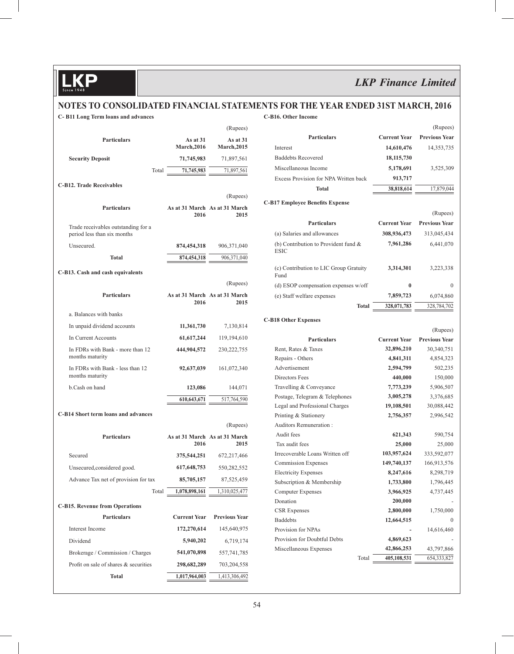## **NOTES TO CONSOLIDATED FINANCIAL STATEMENTS FOR THE YEAR ENDED 31ST MARCH, 2016**

**C- B11 Long Term loans and advances**

#### **C-B16. Other Income**

|                                                                    |                                       | (Rupees)                       |
|--------------------------------------------------------------------|---------------------------------------|--------------------------------|
| <b>Particulars</b>                                                 | As at $31$<br><b>March, 2016</b>      | As at 31<br><b>March, 2015</b> |
| <b>Security Deposit</b>                                            | 71,745,983                            | 71,897,561                     |
| Total                                                              | 71,745,983                            | 71,897,561                     |
| <b>C-B12. Trade Receivables</b>                                    |                                       |                                |
|                                                                    |                                       | (Rupees)                       |
| <b>Particulars</b>                                                 | As at 31 March As at 31 March<br>2016 | 2015                           |
| Trade receivables outstanding for a<br>period less than six months |                                       |                                |
| Unsecured.                                                         | 874,454,318                           | 906, 371, 040                  |
| <b>Total</b>                                                       | 874,454,318                           | 906,371,040                    |
| C-B13. Cash and cash equivalents                                   |                                       |                                |
|                                                                    |                                       | (Rupees)                       |
| <b>Particulars</b>                                                 | As at 31 March As at 31 March<br>2016 | 2015                           |
| a. Balances with banks                                             |                                       |                                |
| In unpaid dividend accounts                                        | 11,361,730                            | 7,130,814                      |
| In Current Accounts                                                | 61, 617, 244                          | 119,194,610                    |
| In FDRs with Bank - more than 12<br>months maturity                | 444,904,572                           | 230, 222, 755                  |
| In FDRs with Bank - less than 12<br>months maturity                | 92,637,039                            | 161,072,340                    |
| b.Cash on hand                                                     | 123,086                               | 144,071                        |
|                                                                    | 610,643,671                           | 517,764,590                    |
| C-B14 Short term loans and advances                                |                                       |                                |
|                                                                    |                                       | (Rupees)                       |
| <b>Particulars</b>                                                 | As at 31 March As at 31 March<br>2016 | 2015                           |
| Secured                                                            | 375,544,251                           | 672,217,466                    |
| Unsecured, considered good.                                        | 617, 648, 753                         | 550,282,552                    |
| Advance Tax net of provision for tax                               | 85,705,157                            | 87,525,459                     |
| Total                                                              | 1,078,898,161                         | 1,310,025,477                  |
| <b>C-B15. Revenue from Operations</b>                              |                                       |                                |
| <b>Particulars</b>                                                 | <b>Current Year</b>                   | <b>Previous Year</b>           |
| Interest Income                                                    | 172,270,614                           | 145,640,975                    |
| Dividend                                                           | 5,940,202                             | 6,719,174                      |
| Brokerage / Commission / Charges                                   | 541,070,898                           | 557,741,785                    |
| Profit on sale of shares & securities                              | 298,682,289                           | 703,204,558                    |
| Total                                                              | 1,017,964,003                         | 1,413,306,492                  |

|                                                          |                     | (Rupees)                         |
|----------------------------------------------------------|---------------------|----------------------------------|
| <b>Particulars</b>                                       | <b>Current Year</b> | <b>Previous Year</b>             |
| Interest                                                 | 14,610,476          | 14,353,735                       |
| <b>Baddebts Recovered</b>                                | 18, 115, 730        |                                  |
| Miscellaneous Income                                     | 5,178,691           | 3,525,309                        |
| Excess Provision for NPA Written back                    | 913,717             |                                  |
| <b>Total</b>                                             | 38,818,614          | 17,879,044                       |
|                                                          |                     |                                  |
| <b>C-B17 Employee Benefits Expense</b>                   |                     |                                  |
|                                                          |                     | (Rupees)                         |
| <b>Particulars</b>                                       | <b>Current Year</b> | <b>Previous Year</b>             |
| (a) Salaries and allowances                              | 308,936,473         | 313,045,434                      |
| (b) Contribution to Provident fund $\&$<br><b>ESIC</b>   | 7,961,286           | 6,441,070                        |
| (c) Contribution to LIC Group Gratuity<br>Fund           | 3,314,301           | 3,223,338                        |
| (d) ESOP compensation expenses w/off                     | $\bf{0}$            | 0                                |
| (e) Staff welfare expenses                               | 7,859,723           | 6,074,860                        |
| <b>Total</b>                                             | 328,071,783         | 328,784,702                      |
|                                                          |                     |                                  |
| <b>C-B18 Other Expenses</b>                              |                     |                                  |
| <b>Particulars</b>                                       | <b>Current Year</b> | (Rupees)<br><b>Previous Year</b> |
| Rent, Rates & Taxes                                      | 32,896,210          | 30,340,751                       |
| Repairs - Others                                         | 4,841,311           | 4,854,323                        |
| Advertisement                                            | 2,594,799           | 502,235                          |
| Directors Fees                                           | 440,000             | 150,000                          |
| Travelling & Conveyance                                  | 7,773,239           | 5,906,507                        |
| Postage, Telegram & Telephones                           | 3,005,278           | 3,376,685                        |
| Legal and Professional Charges                           | 19,108,501          | 30,088,442                       |
| Printing & Stationery                                    | 2,756,357           | 2,996,542                        |
| <b>Auditors Remuneration:</b>                            |                     |                                  |
| Audit fees                                               | 621,343             | 590,754                          |
| Tax audit fees                                           | 25,000              | 25,000                           |
| Irrecoverable Loans Written off                          | 103,957,624         | 333,592,077                      |
| <b>Commission Expenses</b>                               | 149,740,137         | 166,913,576                      |
|                                                          | 8,247,616           |                                  |
| <b>Electricity Expenses</b><br>Subscription & Membership |                     | 8,298,719                        |
|                                                          | 1,733,800           | 1,796,445                        |
| Computer Expenses                                        | 3,966,925           | 4,737,445                        |
| Donation                                                 | 200,000             |                                  |
| CSR Expenses                                             | 2,800,000           | 1,750,000                        |
| <b>Baddebts</b>                                          | 12,664,515          | 0                                |
| Provision for NPAs                                       |                     | 14,616,460                       |
| Provision for Doubtful Debts                             | 4,869,623           |                                  |
| Miscellaneous Expenses                                   | 42,866,253          | 43,797,866                       |
| Total                                                    | 405,108,531         | 654,333,827                      |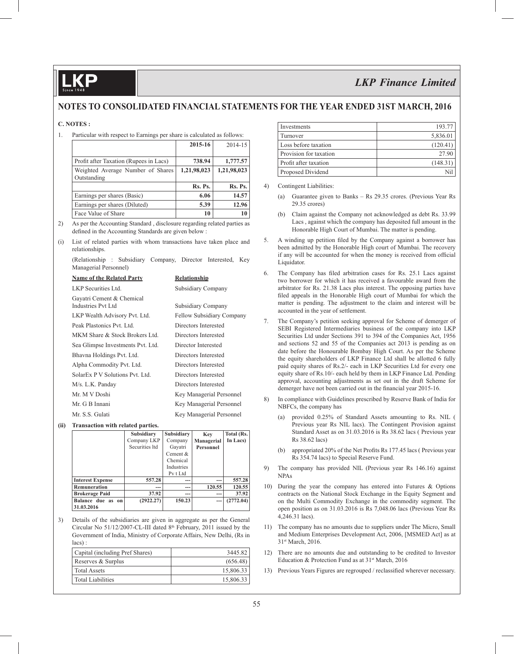## **NOTES TO CONSOLIDATED FINANCIAL STATEMENTS FOR THE YEAR ENDED 31ST MARCH, 2016**

#### **C. NOTES :**

1. Particular with respect to Earnings per share is calculated as follows:

|                                        | 2015-16     | 2014-15     |
|----------------------------------------|-------------|-------------|
|                                        |             |             |
| Profit after Taxation (Rupees in Lacs) | 738.94      | 1,777.57    |
| Weighted Average Number of Shares      | 1,21,98,023 | 1,21,98,023 |
| Outstanding                            |             |             |
|                                        | Rs. Ps.     | Rs. Ps.     |
| Earnings per shares (Basic)            | 6.06        | 14.57       |
| Earnings per shares (Diluted)          | 5.39        | 12.96       |
| Face Value of Share                    | 10          | 10          |

- 2) As per the Accounting Standard , disclosure regarding related parties as defined in the Accounting Standards are given below :
- (i) List of related parties with whom transactions have taken place and relationships.

 (Relationship : Subsidiary Company, Director Interested, Key Managerial Personnel)

| <b>Name of the Related Party</b>                | Relationship              |
|-------------------------------------------------|---------------------------|
| LKP Securities Ltd.                             | Subsidiary Company        |
| Gayatri Cement & Chemical<br>Industries Pyt Ltd | Subsidiary Company        |
| LKP Wealth Advisory Pvt. Ltd.                   | Fellow Subsidiary Company |
| Peak Plastonics Pyt. Ltd.                       | Directors Interested      |
| MKM Share & Stock Brokers Ltd.                  | Directors Interested      |
| Sea Glimpse Investments Pvt. Ltd.               | Director Interested       |
| Bhavna Holdings Pvt. Ltd.                       | Directors Interested      |
| Alpha Commodity Pvt. Ltd.                       | Directors Interested      |
| SolarEx P V Solutions Pvt. Ltd.                 | Directors Interested      |
| M/s. L.K. Panday                                | Directors Interested      |
| Mr. M V Doshi                                   | Key Managerial Personnel  |
| Mr. G B Innani                                  | Key Managerial Personnel  |
| Mr. S.S. Gulati                                 | Key Managerial Personnel  |

#### **(ii) Transaction with related parties.**

|                         | Subsidiary     | Subsidiary        | Key              | Total (Rs. |
|-------------------------|----------------|-------------------|------------------|------------|
|                         | Company LKP    | Company           | Managerial       | In Lacs)   |
|                         | Securities Itd | Gayatri           | <b>Personnel</b> |            |
|                         |                | Cement $&$        |                  |            |
|                         |                | Chemical          |                  |            |
|                         |                | <b>Industries</b> |                  |            |
|                         |                | Pv t Ltd          |                  |            |
| <b>Interest Expense</b> | 557.28         | ---               | ---              | 557.28     |
| Remuneration            | ---            | ---               | 120.55           | 120.55     |
| <b>Brokerage Paid</b>   | 37.92          | ---               | ---              | 37.92      |
| Balance due as on       | (2922.27)      | 150.23            | ---              | (2772.04)  |
| 31.03.2016              |                |                   |                  |            |

3) Details of the subsidiaries are given in aggregate as per the General Circular No  $51/12/2007$ -CL-III dated  $8<sup>th</sup>$  February, 2011 issued by the Government of India, Ministry of Corporate Affairs, New Delhi, (Rs in lacs) :

| Capital (including Pref Shares) | 3445.82   |
|---------------------------------|-----------|
| Reserves & Surplus              | (656.48)  |
| Total Assets                    | 15,806.33 |
| Total Liabilities               | 15,806.33 |

| Investments            | 193.77   |
|------------------------|----------|
| Turnover               | 5,836.01 |
| Loss before taxation   | (120.41) |
| Provision for taxation | 27.90    |
| Profit after taxation  | (148.31) |
| Proposed Dividend      | Ni1      |

#### 4) Contingent Liabilities:

- (a) Guarantee given to Banks Rs 29.35 crores. (Previous Year Rs 29.35 crores)
- (b) Claim against the Company not acknowledged as debt Rs. 33.99 Lacs , against which the company has deposited full amount in the Honorable High Court of Mumbai. The matter is pending.
- 5. A winding up petition filed by the Company against a borrower has been admitted by the Honorable High court of Mumbai. The recovery if any will be accounted for when the money is received from official Liquidator.
- 6. The Company has filed arbitration cases for Rs. 25.1 Lacs against two borrower for which it has received a favourable award from the arbitrator for Rs. 21.38 Lacs plus interest. The opposing parties have filed appeals in the Honorable High court of Mumbai for which the matter is pending. The adjustment to the claim and interest will be accounted in the year of settlement.
- 7. The Company's petition seeking approval for Scheme of demerger of SEBI Registered Intermediaries business of the company into LKP Securities Ltd under Sections 391 to 394 of the Companies Act, 1956 and sections 52 and 55 of the Companies act 2013 is pending as on date before the Honourable Bombay High Court. As per the Scheme the equity shareholders of LKP Finance Ltd shall be allotted 6 fully paid equity shares of Rs.2/- each in LKP Securities Ltd for every one equity share of Rs.10/- each held by them in LKP Finance Ltd. Pending approval, accounting adjustments as set out in the draft Scheme for demerger have not been carried out in the financial year 2015-16.
- 8) In compliance with Guidelines prescribed by Reserve Bank of India for NBFCs, the company has
	- provided 0.25% of Standard Assets amounting to Rs. NIL ( Previous year Rs NIL lacs). The Contingent Provision against Standard Asset as on 31.03.2016 is Rs 38.62 lacs ( Previous year Rs 38.62 lacs)
	- (b) appropriated  $20\%$  of the Net Profits Rs 177.45 lacs (Previous year Rs 354.74 lacs) to Special Reserve Fund.
- 9) The company has provided NIL (Previous year Rs 146.16) against NPAs
- 10) During the year the company has entered into Futures & Options contracts on the National Stock Exchange in the Equity Segment and on the Multi Commodity Exchange in the commodity segment. The open position as on 31.03.2016 is Rs 7,048.06 lacs (Previous Year Rs 4,246.31 lacs).
- 11) The company has no amounts due to suppliers under The Micro, Small and Medium Enterprises Development Act, 2006, [MSMED Act] as at 31st March, 2016.
- 12) There are no amounts due and outstanding to be credited to Investor Education & Protection Fund as at  $31<sup>st</sup>$  March, 2016
- 13) Previous Years Figures are regrouped / reclassified wherever necessary.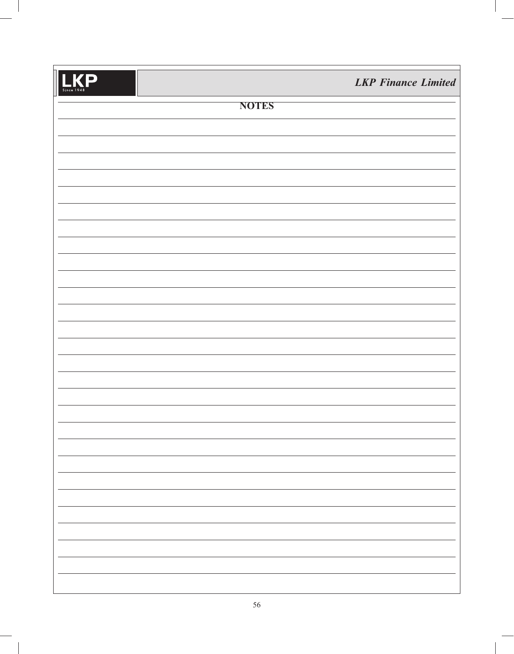| .KP<br>l<br>Since 1948 |              | <b>LKP</b> Finance Limited |
|------------------------|--------------|----------------------------|
|                        | <b>NOTES</b> |                            |
|                        |              |                            |
|                        |              |                            |
|                        |              |                            |
|                        |              |                            |
|                        |              |                            |
|                        |              |                            |
|                        |              |                            |
|                        |              |                            |
|                        |              |                            |
|                        |              |                            |
|                        |              |                            |
|                        |              |                            |
|                        |              |                            |
|                        |              |                            |
|                        |              |                            |
|                        |              |                            |
|                        |              |                            |
|                        |              |                            |
|                        |              |                            |
|                        |              |                            |
|                        |              |                            |
|                        |              |                            |
|                        |              |                            |
|                        |              |                            |
|                        |              |                            |